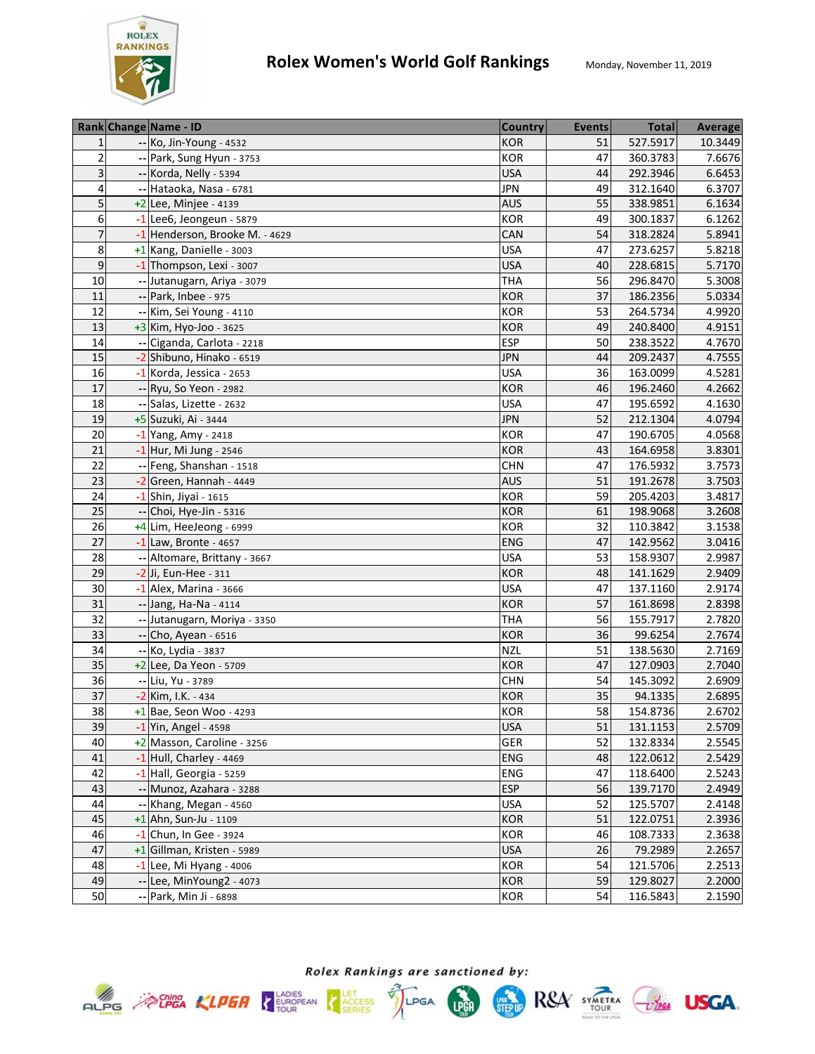

|                | Rank Change Name - ID          | <b>Country</b> | <b>Events</b> | <b>Total</b> | <b>Average</b> |
|----------------|--------------------------------|----------------|---------------|--------------|----------------|
| $\mathbf{1}$   | -- Ko, Jin-Young - 4532        | <b>KOR</b>     | 51            | 527.5917     | 10.3449        |
| $\overline{2}$ | -- Park, Sung Hyun - 3753      | KOR            | 47            | 360.3783     | 7.6676         |
| 3              | -- Korda, Nelly - 5394         | <b>USA</b>     | 44            | 292.3946     | 6.6453         |
| 4              | -- Hataoka, Nasa - 6781        | <b>JPN</b>     | 49            | 312.1640     | 6.3707         |
| 5              | $+2$ Lee, Minjee - 4139        | <b>AUS</b>     | 55            | 338.9851     | 6.1634         |
| 6              | $-1$ Lee6, Jeongeun - 5879     | <b>KOR</b>     | 49            | 300.1837     | 6.1262         |
| $\overline{7}$ | -1 Henderson, Brooke M. - 4629 | CAN            | 54            | 318.2824     | 5.8941         |
| 8              | +1 Kang, Danielle - 3003       | <b>USA</b>     | 47            | 273.6257     | 5.8218         |
| 9              | -1 Thompson, Lexi - 3007       | <b>USA</b>     | 40            | 228.6815     | 5.7170         |
| 10             | -- Jutanugarn, Ariya - 3079    | THA            | 56            | 296.8470     | 5.3008         |
| 11             | -- Park, Inbee - 975           | <b>KOR</b>     | 37            | 186.2356     | 5.0334         |
| 12             | -- Kim, Sei Young - 4110       | KOR            | 53            | 264.5734     | 4.9920         |
| 13             | $+3$ Kim, Hyo-Joo - 3625       | <b>KOR</b>     | 49            | 240.8400     | 4.9151         |
| 14             | -- Ciganda, Carlota - 2218     | <b>ESP</b>     | 50            | 238.3522     | 4.7670         |
| 15             | -2 Shibuno, Hinako - 6519      | <b>JPN</b>     | 44            | 209.2437     | 4.7555         |
| 16             | -1 Korda, Jessica - 2653       | <b>USA</b>     | 36            | 163.0099     | 4.5281         |
| 17             | -- Ryu, So Yeon - 2982         | <b>KOR</b>     | 46            | 196.2460     | 4.2662         |
| 18             | -- Salas, Lizette - 2632       | <b>USA</b>     | 47            | 195.6592     | 4.1630         |
| 19             | +5 Suzuki, Ai - 3444           | <b>JPN</b>     | 52            | 212.1304     | 4.0794         |
| 20             | -1 Yang, Amy - 2418            | <b>KOR</b>     | 47            | 190.6705     | 4.0568         |
| 21             | $-1$ Hur, Mi Jung - 2546       | <b>KOR</b>     | 43            | 164.6958     | 3.8301         |
| 22             | -- Feng, Shanshan - 1518       | <b>CHN</b>     | 47            | 176.5932     | 3.7573         |
| 23             | $-2$ Green, Hannah - 4449      | <b>AUS</b>     | 51            | 191.2678     | 3.7503         |
| 24             | $-1$ Shin, Jiyai - 1615        | KOR            | 59            | 205.4203     | 3.4817         |
| 25             | -- Choi, Hye-Jin - 5316        | <b>KOR</b>     | 61            | 198.9068     | 3.2608         |
| 26             | +4 Lim, HeeJeong - 6999        | KOR            | 32            | 110.3842     | 3.1538         |
| 27             | $-1$ Law, Bronte - 4657        | <b>ENG</b>     | 47            | 142.9562     | 3.0416         |
| 28             | -- Altomare, Brittany - 3667   | <b>USA</b>     | 53            | 158.9307     | 2.9987         |
| 29             | $-2$ Ji, Eun-Hee - 311         | <b>KOR</b>     | 48            | 141.1629     | 2.9409         |
| 30             | $-1$ Alex, Marina - 3666       | <b>USA</b>     | 47            | 137.1160     | 2.9174         |
| 31             | -- Jang, Ha-Na - 4114          | <b>KOR</b>     | 57            | 161.8698     | 2.8398         |
| 32             | -- Jutanugarn, Moriya - 3350   | <b>THA</b>     | 56            | 155.7917     | 2.7820         |
| 33             | -- Cho, Ayean - 6516           | <b>KOR</b>     | 36            | 99.6254      | 2.7674         |
| 34             | -- Ko, Lydia - 3837            | <b>NZL</b>     | 51            | 138.5630     | 2.7169         |
| 35             | $+2$ Lee, Da Yeon - 5709       | <b>KOR</b>     | 47            | 127.0903     | 2.7040         |
| 36             | -- Liu, Yu - 3789              | <b>CHN</b>     | 54            | 145.3092     | 2.6909         |
| 37             | -2 Kim, I.K. - 434             | <b>KOR</b>     | 35            | 94.1335      | 2.6895         |
| 38             | $+1$ Bae, Seon Woo - 4293      | <b>KOR</b>     | 58            | 154.8736     | 2.6702         |
| 39             | $-1$ Yin, Angel - 4598         | <b>USA</b>     | 51            | 131.1153     | 2.5709         |
| 40             | +2 Masson, Caroline - 3256     | GER            | 52            | 132.8334     | 2.5545         |
| 41             | $-1$ Hull, Charley - 4469      | <b>ENG</b>     | 48            | 122.0612     | 2.5429         |
| 42             | $-1$ Hall, Georgia - 5259      | <b>ENG</b>     | 47            | 118.6400     | 2.5243         |
| 43             | -- Munoz, Azahara - 3288       | <b>ESP</b>     | 56            | 139.7170     | 2.4949         |
| 44             | -- Khang, Megan - 4560         | <b>USA</b>     | 52            | 125.5707     | 2.4148         |
| 45             | $+1$ Ahn, Sun-Ju - 1109        | <b>KOR</b>     | 51            | 122.0751     | 2.3936         |
| 46             | $-1$ Chun, In Gee - 3924       | <b>KOR</b>     | 46            | 108.7333     | 2.3638         |
| 47             | +1 Gillman, Kristen - 5989     | <b>USA</b>     | 26            | 79.2989      | 2.2657         |
| 48             | $-1$ Lee, Mi Hyang - 4006      | <b>KOR</b>     | 54            | 121.5706     | 2.2513         |
| 49             | -- Lee, MinYoung2 - 4073       | <b>KOR</b>     | 59            | 129.8027     | 2.2000         |
| 50             | -- Park, Min Ji - 6898         | <b>KOR</b>     | 54            | 116.5843     | 2.1590         |



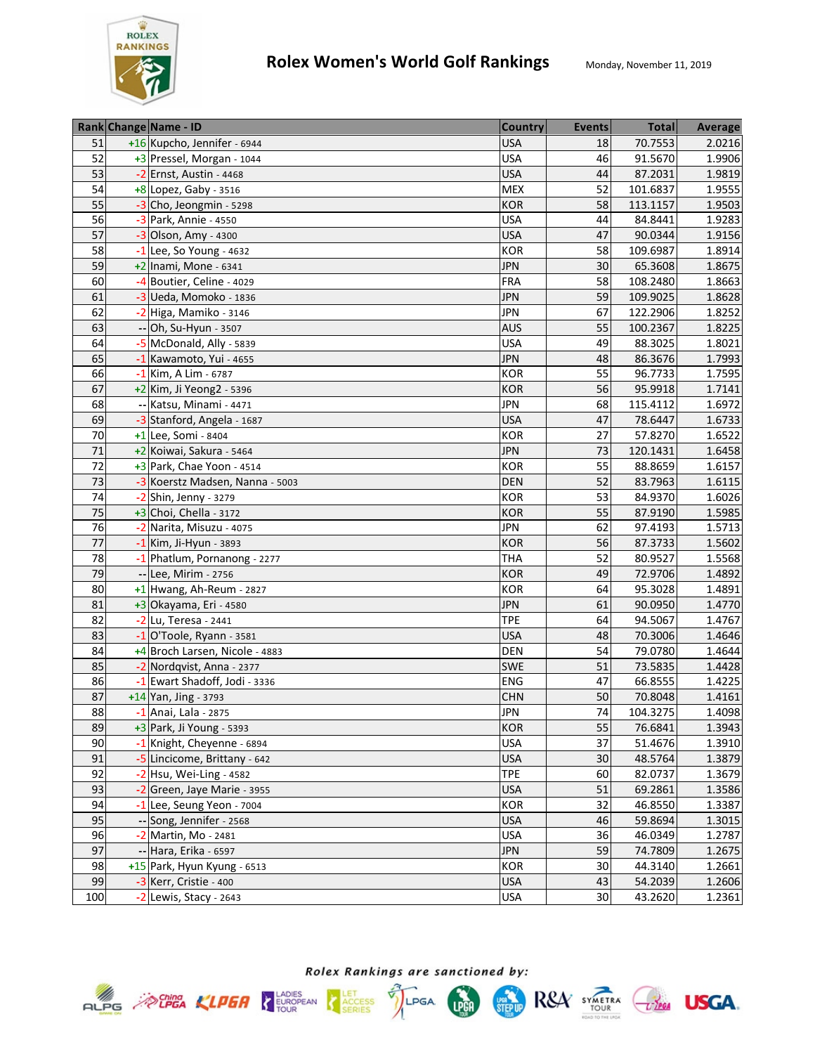

|     | Rank Change Name - ID           | <b>Country</b> | <b>Events</b> | <b>Total</b> | Average |
|-----|---------------------------------|----------------|---------------|--------------|---------|
| 51  | +16 Kupcho, Jennifer - 6944     | <b>USA</b>     | 18            | 70.7553      | 2.0216  |
| 52  | +3 Pressel, Morgan - 1044       | <b>USA</b>     | 46            | 91.5670      | 1.9906  |
| 53  | -2 Ernst, Austin - 4468         | <b>USA</b>     | 44            | 87.2031      | 1.9819  |
| 54  | $+8$ Lopez, Gaby - 3516         | <b>MEX</b>     | 52            | 101.6837     | 1.9555  |
| 55  | -3 Cho, Jeongmin - 5298         | KOR            | 58            | 113.1157     | 1.9503  |
| 56  | -3 Park, Annie - 4550           | <b>USA</b>     | 44            | 84.8441      | 1.9283  |
| 57  | $-3$ Olson, Amy - 4300          | <b>USA</b>     | 47            | 90.0344      | 1.9156  |
| 58  | $-1$ Lee, So Young - 4632       | <b>KOR</b>     | 58            | 109.6987     | 1.8914  |
| 59  | $+2$ Inami, Mone - 6341         | <b>JPN</b>     | 30            | 65.3608      | 1.8675  |
| 60  | -4 Boutier, Celine - 4029       | <b>FRA</b>     | 58            | 108.2480     | 1.8663  |
| 61  | $-3$ Ueda, Momoko - 1836        | <b>JPN</b>     | 59            | 109.9025     | 1.8628  |
| 62  | -2 Higa, Mamiko - 3146          | <b>JPN</b>     | 67            | 122.2906     | 1.8252  |
| 63  | -- Oh, Su-Hyun - 3507           | <b>AUS</b>     | 55            | 100.2367     | 1.8225  |
| 64  | -5 McDonald, Ally - 5839        | <b>USA</b>     | 49            | 88.3025      | 1.8021  |
| 65  | -1 Kawamoto, Yui - 4655         | <b>JPN</b>     | 48            | 86.3676      | 1.7993  |
| 66  | $-1$ Kim, A Lim - 6787          | KOR            | 55            | 96.7733      | 1.7595  |
| 67  | +2 Kim, Ji Yeong2 - 5396        | <b>KOR</b>     | 56            | 95.9918      | 1.7141  |
| 68  | -- Katsu, Minami - 4471         | <b>JPN</b>     | 68            | 115.4112     | 1.6972  |
| 69  | -3 Stanford, Angela - 1687      | <b>USA</b>     | 47            | 78.6447      | 1.6733  |
| 70  | +1 Lee, Somi - 8404             | <b>KOR</b>     | 27            | 57.8270      | 1.6522  |
| 71  | +2 Koiwai, Sakura - 5464        | <b>JPN</b>     | 73            | 120.1431     | 1.6458  |
| 72  | +3 Park, Chae Yoon - 4514       | <b>KOR</b>     | 55            | 88.8659      | 1.6157  |
| 73  | -3 Koerstz Madsen, Nanna - 5003 | <b>DEN</b>     | 52            | 83.7963      | 1.6115  |
| 74  | -2 Shin, Jenny - 3279           | <b>KOR</b>     | 53            | 84.9370      | 1.6026  |
| 75  | $+3$ Choi, Chella - 3172        | <b>KOR</b>     | 55            | 87.9190      | 1.5985  |
| 76  | -2 Narita, Misuzu - 4075        | <b>JPN</b>     | 62            | 97.4193      | 1.5713  |
| 77  | $-1$ Kim, Ji-Hyun - 3893        | <b>KOR</b>     | 56            | 87.3733      | 1.5602  |
| 78  | -1 Phatlum, Pornanong - 2277    | <b>THA</b>     | 52            | 80.9527      | 1.5568  |
| 79  | -- Lee, Mirim - 2756            | KOR            | 49            | 72.9706      | 1.4892  |
| 80  | +1 Hwang, Ah-Reum - 2827        | <b>KOR</b>     | 64            | 95.3028      | 1.4891  |
| 81  | $+3$ Okayama, Eri - 4580        | <b>JPN</b>     | 61            | 90.0950      | 1.4770  |
| 82  | -2 Lu, Teresa - 2441            | <b>TPE</b>     | 64            | 94.5067      | 1.4767  |
| 83  | $-1$ O'Toole, Ryann - 3581      | <b>USA</b>     | 48            | 70.3006      | 1.4646  |
| 84  | +4 Broch Larsen, Nicole - 4883  | DEN            | 54            | 79.0780      | 1.4644  |
| 85  | -2 Nordgvist, Anna - 2377       | SWE            | 51            | 73.5835      | 1.4428  |
| 86  | -1 Ewart Shadoff, Jodi - 3336   | ENG            | 47            | 66.8555      | 1.4225  |
| 87  | +14 Yan, Jing - 3793            | <b>CHN</b>     | 50            | 70.8048      | 1.4161  |
| 88  | $-1$ Anai, Lala - 2875          | JPN            | 74            | 104.3275     | 1.4098  |
| 89  | $+3$ Park, Ji Young - 5393      | <b>KOR</b>     | 55            | 76.6841      | 1.3943  |
| 90  | -1 Knight, Cheyenne - 6894      | <b>USA</b>     | 37            | 51.4676      | 1.3910  |
| 91  | -5 Lincicome, Brittany - 642    | <b>USA</b>     | 30            | 48.5764      | 1.3879  |
| 92  | $-2$ Hsu, Wei-Ling - 4582       | <b>TPE</b>     | 60            | 82.0737      | 1.3679  |
| 93  | -2 Green, Jaye Marie - 3955     | <b>USA</b>     | 51            | 69.2861      | 1.3586  |
| 94  | -1 Lee, Seung Yeon - 7004       | KOR            | 32            | 46.8550      | 1.3387  |
| 95  | -- Song, Jennifer - 2568        | <b>USA</b>     | 46            | 59.8694      | 1.3015  |
| 96  | -2 Martin, Mo - 2481            | <b>USA</b>     | 36            | 46.0349      | 1.2787  |
| 97  | -- Hara, Erika - 6597           | <b>JPN</b>     | 59            | 74.7809      | 1.2675  |
| 98  | +15 Park, Hyun Kyung - 6513     | KOR            | 30            | 44.3140      | 1.2661  |
| 99  | -3 Kerr, Cristie - 400          | <b>USA</b>     | 43            | 54.2039      | 1.2606  |
| 100 | $-2$ Lewis, Stacy - 2643        | USA            | 30            | 43.2620      | 1.2361  |



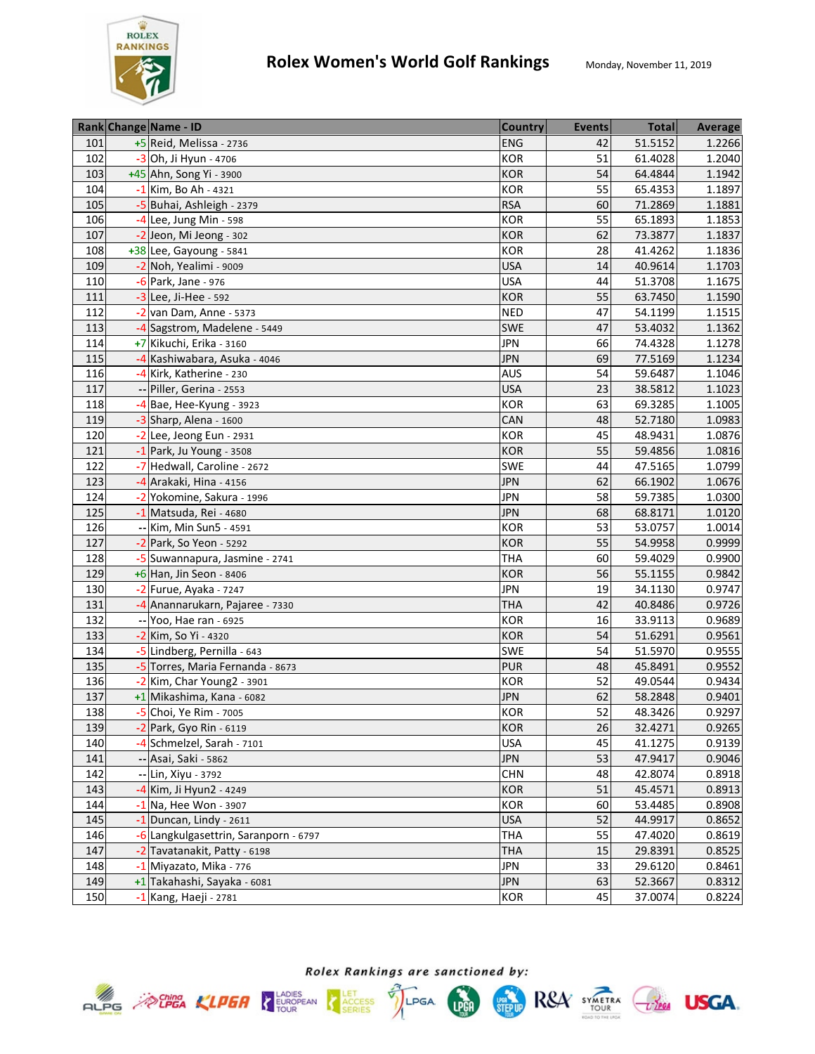

|     | Rank Change Name - ID                 | <b>Country</b> | <b>Events</b>   | <b>Total</b> | <b>Average</b> |
|-----|---------------------------------------|----------------|-----------------|--------------|----------------|
| 101 | +5 Reid, Melissa - 2736               | <b>ENG</b>     | 42              | 51.5152      | 1.2266         |
| 102 | -3 Oh, Ji Hyun - 4706                 | KOR            | 51              | 61.4028      | 1.2040         |
| 103 | +45 Ahn, Song Yi - 3900               | KOR            | 54              | 64.4844      | 1.1942         |
| 104 | -1 Kim, Bo Ah - 4321                  | KOR            | $\overline{55}$ | 65.4353      | 1.1897         |
| 105 | -5 Buhai, Ashleigh - 2379             | <b>RSA</b>     | 60              | 71.2869      | 1.1881         |
| 106 | -4 Lee, Jung Min - 598                | KOR            | 55              | 65.1893      | 1.1853         |
| 107 | -2 Jeon, Mi Jeong - 302               | <b>KOR</b>     | 62              | 73.3877      | 1.1837         |
| 108 | +38 Lee, Gayoung - 5841               | <b>KOR</b>     | 28              | 41.4262      | 1.1836         |
| 109 | -2 Noh, Yealimi - 9009                | <b>USA</b>     | 14              | 40.9614      | 1.1703         |
| 110 | -6 Park, Jane - 976                   | <b>USA</b>     | 44              | 51.3708      | 1.1675         |
| 111 | $-3$ Lee, Ji-Hee - 592                | <b>KOR</b>     | 55              | 63.7450      | 1.1590         |
| 112 | $-2$ van Dam, Anne - 5373             | <b>NED</b>     | 47              | 54.1199      | 1.1515         |
| 113 | -4 Sagstrom, Madelene - 5449          | <b>SWE</b>     | 47              | 53.4032      | 1.1362         |
| 114 | +7 Kikuchi, Erika - 3160              | <b>JPN</b>     | 66              | 74.4328      | 1.1278         |
| 115 | -4 Kashiwabara, Asuka - 4046          | <b>JPN</b>     | 69              | 77.5169      | 1.1234         |
| 116 | -4 Kirk, Katherine - 230              | <b>AUS</b>     | 54              | 59.6487      | 1.1046         |
| 117 | Piller, Gerina - 2553                 | <b>USA</b>     | 23              | 38.5812      | 1.1023         |
| 118 | $-4$ Bae, Hee-Kyung - 3923            | KOR            | 63              | 69.3285      | 1.1005         |
| 119 | -3 Sharp, Alena - 1600                | CAN            | 48              | 52.7180      | 1.0983         |
| 120 | $-2$ Lee, Jeong Eun - 2931            | KOR            | 45              | 48.9431      | 1.0876         |
| 121 | $-1$ Park, Ju Young - 3508            | <b>KOR</b>     | 55              | 59.4856      | 1.0816         |
| 122 | -7 Hedwall, Caroline - 2672           | SWE            | 44              | 47.5165      | 1.0799         |
| 123 | -4 Arakaki, Hina - 4156               | <b>JPN</b>     | 62              | 66.1902      | 1.0676         |
| 124 | -2 Yokomine, Sakura - 1996            | <b>JPN</b>     | 58              | 59.7385      | 1.0300         |
| 125 | -1 Matsuda, Rei - 4680                | <b>JPN</b>     | 68              | 68.8171      | 1.0120         |
| 126 | -- Kim, Min Sun5 - 4591               | <b>KOR</b>     | 53              | 53.0757      | 1.0014         |
| 127 | -2 Park, So Yeon - 5292               | <b>KOR</b>     | 55              | 54.9958      | 0.9999         |
| 128 | -5 Suwannapura, Jasmine - 2741        | <b>THA</b>     | 60              | 59.4029      | 0.9900         |
| 129 | +6 Han, Jin Seon - 8406               | <b>KOR</b>     | 56              | 55.1155      | 0.9842         |
| 130 | -2 Furue, Ayaka - 7247                | <b>JPN</b>     | 19              | 34.1130      | 0.9747         |
| 131 | -4 Anannarukarn, Pajaree - 7330       | <b>THA</b>     | 42              | 40.8486      | 0.9726         |
| 132 | -- Yoo, Hae ran - 6925                | KOR            | 16              | 33.9113      | 0.9689         |
| 133 | -2 Kim, So Yi - 4320                  | <b>KOR</b>     | 54              | 51.6291      | 0.9561         |
| 134 | -5 Lindberg, Pernilla - 643           | <b>SWE</b>     | 54              | 51.5970      | 0.9555         |
| 135 | -5 Torres, Maria Fernanda - 8673      | <b>PUR</b>     | 48              | 45.8491      | 0.9552         |
| 136 | -2 Kim, Char Young2 - 3901            | <b>KOR</b>     | 52              | 49.0544      | 0.9434         |
| 137 | +1 Mikashima, Kana - 6082             | <b>JPN</b>     | 62              | 58.2848      | 0.9401         |
| 138 | -5 Choi, Ye Rim - 7005                | <b>KOR</b>     | 52              | 48.3426      | 0.9297         |
| 139 | $-2$ Park, Gyo Rin - 6119             | <b>KOR</b>     | 26              | 32.4271      | 0.9265         |
| 140 | -4 Schmelzel, Sarah - 7101            | <b>USA</b>     | 45              | 41.1275      | 0.9139         |
| 141 | -- Asai, Saki - 5862                  | <b>JPN</b>     | 53              | 47.9417      | 0.9046         |
| 142 | -- Lin, Xiyu - 3792                   | <b>CHN</b>     | 48              | 42.8074      | 0.8918         |
| 143 | -4 Kim, Ji Hyun2 - 4249               | <b>KOR</b>     | 51              | 45.4571      | 0.8913         |
| 144 | $-1$ Na, Hee Won - 3907               | KOR            | 60              | 53.4485      | 0.8908         |
| 145 | $-1$ Duncan, Lindy - 2611             | <b>USA</b>     | 52              | 44.9917      | 0.8652         |
| 146 | -6 Langkulgasettrin, Saranporn - 6797 | <b>THA</b>     | 55              | 47.4020      | 0.8619         |
| 147 | -2 Tavatanakit, Patty - 6198          | <b>THA</b>     | 15              | 29.8391      | 0.8525         |
| 148 | -1 Miyazato, Mika - 776               | <b>JPN</b>     | 33              | 29.6120      | 0.8461         |
| 149 | +1 Takahashi, Sayaka - 6081           | <b>JPN</b>     | 63              | 52.3667      | 0.8312         |
| 150 | -1 Kang, Haeji - 2781                 | <b>KOR</b>     | 45              | 37.0074      | 0.8224         |







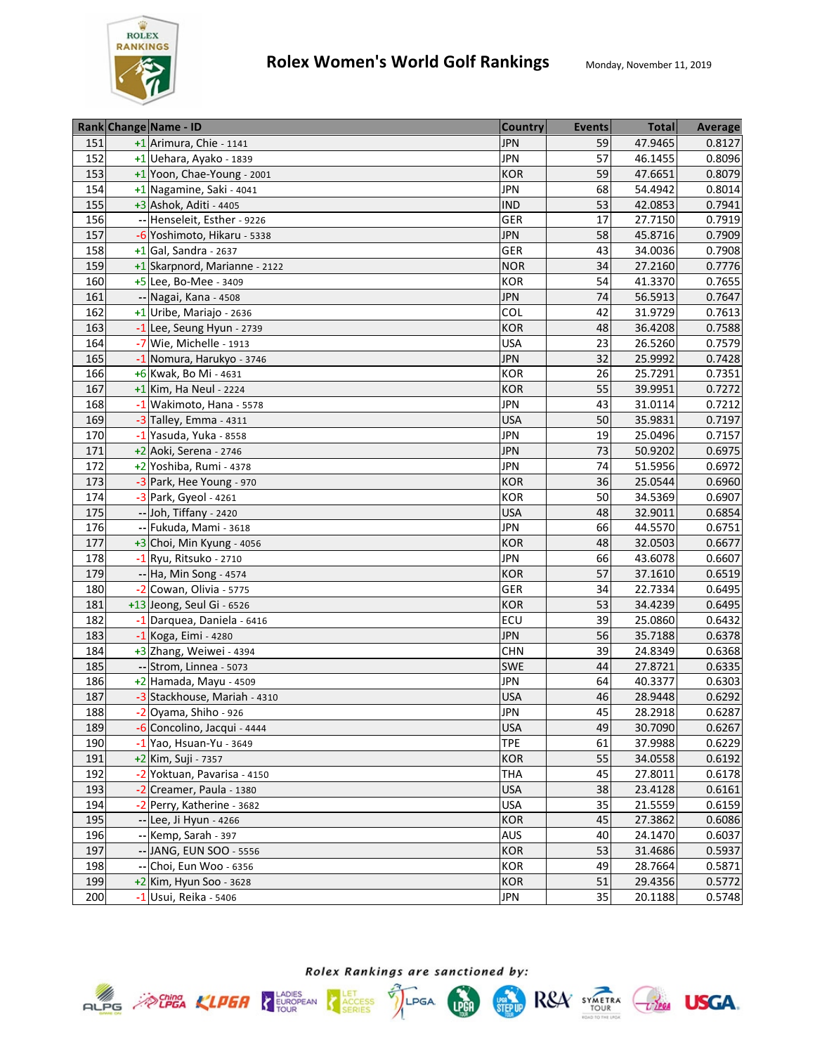

|     | Rank Change Name - ID         | <b>Country</b> | <b>Events</b> | <b>Total</b> | Average |
|-----|-------------------------------|----------------|---------------|--------------|---------|
| 151 | +1 Arimura, Chie - 1141       | <b>JPN</b>     | 59            | 47.9465      | 0.8127  |
| 152 | +1 Uehara, Ayako - 1839       | <b>JPN</b>     | 57            | 46.1455      | 0.8096  |
| 153 | +1 Yoon, Chae-Young - 2001    | <b>KOR</b>     | 59            | 47.6651      | 0.8079  |
| 154 | +1 Nagamine, Saki - 4041      | <b>JPN</b>     | 68            | 54.4942      | 0.8014  |
| 155 | +3 Ashok, Aditi - 4405        | <b>IND</b>     | 53            | 42.0853      | 0.7941  |
| 156 | -- Henseleit, Esther - 9226   | <b>GER</b>     | 17            | 27.7150      | 0.7919  |
| 157 | -6 Yoshimoto, Hikaru - 5338   | <b>JPN</b>     | 58            | 45.8716      | 0.7909  |
| 158 | +1 Gal, Sandra - 2637         | <b>GER</b>     | 43            | 34.0036      | 0.7908  |
| 159 | +1 Skarpnord, Marianne - 2122 | <b>NOR</b>     | 34            | 27.2160      | 0.7776  |
| 160 | $+5$ Lee, Bo-Mee - 3409       | <b>KOR</b>     | 54            | 41.3370      | 0.7655  |
| 161 | -- Nagai, Kana - 4508         | <b>JPN</b>     | 74            | 56.5913      | 0.7647  |
| 162 | +1 Uribe, Mariajo - 2636      | COL            | 42            | 31.9729      | 0.7613  |
| 163 | -1 Lee, Seung Hyun - 2739     | <b>KOR</b>     | 48            | 36.4208      | 0.7588  |
| 164 | -7 Wie, Michelle - 1913       | <b>USA</b>     | 23            | 26.5260      | 0.7579  |
| 165 | -1 Nomura, Harukyo - 3746     | <b>JPN</b>     | 32            | 25.9992      | 0.7428  |
| 166 | +6 Kwak, Bo Mi - 4631         | <b>KOR</b>     | 26            | 25.7291      | 0.7351  |
| 167 | $+1$ Kim, Ha Neul - 2224      | <b>KOR</b>     | 55            | 39.9951      | 0.7272  |
| 168 | -1 Wakimoto, Hana - 5578      | <b>JPN</b>     | 43            | 31.0114      | 0.7212  |
| 169 | $-3$ Talley, Emma - 4311      | <b>USA</b>     | 50            | 35.9831      | 0.7197  |
| 170 | $-1$ Yasuda, Yuka - 8558      | <b>JPN</b>     | 19            | 25.0496      | 0.7157  |
| 171 | $+2$ Aoki, Serena - 2746      | <b>JPN</b>     | 73            | 50.9202      | 0.6975  |
| 172 | +2 Yoshiba, Rumi - 4378       | <b>JPN</b>     | 74            | 51.5956      | 0.6972  |
| 173 | -3 Park, Hee Young - 970      | <b>KOR</b>     | 36            | 25.0544      | 0.6960  |
| 174 | -3 Park, Gyeol - 4261         | KOR            | 50            | 34.5369      | 0.6907  |
| 175 | -- Joh, Tiffany - 2420        | <b>USA</b>     | 48            | 32.9011      | 0.6854  |
| 176 | -- Fukuda, Mami - 3618        | <b>JPN</b>     | 66            | 44.5570      | 0.6751  |
| 177 | +3 Choi, Min Kyung - 4056     | <b>KOR</b>     | 48            | 32.0503      | 0.6677  |
| 178 | -1 Ryu, Ritsuko - 2710        | <b>JPN</b>     | 66            | 43.6078      | 0.6607  |
| 179 | -- Ha, Min Song - 4574        | <b>KOR</b>     | 57            | 37.1610      | 0.6519  |
| 180 | -2 Cowan, Olivia - 5775       | <b>GER</b>     | 34            | 22.7334      | 0.6495  |
| 181 | +13 Jeong, Seul Gi - 6526     | <b>KOR</b>     | 53            | 34.4239      | 0.6495  |
| 182 | -1 Darquea, Daniela - 6416    | ECU            | 39            | 25.0860      | 0.6432  |
| 183 | -1 Koga, Eimi - 4280          | <b>JPN</b>     | 56            | 35.7188      | 0.6378  |
| 184 | +3 Zhang, Weiwei - 4394       | <b>CHN</b>     | 39            | 24.8349      | 0.6368  |
| 185 | -- Strom, Linnea - 5073       | <b>SWE</b>     | 44            | 27.8721      | 0.6335  |
| 186 | $+2$ Hamada, Mayu - 4509      | <b>JPN</b>     | 64            | 40.3377      | 0.6303  |
| 187 | -3 Stackhouse, Mariah - 4310  | <b>USA</b>     | 46            | 28.9448      | 0.6292  |
| 188 | -2 Oyama, Shiho - 926         | <b>JPN</b>     | 45            | 28.2918      | 0.6287  |
| 189 | -6 Concolino, Jacqui - 4444   | <b>USA</b>     | 49            | 30.7090      | 0.6267  |
| 190 | $-1$ Yao, Hsuan-Yu - 3649     | <b>TPE</b>     | 61            | 37.9988      | 0.6229  |
| 191 | +2 Kim, Suji - 7357           | <b>KOR</b>     | 55            | 34.0558      | 0.6192  |
| 192 | -2 Yoktuan, Pavarisa - 4150   | <b>THA</b>     | 45            | 27.8011      | 0.6178  |
| 193 | -2 Creamer, Paula - 1380      | <b>USA</b>     | 38            | 23.4128      | 0.6161  |
| 194 | -2 Perry, Katherine - 3682    | <b>USA</b>     | 35            | 21.5559      | 0.6159  |
| 195 | -- Lee, Ji Hyun - 4266        | <b>KOR</b>     | 45            | 27.3862      | 0.6086  |
| 196 | -- Kemp, Sarah - 397          | AUS            | 40            | 24.1470      | 0.6037  |
| 197 | -- JANG, EUN SOO - 5556       | <b>KOR</b>     | 53            | 31.4686      | 0.5937  |
| 198 | -- Choi, Eun Woo - 6356       | <b>KOR</b>     | 49            | 28.7664      | 0.5871  |
| 199 | $+2$ Kim, Hyun Soo - 3628     | <b>KOR</b>     | 51            | 29.4356      | 0.5772  |
| 200 | -1 Usui, Reika - 5406         | <b>JPN</b>     | 35            | 20.1188      | 0.5748  |

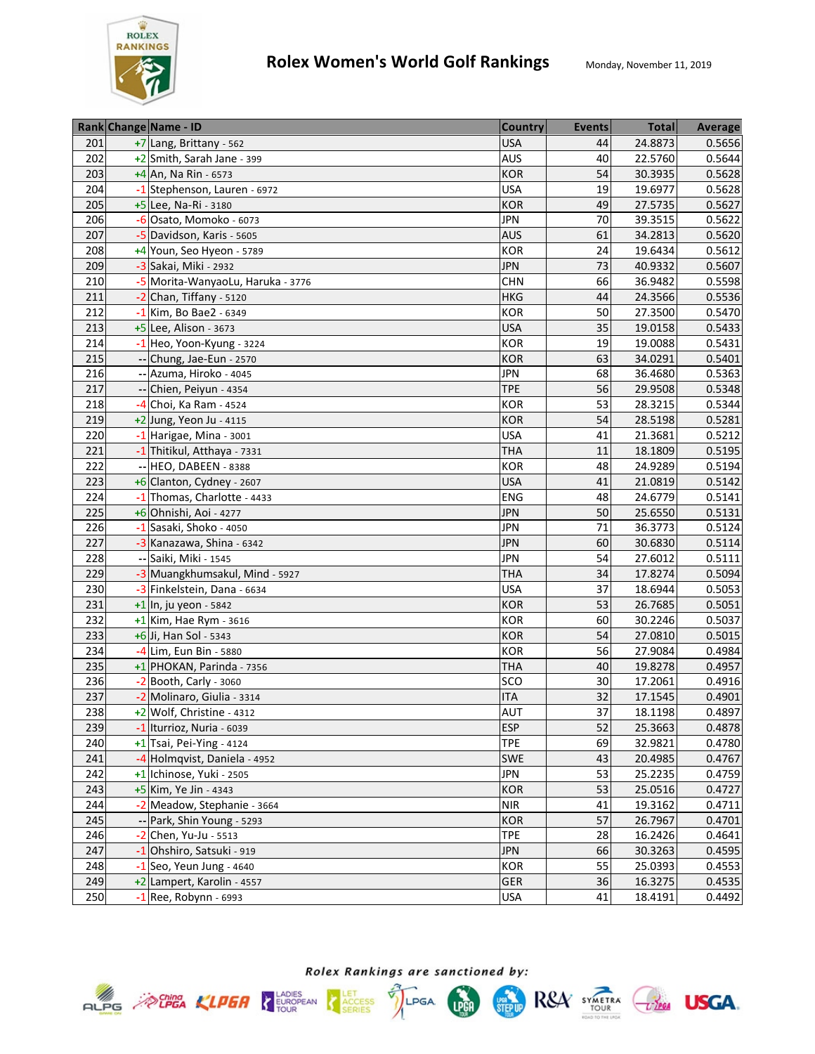

|     | Rank Change Name - ID             | <b>Country</b> | <b>Events</b> | <b>Total</b> | Average |
|-----|-----------------------------------|----------------|---------------|--------------|---------|
| 201 | +7 Lang, Brittany - 562           | <b>USA</b>     | 44            | 24.8873      | 0.5656  |
| 202 | +2 Smith, Sarah Jane - 399        | <b>AUS</b>     | 40            | 22.5760      | 0.5644  |
| 203 | +4 An, Na Rin - 6573              | <b>KOR</b>     | 54            | 30.3935      | 0.5628  |
| 204 | -1 Stephenson, Lauren - 6972      | <b>USA</b>     | 19            | 19.6977      | 0.5628  |
| 205 | +5 Lee, Na-Ri - 3180              | <b>KOR</b>     | 49            | 27.5735      | 0.5627  |
| 206 | -6 Osato, Momoko - 6073           | <b>JPN</b>     | 70            | 39.3515      | 0.5622  |
| 207 | -5 Davidson, Karis - 5605         | <b>AUS</b>     | 61            | 34.2813      | 0.5620  |
| 208 | +4 Youn, Seo Hyeon - 5789         | <b>KOR</b>     | 24            | 19.6434      | 0.5612  |
| 209 | -3 Sakai, Miki - 2932             | <b>JPN</b>     | 73            | 40.9332      | 0.5607  |
| 210 | -5 Morita-WanyaoLu, Haruka - 3776 | <b>CHN</b>     | 66            | 36.9482      | 0.5598  |
| 211 | -2 Chan, Tiffany - 5120           | <b>HKG</b>     | 44            | 24.3566      | 0.5536  |
| 212 | -1 Kim, Bo Bae2 - 6349            | <b>KOR</b>     | 50            | 27.3500      | 0.5470  |
| 213 | +5 Lee, Alison - 3673             | <b>USA</b>     | 35            | 19.0158      | 0.5433  |
| 214 | -1 Heo, Yoon-Kyung - 3224         | KOR            | 19            | 19.0088      | 0.5431  |
| 215 | -- Chung, Jae-Eun - 2570          | <b>KOR</b>     | 63            | 34.0291      | 0.5401  |
| 216 | -- Azuma, Hiroko - 4045           | <b>JPN</b>     | 68            | 36.4680      | 0.5363  |
| 217 | Chien, Peiyun - 4354              | <b>TPE</b>     | 56            | 29.9508      | 0.5348  |
| 218 | -4 Choi, Ka Ram - 4524            | <b>KOR</b>     | 53            | 28.3215      | 0.5344  |
| 219 | $+2$ Jung, Yeon Ju - 4115         | <b>KOR</b>     | 54            | 28.5198      | 0.5281  |
| 220 | -1 Harigae, Mina - 3001           | <b>USA</b>     | 41            | 21.3681      | 0.5212  |
| 221 | -1 Thitikul, Atthaya - 7331       | <b>THA</b>     | 11            | 18.1809      | 0.5195  |
| 222 | -- HEO, DABEEN - 8388             | <b>KOR</b>     | 48            | 24.9289      | 0.5194  |
| 223 | +6 Clanton, Cydney - 2607         | <b>USA</b>     | 41            | 21.0819      | 0.5142  |
| 224 | -1 Thomas, Charlotte - 4433       | <b>ENG</b>     | 48            | 24.6779      | 0.5141  |
| 225 | +6 Ohnishi, Aoi - 4277            | <b>JPN</b>     | 50            | 25.6550      | 0.5131  |
| 226 | -1 Sasaki, Shoko - 4050           | <b>JPN</b>     | 71            | 36.3773      | 0.5124  |
| 227 | -3 Kanazawa, Shina - 6342         | <b>JPN</b>     | 60            | 30.6830      | 0.5114  |
| 228 | -- Saiki, Miki - 1545             | <b>JPN</b>     | 54            | 27.6012      | 0.5111  |
| 229 | -3 Muangkhumsakul, Mind - 5927    | <b>THA</b>     | 34            | 17.8274      | 0.5094  |
| 230 | -3 Finkelstein, Dana - 6634       | <b>USA</b>     | 37            | 18.6944      | 0.5053  |
| 231 | +1 In, ju yeon - 5842             | <b>KOR</b>     | 53            | 26.7685      | 0.5051  |
| 232 | $+1$ Kim, Hae Rym - 3616          | <b>KOR</b>     | 60            | 30.2246      | 0.5037  |
| 233 | +6 Ji, Han Sol - 5343             | <b>KOR</b>     | 54            | 27.0810      | 0.5015  |
| 234 | -4 Lim, Eun Bin - 5880            | <b>KOR</b>     | 56            | 27.9084      | 0.4984  |
| 235 | +1 PHOKAN, Parinda - 7356         | <b>THA</b>     | 40            | 19.8278      | 0.4957  |
| 236 | $-2$ Booth, Carly - 3060          | SCO            | 30            | 17.2061      | 0.4916  |
| 237 | -2 Molinaro, Giulia - 3314        | <b>ITA</b>     | 32            | 17.1545      | 0.4901  |
| 238 | +2 Wolf, Christine - 4312         | AUT            | 37            | 18.1198      | 0.4897  |
| 239 | $-1$ Iturrioz, Nuria - 6039       | <b>ESP</b>     | 52            | 25.3663      | 0.4878  |
| 240 | $+1$ Tsai, Pei-Ying - 4124        | <b>TPE</b>     | 69            | 32.9821      | 0.4780  |
| 241 | -4 Holmqvist, Daniela - 4952      | <b>SWE</b>     | 43            | 20.4985      | 0.4767  |
| 242 | +1 Ichinose, Yuki - 2505          | <b>JPN</b>     | 53            | 25.2235      | 0.4759  |
| 243 | +5 Kim, Ye Jin - 4343             | <b>KOR</b>     | 53            | 25.0516      | 0.4727  |
| 244 | -2 Meadow, Stephanie - 3664       | <b>NIR</b>     | 41            | 19.3162      | 0.4711  |
| 245 | -- Park, Shin Young - 5293        | <b>KOR</b>     | 57            | 26.7967      | 0.4701  |
| 246 | $-2$ Chen, Yu-Ju - 5513           | <b>TPE</b>     | 28            | 16.2426      | 0.4641  |
| 247 | -1 Ohshiro, Satsuki - 919         | <b>JPN</b>     | 66            | 30.3263      | 0.4595  |
| 248 | $-1$ Seo, Yeun Jung - 4640        | <b>KOR</b>     | 55            | 25.0393      | 0.4553  |
| 249 | +2 Lampert, Karolin - 4557        | <b>GER</b>     | 36            | 16.3275      | 0.4535  |
| 250 | -1 Ree, Robynn - 6993             | USA            | 41            | 18.4191      | 0.4492  |



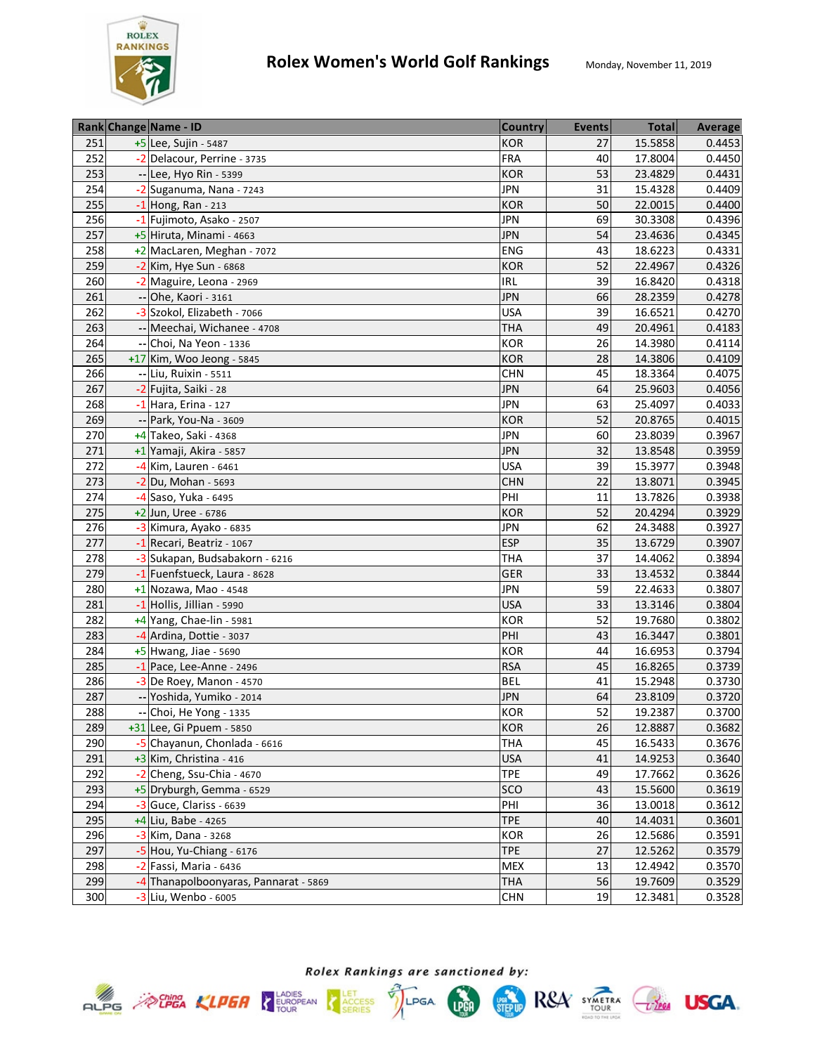

|     | Rank Change Name - ID                 | <b>Country</b> | <b>Events</b> | <b>Total</b> | Average |
|-----|---------------------------------------|----------------|---------------|--------------|---------|
| 251 | +5 Lee, Sujin - 5487                  | <b>KOR</b>     | 27            | 15.5858      | 0.4453  |
| 252 | -2 Delacour, Perrine - 3735           | <b>FRA</b>     | 40            | 17.8004      | 0.4450  |
| 253 | -- Lee, Hyo Rin - 5399                | <b>KOR</b>     | 53            | 23.4829      | 0.4431  |
| 254 | -2 Suganuma, Nana - 7243              | <b>JPN</b>     | 31            | 15.4328      | 0.4409  |
| 255 | $-1$ Hong, Ran - 213                  | <b>KOR</b>     | 50            | 22.0015      | 0.4400  |
| 256 | -1 Fujimoto, Asako - 2507             | <b>JPN</b>     | 69            | 30.3308      | 0.4396  |
| 257 | +5 Hiruta, Minami - 4663              | <b>JPN</b>     | 54            | 23.4636      | 0.4345  |
| 258 | +2 MacLaren, Meghan - 7072            | <b>ENG</b>     | 43            | 18.6223      | 0.4331  |
| 259 | $-2$ Kim, Hye Sun - 6868              | <b>KOR</b>     | 52            | 22.4967      | 0.4326  |
| 260 | -2 Maguire, Leona - 2969              | <b>IRL</b>     | 39            | 16.8420      | 0.4318  |
| 261 | -- Ohe, Kaori - 3161                  | <b>JPN</b>     | 66            | 28.2359      | 0.4278  |
| 262 | -3 Szokol, Elizabeth - 7066           | <b>USA</b>     | 39            | 16.6521      | 0.4270  |
| 263 | -- Meechai, Wichanee - 4708           | <b>THA</b>     | 49            | 20.4961      | 0.4183  |
| 264 | Choi, Na Yeon - 1336                  | KOR            | 26            | 14.3980      | 0.4114  |
| 265 | +17 Kim, Woo Jeong - 5845             | <b>KOR</b>     | 28            | 14.3806      | 0.4109  |
| 266 | -- Liu, Ruixin - 5511                 | <b>CHN</b>     | 45            | 18.3364      | 0.4075  |
| 267 | -2 Fujita, Saiki - 28                 | <b>JPN</b>     | 64            | 25.9603      | 0.4056  |
| 268 | $-1$ Hara, Erina - 127                | <b>JPN</b>     | 63            | 25.4097      | 0.4033  |
| 269 | -- Park, You-Na - 3609                | <b>KOR</b>     | 52            | 20.8765      | 0.4015  |
| 270 | +4 Takeo, Saki - 4368                 | <b>JPN</b>     | 60            | 23.8039      | 0.3967  |
| 271 | +1 Yamaji, Akira - 5857               | <b>JPN</b>     | 32            | 13.8548      | 0.3959  |
| 272 | -4 Kim, Lauren - 6461                 | <b>USA</b>     | 39            | 15.3977      | 0.3948  |
| 273 | $-2$ Du, Mohan - 5693                 | <b>CHN</b>     | 22            | 13.8071      | 0.3945  |
| 274 | -4 Saso, Yuka - 6495                  | PHI            | 11            | 13.7826      | 0.3938  |
| 275 | +2 Jun, Uree - 6786                   | <b>KOR</b>     | 52            | 20.4294      | 0.3929  |
| 276 | -3 Kimura, Ayako - 6835               | <b>JPN</b>     | 62            | 24.3488      | 0.3927  |
| 277 | -1 Recari, Beatriz - 1067             | <b>ESP</b>     | 35            | 13.6729      | 0.3907  |
| 278 | -3 Sukapan, Budsabakorn - 6216        | <b>THA</b>     | 37            | 14.4062      | 0.3894  |
| 279 | -1 Fuenfstueck, Laura - 8628          | <b>GER</b>     | 33            | 13.4532      | 0.3844  |
| 280 | $+1$ Nozawa, Mao - 4548               | <b>JPN</b>     | 59            | 22.4633      | 0.3807  |
| 281 | -1 Hollis, Jillian - 5990             | <b>USA</b>     | 33            | 13.3146      | 0.3804  |
| 282 | +4 Yang, Chae-lin - 5981              | <b>KOR</b>     | 52            | 19.7680      | 0.3802  |
| 283 | -4 Ardina, Dottie - 3037              | PHI            | 43            | 16.3447      | 0.3801  |
| 284 | +5 Hwang, Jiae - 5690                 | <b>KOR</b>     | 44            | 16.6953      | 0.3794  |
| 285 | $-1$ Pace, Lee-Anne - 2496            | <b>RSA</b>     | 45            | 16.8265      | 0.3739  |
| 286 | $-3$ De Roey, Manon - 4570            | <b>BEL</b>     | 41            | 15.2948      | 0.3730  |
| 287 | -- Yoshida, Yumiko - 2014             | <b>JPN</b>     | 64            | 23.8109      | 0.3720  |
| 288 | -- Choi, He Yong - 1335               | KOR            | 52            | 19.2387      | 0.3700  |
| 289 | +31 Lee, Gi Ppuem - 5850              | <b>KOR</b>     | 26            | 12.8887      | 0.3682  |
| 290 | -5 Chayanun, Chonlada - 6616          | THA            | 45            | 16.5433      | 0.3676  |
| 291 | +3 Kim, Christina - 416               | <b>USA</b>     | 41            | 14.9253      | 0.3640  |
| 292 | $-2$ Cheng, Ssu-Chia - 4670           | <b>TPE</b>     | 49            | 17.7662      | 0.3626  |
| 293 | +5 Dryburgh, Gemma - 6529             | <b>SCO</b>     | 43            | 15.5600      | 0.3619  |
| 294 | $-3$ Guce, Clariss - 6639             | PHI            | 36            | 13.0018      | 0.3612  |
| 295 | +4 Liu, Babe - 4265                   | <b>TPE</b>     | 40            | 14.4031      | 0.3601  |
| 296 | -3 Kim, Dana - 3268                   | <b>KOR</b>     | 26            | 12.5686      | 0.3591  |
| 297 | $-5$ Hou, Yu-Chiang - 6176            | <b>TPE</b>     | 27            | 12.5262      | 0.3579  |
| 298 | -2 Fassi, Maria - 6436                | <b>MEX</b>     | 13            | 12.4942      | 0.3570  |
| 299 | -4 Thanapolboonyaras, Pannarat - 5869 | <b>THA</b>     | 56            | 19.7609      | 0.3529  |
| 300 | -3 Liu, Wenbo - 6005                  | <b>CHN</b>     | 19            | 12.3481      | 0.3528  |



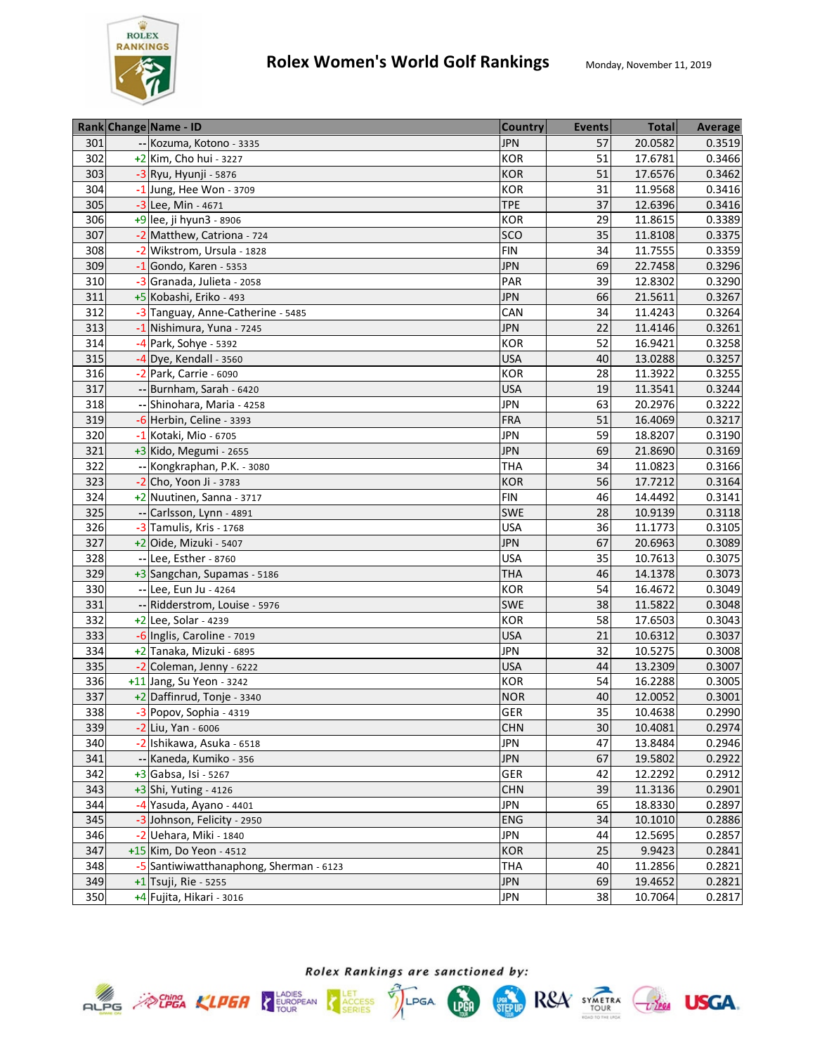

|     | Rank Change Name - ID                   | <b>Country</b> | <b>Events</b>   | <b>Total</b> | Average |
|-----|-----------------------------------------|----------------|-----------------|--------------|---------|
| 301 | -- Kozuma, Kotono - 3335                | <b>JPN</b>     | 57              | 20.0582      | 0.3519  |
| 302 | $+2$ Kim, Cho hui - 3227                | <b>KOR</b>     | 51              | 17.6781      | 0.3466  |
| 303 | $-3$ Ryu, Hyunji - 5876                 | <b>KOR</b>     | 51              | 17.6576      | 0.3462  |
| 304 | $\overline{-1}$ Jung, Hee Won - 3709    | <b>KOR</b>     | 31              | 11.9568      | 0.3416  |
| 305 | -3 Lee, Min - 4671                      | <b>TPE</b>     | 37              | 12.6396      | 0.3416  |
| 306 | +9 lee, ji hyun3 - 8906                 | KOR            | 29              | 11.8615      | 0.3389  |
| 307 | -2 Matthew, Catriona - 724              | SCO            | 35              | 11.8108      | 0.3375  |
| 308 | -2 Wikstrom, Ursula - 1828              | <b>FIN</b>     | 34              | 11.7555      | 0.3359  |
| 309 | $-1$ Gondo, Karen - 5353                | <b>JPN</b>     | 69              | 22.7458      | 0.3296  |
| 310 | -3 Granada, Julieta - 2058              | PAR            | 39              | 12.8302      | 0.3290  |
| 311 | +5 Kobashi, Eriko - 493                 | <b>JPN</b>     | 66              | 21.5611      | 0.3267  |
| 312 | -3 Tanguay, Anne-Catherine - 5485       | CAN            | 34              | 11.4243      | 0.3264  |
| 313 | -1 Nishimura, Yuna - 7245               | <b>JPN</b>     | 22              | 11.4146      | 0.3261  |
| 314 | -4 Park, Sohye - 5392                   | <b>KOR</b>     | 52              | 16.9421      | 0.3258  |
| 315 | -4 Dye, Kendall - 3560                  | <b>USA</b>     | 40              | 13.0288      | 0.3257  |
| 316 | -2 Park, Carrie - 6090                  | <b>KOR</b>     | 28              | 11.3922      | 0.3255  |
| 317 | -- Burnham, Sarah - 6420                | <b>USA</b>     | 19              | 11.3541      | 0.3244  |
| 318 | -- Shinohara, Maria - 4258              | <b>JPN</b>     | 63              | 20.2976      | 0.3222  |
| 319 | -6 Herbin, Celine - 3393                | <b>FRA</b>     | 51              | 16.4069      | 0.3217  |
| 320 | -1 Kotaki, Mio - 6705                   | <b>JPN</b>     | 59              | 18.8207      | 0.3190  |
| 321 | +3 Kido, Megumi - 2655                  | <b>JPN</b>     | 69              | 21.8690      | 0.3169  |
| 322 | -- Kongkraphan, P.K. - 3080             | <b>THA</b>     | 34              | 11.0823      | 0.3166  |
| 323 | $-2$ Cho, Yoon Ji - 3783                | <b>KOR</b>     | 56              | 17.7212      | 0.3164  |
| 324 | +2 Nuutinen, Sanna - 3717               | <b>FIN</b>     | 46              | 14.4492      | 0.3141  |
| 325 | -- Carlsson, Lynn - 4891                | <b>SWE</b>     | 28              | 10.9139      | 0.3118  |
| 326 | -3 Tamulis, Kris - 1768                 | <b>USA</b>     | 36              | 11.1773      | 0.3105  |
| 327 | +2 Oide, Mizuki - 5407                  | <b>JPN</b>     | 67              | 20.6963      | 0.3089  |
| 328 | -- Lee, Esther - 8760                   | <b>USA</b>     | 35              | 10.7613      | 0.3075  |
| 329 | +3 Sangchan, Supamas - 5186             | <b>THA</b>     | 46              | 14.1378      | 0.3073  |
| 330 | -- Lee, Eun Ju - 4264                   | KOR            | 54              | 16.4672      | 0.3049  |
| 331 | -- Ridderstrom, Louise - 5976           | <b>SWE</b>     | 38              | 11.5822      | 0.3048  |
| 332 | +2 Lee, Solar - 4239                    | <b>KOR</b>     | 58              | 17.6503      | 0.3043  |
| 333 | -6 Inglis, Caroline - 7019              | <b>USA</b>     | 21              | 10.6312      | 0.3037  |
| 334 | +2 Tanaka, Mizuki - 6895                | <b>JPN</b>     | $\overline{32}$ | 10.5275      | 0.3008  |
| 335 | -2 Coleman, Jenny - 6222                | <b>USA</b>     | 44              | 13.2309      | 0.3007  |
| 336 | +11 Jang, Su Yeon - 3242                | KOR            | 54              | 16.2288      | 0.3005  |
| 337 | +2 Daffinrud, Tonje - 3340              | <b>NOR</b>     | 40              | 12.0052      | 0.3001  |
| 338 | -3 Popov, Sophia - 4319                 | <b>GER</b>     | 35              | 10.4638      | 0.2990  |
| 339 | -2 Liu, Yan - 6006                      | <b>CHN</b>     | 30              | 10.4081      | 0.2974  |
| 340 | -2 Ishikawa, Asuka - 6518               | <b>JPN</b>     | 47              | 13.8484      | 0.2946  |
| 341 | -- Kaneda, Kumiko - 356                 | <b>JPN</b>     | 67              | 19.5802      | 0.2922  |
| 342 | +3 Gabsa, Isi - 5267                    | GER            | 42              | 12.2292      | 0.2912  |
| 343 | +3 Shi, Yuting - 4126                   | <b>CHN</b>     | 39              | 11.3136      | 0.2901  |
| 344 | -4 Yasuda, Ayano - 4401                 | JPN            | 65              | 18.8330      | 0.2897  |
| 345 | -3 Johnson, Felicity - 2950             | <b>ENG</b>     | 34              | 10.1010      | 0.2886  |
| 346 | -2 Uehara, Miki - 1840                  | JPN            | 44              | 12.5695      | 0.2857  |
| 347 | +15 Kim, Do Yeon - 4512                 | <b>KOR</b>     | 25              | 9.9423       | 0.2841  |
| 348 | -5 Santiwiwatthanaphong, Sherman - 6123 | <b>THA</b>     | 40              | 11.2856      | 0.2821  |
| 349 | +1 Tsuji, Rie - 5255                    | <b>JPN</b>     | 69              | 19.4652      | 0.2821  |
| 350 | +4 Fujita, Hikari - 3016                | <b>JPN</b>     | 38              | 10.7064      | 0.2817  |







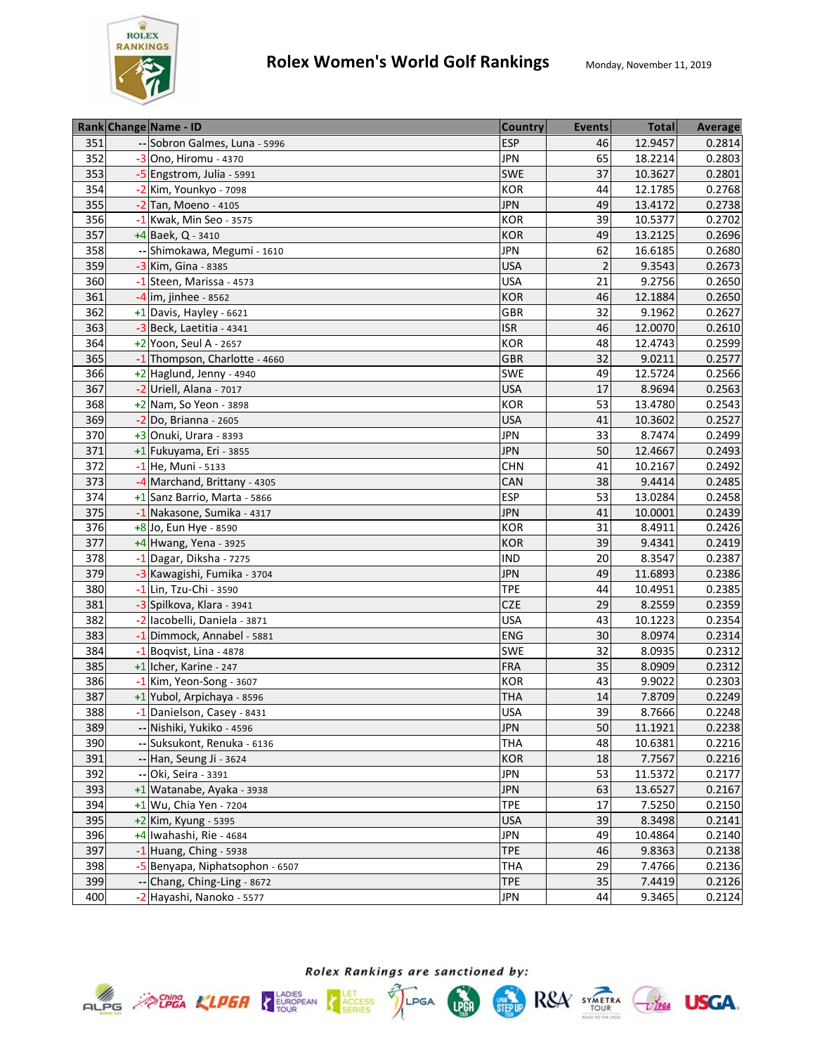

|     | Rank Change Name - ID           | <b>Country</b> | <b>Events</b>  | <b>Total</b> | <b>Average</b> |
|-----|---------------------------------|----------------|----------------|--------------|----------------|
| 351 | -- Sobron Galmes, Luna - 5996   | <b>ESP</b>     | 46             | 12.9457      | 0.2814         |
| 352 | $-3$ Ono, Hiromu - 4370         | <b>JPN</b>     | 65             | 18.2214      | 0.2803         |
| 353 | -5 Engstrom, Julia - 5991       | SWE            | 37             | 10.3627      | 0.2801         |
| 354 | -2 Kim, Younkyo - 7098          | KOR            | 44             | 12.1785      | 0.2768         |
| 355 | -2 Tan, Moeno - 4105            | <b>JPN</b>     | 49             | 13.4172      | 0.2738         |
| 356 | -1 Kwak, Min Seo - 3575         | <b>KOR</b>     | 39             | 10.5377      | 0.2702         |
| 357 | $+4$ Baek, Q - 3410             | <b>KOR</b>     | 49             | 13.2125      | 0.2696         |
| 358 | -- Shimokawa, Megumi - 1610     | <b>JPN</b>     | 62             | 16.6185      | 0.2680         |
| 359 | -3 Kim, Gina - 8385             | <b>USA</b>     | $\overline{2}$ | 9.3543       | 0.2673         |
| 360 | -1 Steen, Marissa - 4573        | <b>USA</b>     | 21             | 9.2756       | 0.2650         |
| 361 | $-4$ im, jinhee - 8562          | <b>KOR</b>     | 46             | 12.1884      | 0.2650         |
| 362 | $+1$ Davis, Hayley - 6621       | GBR            | 32             | 9.1962       | 0.2627         |
| 363 | -3 Beck, Laetitia - 4341        | <b>ISR</b>     | 46             | 12.0070      | 0.2610         |
| 364 | $+2$ Yoon, Seul A - 2657        | <b>KOR</b>     | 48             | 12.4743      | 0.2599         |
| 365 | -1 Thompson, Charlotte - 4660   | <b>GBR</b>     | 32             | 9.0211       | 0.2577         |
| 366 | +2 Haglund, Jenny - 4940        | <b>SWE</b>     | 49             | 12.5724      | 0.2566         |
| 367 | -2 Uriell, Alana - 7017         | <b>USA</b>     | 17             | 8.9694       | 0.2563         |
| 368 | +2 Nam, So Yeon - 3898          | KOR            | 53             | 13.4780      | 0.2543         |
| 369 | -2 Do, Brianna - 2605           | <b>USA</b>     | 41             | 10.3602      | 0.2527         |
| 370 | +3 Onuki, Urara - 8393          | <b>JPN</b>     | 33             | 8.7474       | 0.2499         |
| 371 | +1 Fukuyama, Eri - 3855         | <b>JPN</b>     | 50             | 12.4667      | 0.2493         |
| 372 | -1 He, Muni - 5133              | <b>CHN</b>     | 41             | 10.2167      | 0.2492         |
| 373 | -4 Marchand, Brittany - 4305    | CAN            | 38             | 9.4414       | 0.2485         |
| 374 | +1 Sanz Barrio, Marta - 5866    | <b>ESP</b>     | 53             | 13.0284      | 0.2458         |
| 375 | -1 Nakasone, Sumika - 4317      | <b>JPN</b>     | 41             | 10.0001      | 0.2439         |
| 376 | +8 Jo, Eun Hye - 8590           | <b>KOR</b>     | 31             | 8.4911       | 0.2426         |
| 377 | $+4$ Hwang, Yena - 3925         | <b>KOR</b>     | 39             | 9.4341       | 0.2419         |
| 378 | -1 Dagar, Diksha - 7275         | <b>IND</b>     | 20             | 8.3547       | 0.2387         |
| 379 | -3 Kawagishi, Fumika - 3704     | <b>JPN</b>     | 49             | 11.6893      | 0.2386         |
| 380 | -1 Lin, Tzu-Chi - 3590          | <b>TPE</b>     | 44             | 10.4951      | 0.2385         |
| 381 | -3 Spilkova, Klara - 3941       | <b>CZE</b>     | 29             | 8.2559       | 0.2359         |
| 382 | -2 lacobelli, Daniela - 3871    | <b>USA</b>     | 43             | 10.1223      | 0.2354         |
| 383 | -1 Dimmock, Annabel - 5881      | <b>ENG</b>     | 30             | 8.0974       | 0.2314         |
| 384 | $-1$ Boqvist, Lina - 4878       | <b>SWE</b>     | 32             | 8.0935       | 0.2312         |
| 385 | +1 Icher, Karine - 247          | <b>FRA</b>     | 35             | 8.0909       | 0.2312         |
| 386 | $-1$ Kim, Yeon-Song - 3607      | <b>KOR</b>     | 43             | 9.9022       | 0.2303         |
| 387 | +1 Yubol, Arpichaya - 8596      | <b>THA</b>     | 14             | 7.8709       | 0.2249         |
| 388 | -1 Danielson, Casey - 8431      | <b>USA</b>     | 39             | 8.7666       | 0.2248         |
| 389 | -- Nishiki, Yukiko - 4596       | <b>JPN</b>     | 50             | 11.1921      | 0.2238         |
| 390 | -- Suksukont, Renuka - 6136     | <b>THA</b>     | 48             | 10.6381      | 0.2216         |
| 391 | -- Han, Seung Ji - 3624         | <b>KOR</b>     | 18             | 7.7567       | 0.2216         |
| 392 | -- Oki, Seira - 3391            | JPN            | 53             | 11.5372      | 0.2177         |
| 393 | $+1$ Watanabe, Ayaka - 3938     | <b>JPN</b>     | 63             | 13.6527      | 0.2167         |
| 394 | +1 Wu, Chia Yen - 7204          | <b>TPE</b>     | 17             | 7.5250       | 0.2150         |
| 395 | +2 Kim, Kyung - 5395            | <b>USA</b>     | 39             | 8.3498       | 0.2141         |
| 396 | +4 Iwahashi, Rie - 4684         | <b>JPN</b>     | 49             | 10.4864      | 0.2140         |
| 397 | $-1$ Huang, Ching - 5938        | <b>TPE</b>     | 46             | 9.8363       | 0.2138         |
| 398 | -5 Benyapa, Niphatsophon - 6507 | <b>THA</b>     | 29             | 7.4766       | 0.2136         |
| 399 | -- Chang, Ching-Ling - 8672     | <b>TPE</b>     | 35             | 7.4419       | 0.2126         |
| 400 | -2 Hayashi, Nanoko - 5577       | <b>JPN</b>     | 44             | 9.3465       | 0.2124         |



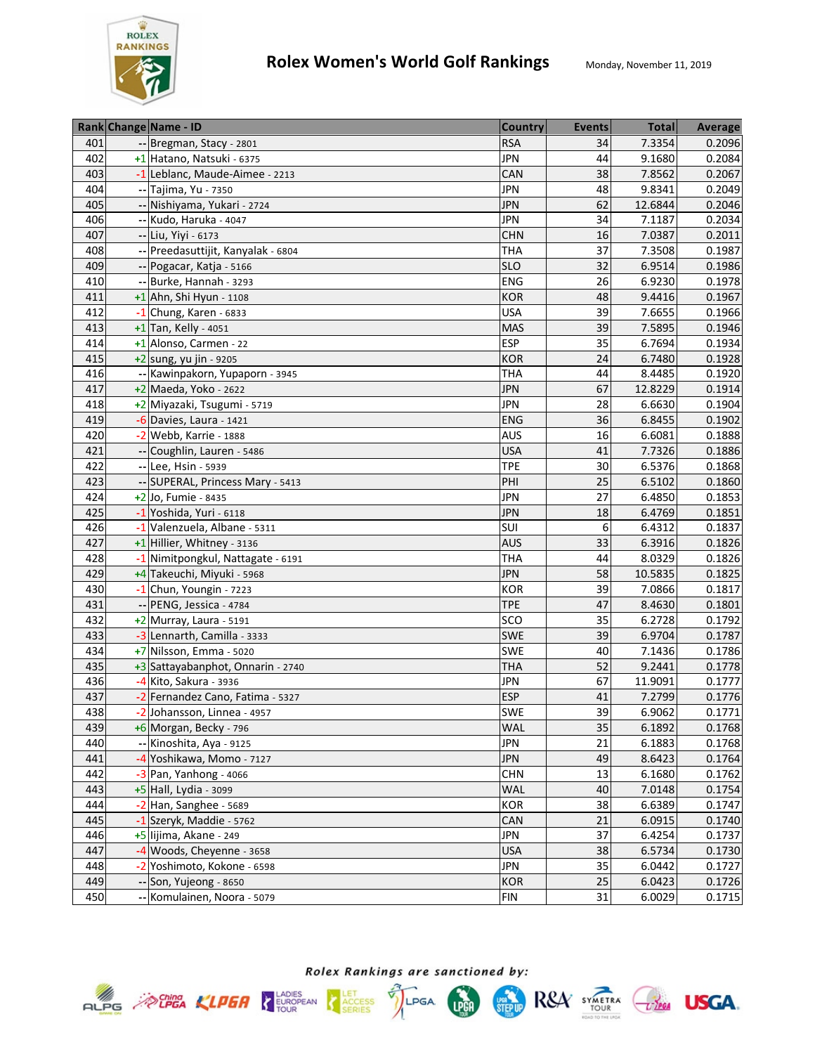

|     | Rank Change Name - ID              | <b>Country</b> | <b>Events</b> | <b>Total</b> | <b>Average</b> |
|-----|------------------------------------|----------------|---------------|--------------|----------------|
| 401 | -- Bregman, Stacy - 2801           | <b>RSA</b>     | 34            | 7.3354       | 0.2096         |
| 402 | +1 Hatano, Natsuki - 6375          | <b>JPN</b>     | 44            | 9.1680       | 0.2084         |
| 403 | -1 Leblanc, Maude-Aimee - 2213     | CAN            | 38            | 7.8562       | 0.2067         |
| 404 | -- Tajima, Yu - 7350               | <b>JPN</b>     | 48            | 9.8341       | 0.2049         |
| 405 | -- Nishiyama, Yukari - 2724        | <b>JPN</b>     | 62            | 12.6844      | 0.2046         |
| 406 | -- Kudo, Haruka - 4047             | <b>JPN</b>     | 34            | 7.1187       | 0.2034         |
| 407 | -- Liu, Yiyi - 6173                | <b>CHN</b>     | 16            | 7.0387       | 0.2011         |
| 408 | -- Preedasuttijit, Kanyalak - 6804 | <b>THA</b>     | 37            | 7.3508       | 0.1987         |
| 409 | -- Pogacar, Katja - 5166           | <b>SLO</b>     | 32            | 6.9514       | 0.1986         |
| 410 | -- Burke, Hannah - 3293            | ENG            | 26            | 6.9230       | 0.1978         |
| 411 | $+1$ Ahn, Shi Hyun - 1108          | <b>KOR</b>     | 48            | 9.4416       | 0.1967         |
| 412 | $-1$ Chung, Karen - 6833           | <b>USA</b>     | 39            | 7.6655       | 0.1966         |
| 413 | $+1$ Tan, Kelly - 4051             | <b>MAS</b>     | 39            | 7.5895       | 0.1946         |
| 414 | +1 Alonso, Carmen - 22             | <b>ESP</b>     | 35            | 6.7694       | 0.1934         |
| 415 | $+2$ sung, yu jin - 9205           | <b>KOR</b>     | 24            | 6.7480       | 0.1928         |
| 416 | -- Kawinpakorn, Yupaporn - 3945    | <b>THA</b>     | 44            | 8.4485       | 0.1920         |
| 417 | $+2$ Maeda, Yoko - 2622            | <b>JPN</b>     | 67            | 12.8229      | 0.1914         |
| 418 | +2 Miyazaki, Tsugumi - 5719        | <b>JPN</b>     | 28            | 6.6630       | 0.1904         |
| 419 | $-6$ Davies, Laura - 1421          | <b>ENG</b>     | 36            | 6.8455       | 0.1902         |
| 420 | $-2$ Webb, Karrie - 1888           | <b>AUS</b>     | 16            | 6.6081       | 0.1888         |
| 421 | -- Coughlin, Lauren - 5486         | <b>USA</b>     | 41            | 7.7326       | 0.1886         |
| 422 | -- Lee, Hsin - 5939                | <b>TPE</b>     | 30            | 6.5376       | 0.1868         |
| 423 | -- SUPERAL, Princess Mary - 5413   | PHI            | 25            | 6.5102       | 0.1860         |
| 424 | +2 Jo, Fumie - 8435                | <b>JPN</b>     | 27            | 6.4850       | 0.1853         |
| 425 | -1 Yoshida, Yuri - 6118            | <b>JPN</b>     | 18            | 6.4769       | 0.1851         |
| 426 | -1 Valenzuela, Albane - 5311       | SUI            | 6             | 6.4312       | 0.1837         |
| 427 | +1 Hillier, Whitney - 3136         | <b>AUS</b>     | 33            | 6.3916       | 0.1826         |
| 428 | -1 Nimitpongkul, Nattagate - 6191  | <b>THA</b>     | 44            | 8.0329       | 0.1826         |
| 429 | +4 Takeuchi, Miyuki - 5968         | <b>JPN</b>     | 58            | 10.5835      | 0.1825         |
| 430 | $-1$ Chun, Youngin - 7223          | <b>KOR</b>     | 39            | 7.0866       | 0.1817         |
| 431 | -- PENG, Jessica - 4784            | <b>TPE</b>     | 47            | 8.4630       | 0.1801         |
| 432 | +2 Murray, Laura - 5191            | SCO            | 35            | 6.2728       | 0.1792         |
| 433 | -3 Lennarth, Camilla - 3333        | SWE            | 39            | 6.9704       | 0.1787         |
| 434 | +7 Nilsson, Emma - 5020            | SWE            | 40            | 7.1436       | 0.1786         |
| 435 | +3 Sattayabanphot, Onnarin - 2740  | <b>THA</b>     | 52            | 9.2441       | 0.1778         |
| 436 | $-4$ Kito, Sakura - 3936           | <b>JPN</b>     | 67            | 11.9091      | 0.1777         |
| 437 | -2 Fernandez Cano, Fatima - 5327   | <b>ESP</b>     | 41            | 7.2799       | 0.1776         |
| 438 | -2 Johansson, Linnea - 4957        | SWE            | 39            | 6.9062       | 0.1771         |
| 439 | +6 Morgan, Becky - 796             | <b>WAL</b>     | 35            | 6.1892       | 0.1768         |
| 440 | -- Kinoshita, Aya - 9125           | <b>JPN</b>     | 21            | 6.1883       | 0.1768         |
| 441 | -4 Yoshikawa, Momo - 7127          | <b>JPN</b>     | 49            | 8.6423       | 0.1764         |
| 442 | $-3$ Pan, Yanhong - 4066           | <b>CHN</b>     | 13            | 6.1680       | 0.1762         |
| 443 | +5 Hall, Lydia - 3099              | WAL            | 40            | 7.0148       | 0.1754         |
| 444 | $-2$ Han, Sanghee - 5689           | KOR            | 38            | 6.6389       | 0.1747         |
| 445 | -1 Szeryk, Maddie - 5762           | CAN            | 21            | 6.0915       | 0.1740         |
| 446 | +5 lijima, Akane - 249             | <b>JPN</b>     | 37            | 6.4254       | 0.1737         |
| 447 | -4 Woods, Cheyenne - 3658          | <b>USA</b>     | 38            | 6.5734       | 0.1730         |
| 448 | -2 Yoshimoto, Kokone - 6598        | <b>JPN</b>     | 35            | 6.0442       | 0.1727         |
| 449 | -- Son, Yujeong - 8650             | <b>KOR</b>     | 25            | 6.0423       | 0.1726         |
| 450 | -- Komulainen, Noora - 5079        | <b>FIN</b>     | 31            | 6.0029       | 0.1715         |



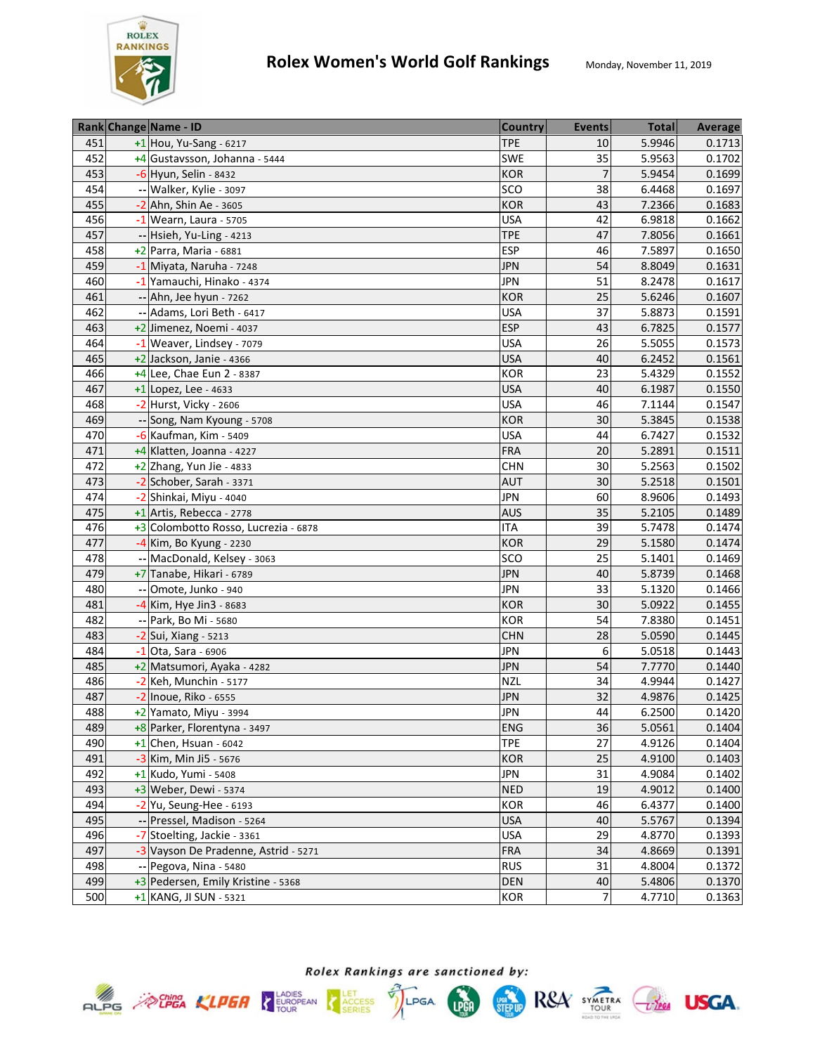

|     | Rank Change Name - ID                | <b>Country</b> | <b>Events</b>  | <b>Total</b> | Average |
|-----|--------------------------------------|----------------|----------------|--------------|---------|
| 451 | $+1$ Hou, Yu-Sang - 6217             | <b>TPE</b>     | 10             | 5.9946       | 0.1713  |
| 452 | +4 Gustavsson, Johanna - 5444        | <b>SWE</b>     | 35             | 5.9563       | 0.1702  |
| 453 | -6 Hyun, Selin - 8432                | <b>KOR</b>     | $\overline{7}$ | 5.9454       | 0.1699  |
| 454 | -- Walker, Kylie - 3097              | SCO            | 38             | 6.4468       | 0.1697  |
| 455 | -2 Ahn, Shin Ae - 3605               | <b>KOR</b>     | 43             | 7.2366       | 0.1683  |
| 456 | $-1$ Wearn, Laura - 5705             | <b>USA</b>     | 42             | 6.9818       | 0.1662  |
| 457 | -- Hsieh, Yu-Ling - 4213             | <b>TPE</b>     | 47             | 7.8056       | 0.1661  |
| 458 | +2 Parra, Maria - 6881               | <b>ESP</b>     | 46             | 7.5897       | 0.1650  |
| 459 | -1 Miyata, Naruha - 7248             | <b>JPN</b>     | 54             | 8.8049       | 0.1631  |
| 460 | -1 Yamauchi, Hinako - 4374           | <b>JPN</b>     | 51             | 8.2478       | 0.1617  |
| 461 | -- Ahn, Jee hyun - 7262              | <b>KOR</b>     | 25             | 5.6246       | 0.1607  |
| 462 | -- Adams, Lori Beth - 6417           | <b>USA</b>     | 37             | 5.8873       | 0.1591  |
| 463 | +2 Jimenez, Noemi - 4037             | <b>ESP</b>     | 43             | 6.7825       | 0.1577  |
| 464 | -1 Weaver, Lindsey - 7079            | <b>USA</b>     | 26             | 5.5055       | 0.1573  |
| 465 | $+2$ Jackson, Janie - 4366           | <b>USA</b>     | 40             | 6.2452       | 0.1561  |
| 466 | $+4$ Lee, Chae Eun 2 - 8387          | <b>KOR</b>     | 23             | 5.4329       | 0.1552  |
| 467 | $+1$ Lopez, Lee - 4633               | <b>USA</b>     | 40             | 6.1987       | 0.1550  |
| 468 | -2 Hurst, Vicky - 2606               | <b>USA</b>     | 46             | 7.1144       | 0.1547  |
| 469 | -- Song, Nam Kyoung - 5708           | <b>KOR</b>     | 30             | 5.3845       | 0.1538  |
| 470 | $-6$ Kaufman, Kim - 5409             | <b>USA</b>     | 44             | 6.7427       | 0.1532  |
| 471 | +4 Klatten, Joanna - 4227            | <b>FRA</b>     | 20             | 5.2891       | 0.1511  |
| 472 | $+2$ Zhang, Yun Jie - 4833           | <b>CHN</b>     | 30             | 5.2563       | 0.1502  |
| 473 | -2 Schober, Sarah - 3371             | <b>AUT</b>     | 30             | 5.2518       | 0.1501  |
| 474 | -2 Shinkai, Miyu - 4040              | <b>JPN</b>     | 60             | 8.9606       | 0.1493  |
| 475 | +1 Artis, Rebecca - 2778             | <b>AUS</b>     | 35             | 5.2105       | 0.1489  |
| 476 | +3 Colombotto Rosso, Lucrezia - 6878 | <b>ITA</b>     | 39             | 5.7478       | 0.1474  |
| 477 | $-4$ Kim, Bo Kyung - 2230            | <b>KOR</b>     | 29             | 5.1580       | 0.1474  |
| 478 | -- MacDonald, Kelsey - 3063          | SCO            | 25             | 5.1401       | 0.1469  |
| 479 | +7 Tanabe, Hikari - 6789             | <b>JPN</b>     | 40             | 5.8739       | 0.1468  |
| 480 | Omote, Junko - 940                   | <b>JPN</b>     | 33             | 5.1320       | 0.1466  |
| 481 | -4 Kim, Hye Jin3 - 8683              | <b>KOR</b>     | 30             | 5.0922       | 0.1455  |
| 482 | -- Park, Bo Mi - 5680                | <b>KOR</b>     | 54             | 7.8380       | 0.1451  |
| 483 | -2 Sui, Xiang - 5213                 | <b>CHN</b>     | 28             | 5.0590       | 0.1445  |
| 484 | Ota, Sara - 6906                     | <b>JPN</b>     | 6              | 5.0518       | 0.1443  |
| 485 | +2 Matsumori, Ayaka - 4282           | <b>JPN</b>     | 54             | 7.7770       | 0.1440  |
| 486 | -2 Keh, Munchin - 5177               | <b>NZL</b>     | 34             | 4.9944       | 0.1427  |
| 487 | $-2$ Inoue, Riko - 6555              | <b>JPN</b>     | 32             | 4.9876       | 0.1425  |
| 488 | +2 Yamato, Miyu - 3994               | <b>JPN</b>     | 44             | 6.2500       | 0.1420  |
| 489 | +8 Parker, Florentyna - 3497         | <b>ENG</b>     | 36             | 5.0561       | 0.1404  |
| 490 | $+1$ Chen, Hsuan - 6042              | <b>TPE</b>     | 27             | 4.9126       | 0.1404  |
| 491 | -3 Kim, Min Ji5 - 5676               | <b>KOR</b>     | 25             | 4.9100       | 0.1403  |
| 492 | $+1$ Kudo, Yumi - 5408               | <b>JPN</b>     | 31             | 4.9084       | 0.1402  |
| 493 | +3 Weber, Dewi - 5374                | <b>NED</b>     | 19             | 4.9012       | 0.1400  |
| 494 | $-2$ Yu, Seung-Hee - 6193            | <b>KOR</b>     | 46             | 6.4377       | 0.1400  |
| 495 | -- Pressel, Madison - 5264           | <b>USA</b>     | 40             | 5.5767       | 0.1394  |
| 496 | -7 Stoelting, Jackie - 3361          | <b>USA</b>     | 29             | 4.8770       | 0.1393  |
| 497 | -3 Vayson De Pradenne, Astrid - 5271 | <b>FRA</b>     | 34             | 4.8669       | 0.1391  |
| 498 | -- Pegova, Nina - 5480               | <b>RUS</b>     | 31             | 4.8004       | 0.1372  |
| 499 | +3 Pedersen, Emily Kristine - 5368   | <b>DEN</b>     | 40             | 5.4806       | 0.1370  |
| 500 | +1 KANG, JI SUN - 5321               | <b>KOR</b>     | 7              | 4.7710       | 0.1363  |









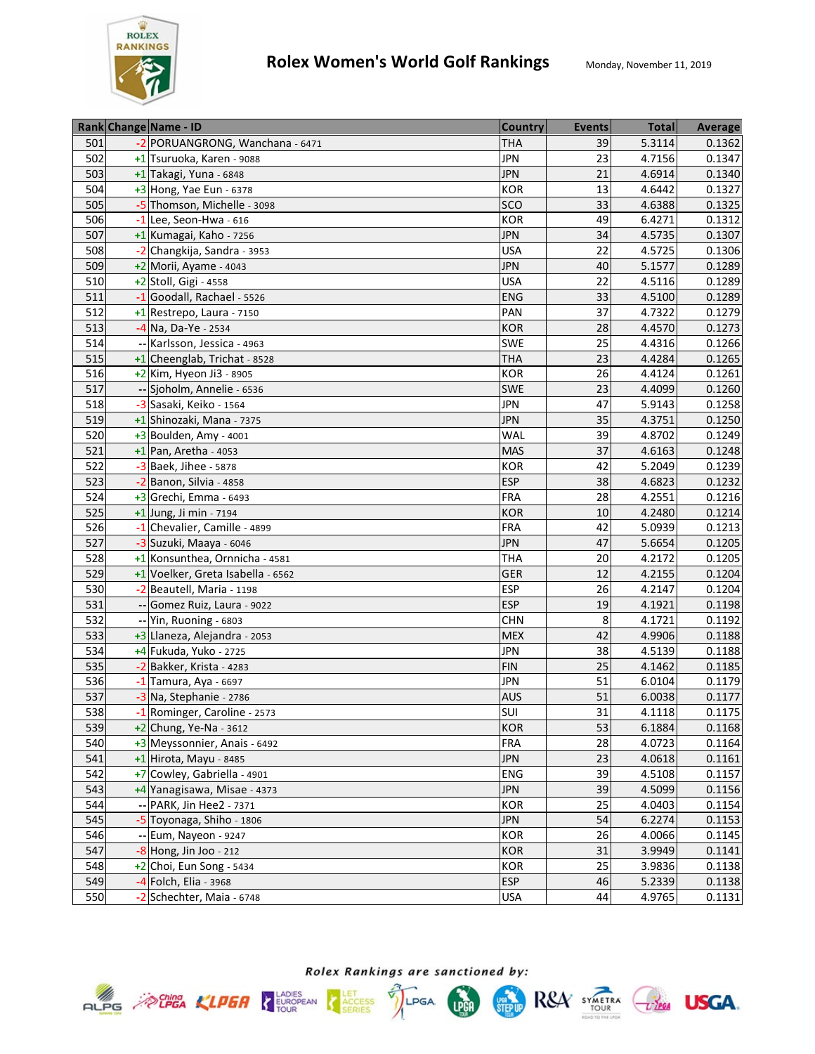

|     | Rank Change Name - ID             | <b>Country</b> | <b>Events</b> | <b>Total</b> | <b>Average</b> |
|-----|-----------------------------------|----------------|---------------|--------------|----------------|
| 501 | -2 PORUANGRONG, Wanchana - 6471   | THA            | 39            | 5.3114       | 0.1362         |
| 502 | +1 Tsuruoka, Karen - 9088         | <b>JPN</b>     | 23            | 4.7156       | 0.1347         |
| 503 | $+1$ Takagi, Yuna - 6848          | <b>JPN</b>     | 21            | 4.6914       | 0.1340         |
| 504 | $+3$ Hong, Yae Eun - 6378         | <b>KOR</b>     | 13            | 4.6442       | 0.1327         |
| 505 | -5 Thomson, Michelle - 3098       | <b>SCO</b>     | 33            | 4.6388       | 0.1325         |
| 506 | $-1$ Lee, Seon-Hwa - 616          | <b>KOR</b>     | 49            | 6.4271       | 0.1312         |
| 507 | +1 Kumagai, Kaho - 7256           | <b>JPN</b>     | 34            | 4.5735       | 0.1307         |
| 508 | -2 Changkija, Sandra - 3953       | <b>USA</b>     | 22            | 4.5725       | 0.1306         |
| 509 | $+2$ Morii, Ayame - 4043          | <b>JPN</b>     | 40            | 5.1577       | 0.1289         |
| 510 | +2 Stoll, Gigi - 4558             | <b>USA</b>     | 22            | 4.5116       | 0.1289         |
| 511 | -1 Goodall, Rachael - 5526        | <b>ENG</b>     | 33            | 4.5100       | 0.1289         |
| 512 | $+1$ Restrepo, Laura - 7150       | PAN            | 37            | 4.7322       | 0.1279         |
| 513 | $-4$ Na, Da-Ye - 2534             | <b>KOR</b>     | 28            | 4.4570       | 0.1273         |
| 514 | -- Karlsson, Jessica - 4963       | <b>SWE</b>     | 25            | 4.4316       | 0.1266         |
| 515 | +1 Cheenglab, Trichat - 8528      | <b>THA</b>     | 23            | 4.4284       | 0.1265         |
| 516 | $+2$ Kim, Hyeon Ji3 - 8905        | <b>KOR</b>     | 26            | 4.4124       | 0.1261         |
| 517 | -- Sjoholm, Annelie - 6536        | <b>SWE</b>     | 23            | 4.4099       | 0.1260         |
| 518 | -3 Sasaki, Keiko - 1564           | <b>JPN</b>     | 47            | 5.9143       | 0.1258         |
| 519 | +1 Shinozaki, Mana - 7375         | <b>JPN</b>     | 35            | 4.3751       | 0.1250         |
| 520 | +3 Boulden, Amy - 4001            | WAL            | 39            | 4.8702       | 0.1249         |
| 521 | $+1$ Pan, Aretha - 4053           | <b>MAS</b>     | 37            | 4.6163       | 0.1248         |
| 522 | -3 Baek, Jihee - 5878             | <b>KOR</b>     | 42            | 5.2049       | 0.1239         |
| 523 | -2 Banon, Silvia - 4858           | <b>ESP</b>     | 38            | 4.6823       | 0.1232         |
| 524 | $+3$ Grechi, Emma - 6493          | <b>FRA</b>     | 28            | 4.2551       | 0.1216         |
| 525 | +1 Jung, Ji min - 7194            | <b>KOR</b>     | 10            | 4.2480       | 0.1214         |
| 526 | -1 Chevalier, Camille - 4899      | <b>FRA</b>     | 42            | 5.0939       | 0.1213         |
| 527 | -3 Suzuki, Maaya - 6046           | <b>JPN</b>     | 47            | 5.6654       | 0.1205         |
| 528 | +1 Konsunthea, Ornnicha - 4581    | <b>THA</b>     | 20            | 4.2172       | 0.1205         |
| 529 | +1 Voelker, Greta Isabella - 6562 | <b>GER</b>     | 12            | 4.2155       | 0.1204         |
| 530 | -2 Beautell, Maria - 1198         | <b>ESP</b>     | 26            | 4.2147       | 0.1204         |
| 531 | -- Gomez Ruiz, Laura - 9022       | <b>ESP</b>     | 19            | 4.1921       | 0.1198         |
| 532 | -- Yin, Ruoning - 6803            | <b>CHN</b>     | 8             | 4.1721       | 0.1192         |
| 533 | +3 Llaneza, Alejandra - 2053      | <b>MEX</b>     | 42            | 4.9906       | 0.1188         |
| 534 | +4 Fukuda, Yuko - 2725            | <b>JPN</b>     | 38            | 4.5139       | 0.1188         |
| 535 | -2 Bakker, Krista - 4283          | <b>FIN</b>     | 25            | 4.1462       | 0.1185         |
| 536 | $-1$ Tamura, Aya - 6697           | <b>JPN</b>     | 51            | 6.0104       | 0.1179         |
| 537 | -3 Na, Stephanie - 2786           | <b>AUS</b>     | 51            | 6.0038       | 0.1177         |
| 538 | -1 Rominger, Caroline - 2573      | SUI            | 31            | 4.1118       | 0.1175         |
| 539 | $+2$ Chung, Ye-Na - 3612          | <b>KOR</b>     | 53            | 6.1884       | 0.1168         |
| 540 | +3 Meyssonnier, Anais - 6492      | <b>FRA</b>     | 28            | 4.0723       | 0.1164         |
| 541 | $+1$ Hirota, Mayu - 8485          | <b>JPN</b>     | 23            | 4.0618       | 0.1161         |
| 542 | +7 Cowley, Gabriella - 4901       | <b>ENG</b>     | 39            | 4.5108       | 0.1157         |
| 543 | +4 Yanagisawa, Misae - 4373       | <b>JPN</b>     | 39            | 4.5099       | 0.1156         |
| 544 | -- PARK, Jin Hee2 - 7371          | KOR            | 25            | 4.0403       | 0.1154         |
| 545 | -5 Toyonaga, Shiho - 1806         | <b>JPN</b>     | 54            | 6.2274       | 0.1153         |
| 546 | -- Eum, Nayeon - 9247             | KOR            | 26            | 4.0066       | 0.1145         |
| 547 | $-8$ Hong, Jin Joo - 212          | <b>KOR</b>     | 31            | 3.9949       | 0.1141         |
| 548 | +2 Choi, Eun Song - 5434          | <b>KOR</b>     | 25            | 3.9836       | 0.1138         |
| 549 | -4 Folch, Elia - 3968             | <b>ESP</b>     | 46            | 5.2339       | 0.1138         |
| 550 | -2 Schechter, Maia - 6748         | <b>USA</b>     | 44            | 4.9765       | 0.1131         |



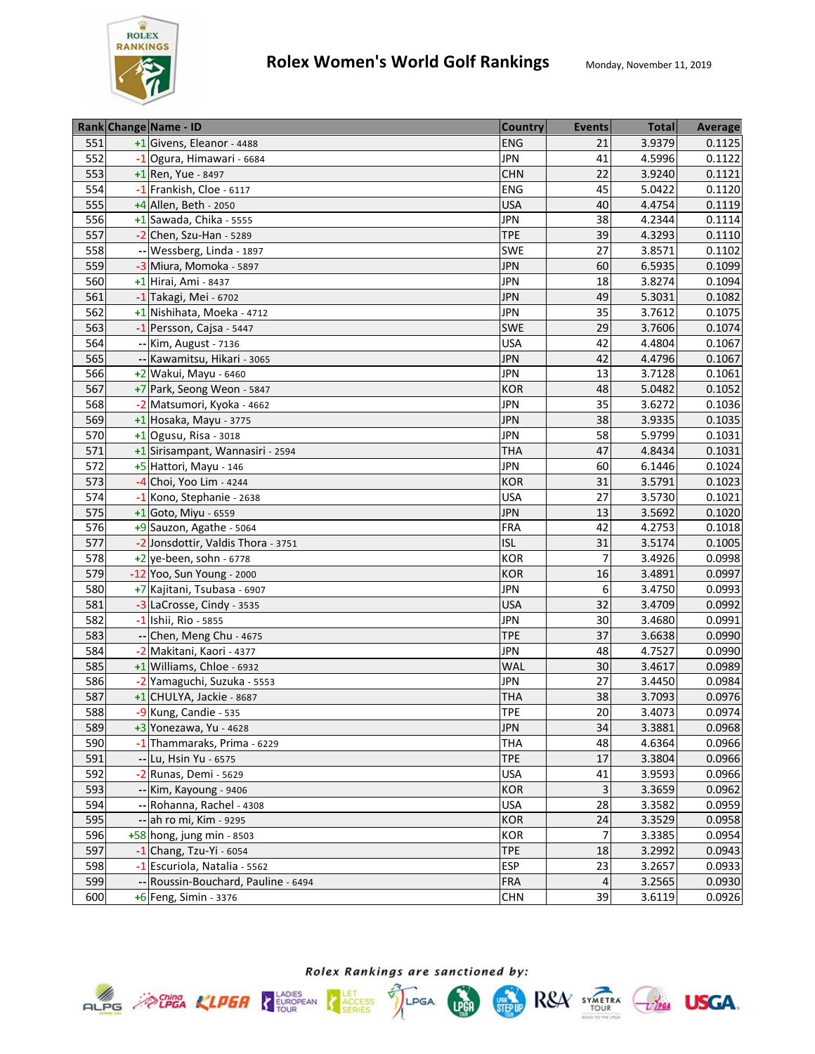

|     | Rank Change Name - ID               | <b>Country</b> | <b>Events</b>  | <b>Total</b> | <b>Average</b> |
|-----|-------------------------------------|----------------|----------------|--------------|----------------|
| 551 | +1 Givens, Eleanor - 4488           | <b>ENG</b>     | 21             | 3.9379       | 0.1125         |
| 552 | -1 Ogura, Himawari - 6684           | <b>JPN</b>     | 41             | 4.5996       | 0.1122         |
| 553 | +1 Ren, Yue - 8497                  | <b>CHN</b>     | 22             | 3.9240       | 0.1121         |
| 554 | -1 Frankish, Cloe - 6117            | <b>ENG</b>     | 45             | 5.0422       | 0.1120         |
| 555 | +4 Allen, Beth - 2050               | <b>USA</b>     | 40             | 4.4754       | 0.1119         |
| 556 | $+1$ Sawada, Chika - 5555           | <b>JPN</b>     | 38             | 4.2344       | 0.1114         |
| 557 | $-2$ Chen, Szu-Han - 5289           | <b>TPE</b>     | 39             | 4.3293       | 0.1110         |
| 558 | -- Wessberg, Linda - 1897           | <b>SWE</b>     | 27             | 3.8571       | 0.1102         |
| 559 | -3 Miura, Momoka - 5897             | <b>JPN</b>     | 60             | 6.5935       | 0.1099         |
| 560 | +1 Hirai, Ami - 8437                | <b>JPN</b>     | 18             | 3.8274       | 0.1094         |
| 561 | -1 Takagi, Mei - 6702               | <b>JPN</b>     | 49             | 5.3031       | 0.1082         |
| 562 | +1 Nishihata, Moeka - 4712          | <b>JPN</b>     | 35             | 3.7612       | 0.1075         |
| 563 | -1 Persson, Cajsa - 5447            | <b>SWE</b>     | 29             | 3.7606       | 0.1074         |
| 564 | -- Kim, August - 7136               | <b>USA</b>     | 42             | 4.4804       | 0.1067         |
| 565 | -- Kawamitsu, Hikari - 3065         | <b>JPN</b>     | 42             | 4.4796       | 0.1067         |
| 566 | +2 Wakui, Mayu - 6460               | <b>JPN</b>     | 13             | 3.7128       | 0.1061         |
| 567 | +7 Park, Seong Weon - 5847          | <b>KOR</b>     | 48             | 5.0482       | 0.1052         |
| 568 | -2 Matsumori, Kyoka - 4662          | <b>JPN</b>     | 35             | 3.6272       | 0.1036         |
| 569 | $+1$ Hosaka, Mayu - 3775            | <b>JPN</b>     | 38             | 3.9335       | 0.1035         |
| 570 | $+1$ Ogusu, Risa - 3018             | <b>JPN</b>     | 58             | 5.9799       | 0.1031         |
| 571 | +1 Sirisampant, Wannasiri - 2594    | <b>THA</b>     | 47             | 4.8434       | 0.1031         |
| 572 | +5 Hattori, Mayu - 146              | <b>JPN</b>     | 60             | 6.1446       | 0.1024         |
| 573 | -4 Choi, Yoo Lim - 4244             | <b>KOR</b>     | 31             | 3.5791       | 0.1023         |
| 574 | -1 Kono, Stephanie - 2638           | <b>USA</b>     | 27             | 3.5730       | 0.1021         |
| 575 | $+1$ Goto, Miyu - 6559              | <b>JPN</b>     | 13             | 3.5692       | 0.1020         |
| 576 | +9 Sauzon, Agathe - 5064            | <b>FRA</b>     | 42             | 4.2753       | 0.1018         |
| 577 | -2 Jonsdottir, Valdis Thora - 3751  | <b>ISL</b>     | 31             | 3.5174       | 0.1005         |
| 578 | $+2$ ye-been, sohn - 6778           | <b>KOR</b>     | $\overline{7}$ | 3.4926       | 0.0998         |
| 579 | -12 Yoo, Sun Young - 2000           | <b>KOR</b>     | 16             | 3.4891       | 0.0997         |
| 580 | +7 Kajitani, Tsubasa - 6907         | <b>JPN</b>     | 6              | 3.4750       | 0.0993         |
| 581 | -3 LaCrosse, Cindy - 3535           | <b>USA</b>     | 32             | 3.4709       | 0.0992         |
| 582 | -1 Ishii, Rio - 5855                | <b>JPN</b>     | 30             | 3.4680       | 0.0991         |
| 583 | -- Chen, Meng Chu - 4675            | <b>TPE</b>     | 37             | 3.6638       | 0.0990         |
| 584 | -2 Makitani, Kaori - 4377           | <b>JPN</b>     | 48             | 4.7527       | 0.0990         |
| 585 | +1 Williams, Chloe - 6932           | <b>WAL</b>     | 30             | 3.4617       | 0.0989         |
| 586 | -2 Yamaguchi, Suzuka - 5553         | <b>JPN</b>     | 27             | 3.4450       | 0.0984         |
| 587 | +1 CHULYA, Jackie - 8687            | <b>THA</b>     | 38             | 3.7093       | 0.0976         |
| 588 | -9 Kung, Candie - 535               | <b>TPE</b>     | 20             | 3.4073       | 0.0974         |
| 589 | $+3$ Yonezawa, Yu - 4628            | <b>JPN</b>     | 34             | 3.3881       | 0.0968         |
| 590 | -1 Thammaraks, Prima - 6229         | THA            | 48             | 4.6364       | 0.0966         |
| 591 | -- Lu, Hsin Yu - 6575               | <b>TPE</b>     | 17             | 3.3804       | 0.0966         |
| 592 | -2 Runas, Demi - 5629               | <b>USA</b>     | 41             | 3.9593       | 0.0966         |
| 593 | -- Kim, Kayoung - 9406              | <b>KOR</b>     | $\mathbf{3}$   | 3.3659       | 0.0962         |
| 594 | -- Rohanna, Rachel - 4308           | <b>USA</b>     | 28             | 3.3582       | 0.0959         |
| 595 | -- ah ro mi, Kim - 9295             | <b>KOR</b>     | 24             | 3.3529       | 0.0958         |
| 596 | $+58$ hong, jung min - 8503         | KOR            | $\overline{7}$ | 3.3385       | 0.0954         |
| 597 | $-1$ Chang, Tzu-Yi - 6054           | <b>TPE</b>     | 18             | 3.2992       | 0.0943         |
| 598 | -1 Escuriola, Natalia - 5562        | <b>ESP</b>     | 23             | 3.2657       | 0.0933         |
| 599 | -- Roussin-Bouchard, Pauline - 6494 | <b>FRA</b>     | $\overline{a}$ | 3.2565       | 0.0930         |
| 600 | $+6$ Feng, Simin - 3376             | <b>CHN</b>     | 39             | 3.6119       | 0.0926         |



Rolex Rankings are sanctioned by:





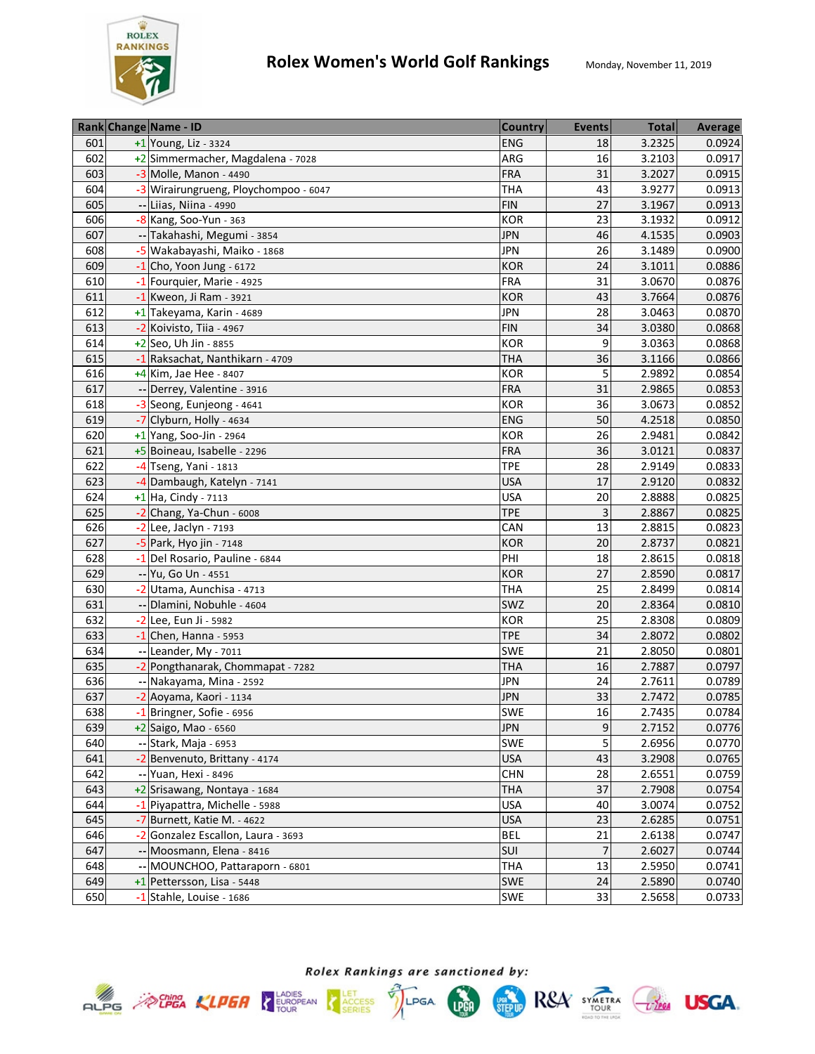

|     | Rank Change Name - ID                 | <b>Country</b> | <b>Events</b>   | <b>Total</b> | Average |
|-----|---------------------------------------|----------------|-----------------|--------------|---------|
| 601 | $+1$ Young, Liz - 3324                | <b>ENG</b>     | 18              | 3.2325       | 0.0924  |
| 602 | +2 Simmermacher, Magdalena - 7028     | ARG            | 16              | 3.2103       | 0.0917  |
| 603 | $-3$ Molle, Manon - 4490              | <b>FRA</b>     | 31              | 3.2027       | 0.0915  |
| 604 | -3 Wirairungrueng, Ploychompoo - 6047 | <b>THA</b>     | 43              | 3.9277       | 0.0913  |
| 605 | -- Liias, Niina - 4990                | <b>FIN</b>     | 27              | 3.1967       | 0.0913  |
| 606 | $-8$ Kang, Soo-Yun - 363              | <b>KOR</b>     | 23              | 3.1932       | 0.0912  |
| 607 | -- Takahashi, Megumi - 3854           | <b>JPN</b>     | 46              | 4.1535       | 0.0903  |
| 608 | -5 Wakabayashi, Maiko - 1868          | <b>JPN</b>     | 26              | 3.1489       | 0.0900  |
| 609 | $-1$ Cho, Yoon Jung - 6172            | <b>KOR</b>     | 24              | 3.1011       | 0.0886  |
| 610 | -1 Fourquier, Marie - 4925            | <b>FRA</b>     | 31              | 3.0670       | 0.0876  |
| 611 | -1 Kweon, Ji Ram - 3921               | <b>KOR</b>     | 43              | 3.7664       | 0.0876  |
| 612 | +1 Takeyama, Karin - 4689             | <b>JPN</b>     | 28              | 3.0463       | 0.0870  |
| 613 | -2 Koivisto, Tiia - 4967              | <b>FIN</b>     | 34              | 3.0380       | 0.0868  |
| 614 | +2 Seo, Uh Jin - 8855                 | KOR            | 9               | 3.0363       | 0.0868  |
| 615 | -1 Raksachat, Nanthikarn - 4709       | <b>THA</b>     | 36              | 3.1166       | 0.0866  |
| 616 | +4 Kim, Jae Hee - 8407                | <b>KOR</b>     | 5               | 2.9892       | 0.0854  |
| 617 | Derrey, Valentine - 3916              | <b>FRA</b>     | 31              | 2.9865       | 0.0853  |
| 618 | -3 Seong, Eunjeong - 4641             | <b>KOR</b>     | 36              | 3.0673       | 0.0852  |
| 619 | -7 Clyburn, Holly - 4634              | <b>ENG</b>     | 50              | 4.2518       | 0.0850  |
| 620 | $+1$ Yang, Soo-Jin - 2964             | <b>KOR</b>     | 26              | 2.9481       | 0.0842  |
| 621 | +5 Boineau, Isabelle - 2296           | <b>FRA</b>     | 36              | 3.0121       | 0.0837  |
| 622 | $-4$ Tseng, Yani - 1813               | <b>TPE</b>     | 28              | 2.9149       | 0.0833  |
| 623 | -4 Dambaugh, Katelyn - 7141           | <b>USA</b>     | 17              | 2.9120       | 0.0832  |
| 624 | +1 Ha, Cindy - 7113                   | <b>USA</b>     | 20              | 2.8888       | 0.0825  |
| 625 | -2 Chang, Ya-Chun - 6008              | <b>TPE</b>     | 3               | 2.8867       | 0.0825  |
| 626 | $-2$ Lee, Jaclyn - 7193               | CAN            | 13              | 2.8815       | 0.0823  |
| 627 | $-5$ Park, Hyo jin - 7148             | <b>KOR</b>     | 20              | 2.8737       | 0.0821  |
| 628 | -1 Del Rosario, Pauline - 6844        | PHI            | 18              | 2.8615       | 0.0818  |
| 629 | -- Yu, Go Un - 4551                   | <b>KOR</b>     | 27              | 2.8590       | 0.0817  |
| 630 | -2 Utama, Aunchisa - 4713             | THA            | 25              | 2.8499       | 0.0814  |
| 631 | -- Dlamini, Nobuhle - 4604            | SWZ            | 20              | 2.8364       | 0.0810  |
| 632 | -2 Lee, Eun Ji - 5982                 | <b>KOR</b>     | 25              | 2.8308       | 0.0809  |
| 633 | $-1$ Chen, Hanna - 5953               | <b>TPE</b>     | 34              | 2.8072       | 0.0802  |
| 634 | -- Leander, My - 7011                 | SWE            | $\overline{21}$ | 2.8050       | 0.0801  |
| 635 | -2 Pongthanarak, Chommapat - 7282     | <b>THA</b>     | 16              | 2.7887       | 0.0797  |
| 636 | -- Nakayama, Mina - 2592              | <b>JPN</b>     | 24              | 2.7611       | 0.0789  |
| 637 | -2 Aoyama, Kaori - 1134               | <b>JPN</b>     | 33              | 2.7472       | 0.0785  |
| 638 | -1 Bringner, Sofie - 6956             | SWE            | 16              | 2.7435       | 0.0784  |
| 639 | $+2$ Saigo, Mao - 6560                | <b>JPN</b>     | 9               | 2.7152       | 0.0776  |
| 640 | -- Stark, Maja - 6953                 | SWE            | 5               | 2.6956       | 0.0770  |
| 641 | -2 Benvenuto, Brittany - 4174         | <b>USA</b>     | 43              | 3.2908       | 0.0765  |
| 642 | -- Yuan, Hexi - 8496                  | <b>CHN</b>     | 28              | 2.6551       | 0.0759  |
| 643 | +2 Srisawang, Nontaya - 1684          | <b>THA</b>     | 37              | 2.7908       | 0.0754  |
| 644 | -1 Piyapattra, Michelle - 5988        | <b>USA</b>     | 40              | 3.0074       | 0.0752  |
| 645 | -7 Burnett, Katie M. - 4622           | <b>USA</b>     | 23              | 2.6285       | 0.0751  |
| 646 | -2 Gonzalez Escallon, Laura - 3693    | <b>BEL</b>     | 21              | 2.6138       | 0.0747  |
| 647 | -- Moosmann, Elena - 8416             | SUI            | $\overline{7}$  | 2.6027       | 0.0744  |
| 648 | MOUNCHOO, Pattaraporn - 6801          | THA            | 13              | 2.5950       | 0.0741  |
| 649 | +1 Pettersson, Lisa - 5448            | SWE            | 24              | 2.5890       | 0.0740  |
| 650 | -1 Stahle, Louise - 1686              | <b>SWE</b>     | 33              | 2.5658       | 0.0733  |







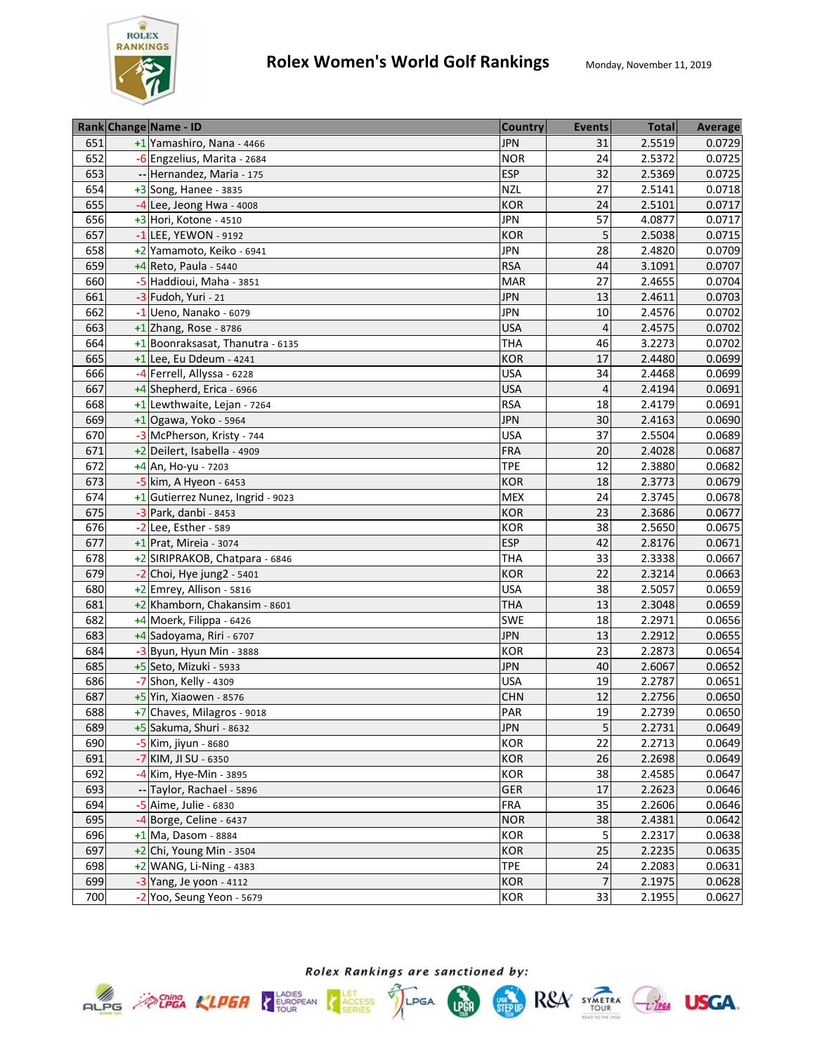

|     | Rank Change Name - ID             | <b>Country</b> | <b>Events</b>  | <b>Total</b> | Average |
|-----|-----------------------------------|----------------|----------------|--------------|---------|
| 651 | +1 Yamashiro, Nana - 4466         | <b>JPN</b>     | 31             | 2.5519       | 0.0729  |
| 652 | -6 Engzelius, Marita - 2684       | <b>NOR</b>     | 24             | 2.5372       | 0.0725  |
| 653 | -- Hernandez, Maria - 175         | <b>ESP</b>     | 32             | 2.5369       | 0.0725  |
| 654 | +3 Song, Hanee - 3835             | <b>NZL</b>     | 27             | 2.5141       | 0.0718  |
| 655 | $-4$ Lee, Jeong Hwa - 4008        | <b>KOR</b>     | 24             | 2.5101       | 0.0717  |
| 656 | +3 Hori, Kotone - 4510            | <b>JPN</b>     | 57             | 4.0877       | 0.0717  |
| 657 | $-1$ LEE, YEWON - 9192            | <b>KOR</b>     | 5              | 2.5038       | 0.0715  |
| 658 | +2 Yamamoto, Keiko - 6941         | <b>JPN</b>     | 28             | 2.4820       | 0.0709  |
| 659 | +4 Reto, Paula - 5440             | <b>RSA</b>     | 44             | 3.1091       | 0.0707  |
| 660 | -5 Haddioui, Maha - 3851          | <b>MAR</b>     | 27             | 2.4655       | 0.0704  |
| 661 | -3 Fudoh, Yuri - 21               | <b>JPN</b>     | 13             | 2.4611       | 0.0703  |
| 662 | $-1$ Ueno, Nanako - 6079          | <b>JPN</b>     | 10             | 2.4576       | 0.0702  |
| 663 | $+1$ Zhang, Rose - 8786           | <b>USA</b>     | 4              | 2.4575       | 0.0702  |
| 664 | +1 Boonraksasat, Thanutra - 6135  | <b>THA</b>     | 46             | 3.2273       | 0.0702  |
| 665 | $+1$ Lee, Eu Ddeum - 4241         | <b>KOR</b>     | 17             | 2.4480       | 0.0699  |
| 666 | -4 Ferrell, Allyssa - 6228        | <b>USA</b>     | 34             | 2.4468       | 0.0699  |
| 667 | +4 Shepherd, Erica - 6966         | <b>USA</b>     | $\overline{4}$ | 2.4194       | 0.0691  |
| 668 | +1 Lewthwaite, Lejan - 7264       | <b>RSA</b>     | 18             | 2.4179       | 0.0691  |
| 669 | $+1$ Ogawa, Yoko - 5964           | <b>JPN</b>     | 30             | 2.4163       | 0.0690  |
| 670 | -3 McPherson, Kristy - 744        | <b>USA</b>     | 37             | 2.5504       | 0.0689  |
| 671 | +2 Deilert, Isabella - 4909       | <b>FRA</b>     | 20             | 2.4028       | 0.0687  |
| 672 | $+4$ An, Ho-yu - 7203             | <b>TPE</b>     | 12             | 2.3880       | 0.0682  |
| 673 | -5 kim, A Hyeon - 6453            | <b>KOR</b>     | 18             | 2.3773       | 0.0679  |
| 674 | +1 Gutierrez Nunez, Ingrid - 9023 | <b>MEX</b>     | 24             | 2.3745       | 0.0678  |
| 675 | -3 Park, danbi - 8453             | <b>KOR</b>     | 23             | 2.3686       | 0.0677  |
| 676 | -2 Lee, Esther - 589              | <b>KOR</b>     | 38             | 2.5650       | 0.0675  |
| 677 | $+1$ Prat, Mireia - 3074          | <b>ESP</b>     | 42             | 2.8176       | 0.0671  |
| 678 | +2 SIRIPRAKOB, Chatpara - 6846    | <b>THA</b>     | 33             | 2.3338       | 0.0667  |
| 679 | $-2$ Choi, Hye jung2 - 5401       | <b>KOR</b>     | 22             | 2.3214       | 0.0663  |
| 680 | +2 Emrey, Allison - 5816          | <b>USA</b>     | 38             | 2.5057       | 0.0659  |
| 681 | +2 Khamborn, Chakansim - 8601     | <b>THA</b>     | 13             | 2.3048       | 0.0659  |
| 682 | +4 Moerk, Filippa - 6426          | <b>SWE</b>     | 18             | 2.2971       | 0.0656  |
| 683 | +4 Sadoyama, Riri - 6707          | <b>JPN</b>     | 13             | 2.2912       | 0.0655  |
| 684 | $-3$ Byun, Hyun Min - 3888        | <b>KOR</b>     | 23             | 2.2873       | 0.0654  |
| 685 | +5 Seto, Mizuki - 5933            | <b>JPN</b>     | 40             | 2.6067       | 0.0652  |
| 686 | -7 Shon, Kelly - 4309             | <b>USA</b>     | 19             | 2.2787       | 0.0651  |
| 687 | $+5$ Yin, Xiaowen - 8576          | <b>CHN</b>     | 12             | 2.2756       | 0.0650  |
| 688 | +7 Chaves, Milagros - 9018        | PAR            | 19             | 2.2739       | 0.0650  |
| 689 | +5 Sakuma, Shuri - 8632           | <b>JPN</b>     | 5              | 2.2731       | 0.0649  |
| 690 | -5 Kim, jiyun - 8680              | <b>KOR</b>     | 22             | 2.2713       | 0.0649  |
| 691 | -7 KIM, JI SU - 6350              | <b>KOR</b>     | 26             | 2.2698       | 0.0649  |
| 692 | -4 Kim, Hye-Min - 3895            | <b>KOR</b>     | 38             | 2.4585       | 0.0647  |
| 693 | -- Taylor, Rachael - 5896         | <b>GER</b>     | 17             | 2.2623       | 0.0646  |
| 694 | -5 Aime, Julie - 6830             | FRA            | 35             | 2.2606       | 0.0646  |
| 695 | -4 Borge, Celine - 6437           | <b>NOR</b>     | 38             | 2.4381       | 0.0642  |
| 696 | +1 Ma, Dasom - 8884               | KOR            | 5              | 2.2317       | 0.0638  |
| 697 | $+2$ Chi, Young Min - 3504        | <b>KOR</b>     | 25             | 2.2235       | 0.0635  |
| 698 | $+2$ WANG, Li-Ning - 4383         | <b>TPE</b>     | 24             | 2.2083       | 0.0631  |
| 699 | $-3$ Yang, Je yoon - 4112         | <b>KOR</b>     | $\overline{7}$ | 2.1975       | 0.0628  |
| 700 | -2 Yoo, Seung Yeon - 5679         | <b>KOR</b>     | 33             | 2.1955       | 0.0627  |







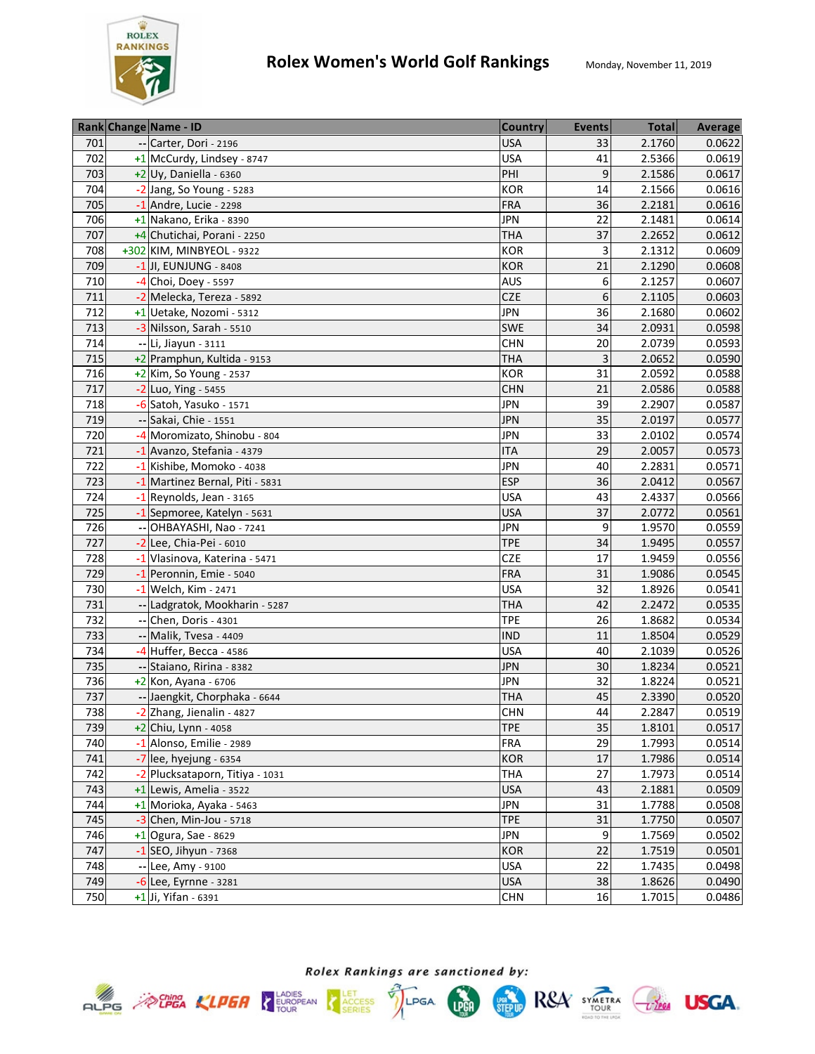

|     | Rank Change Name - ID           | <b>Country</b> | <b>Events</b> | <b>Total</b> | <b>Average</b> |
|-----|---------------------------------|----------------|---------------|--------------|----------------|
| 701 | Carter, Dori - 2196             | <b>USA</b>     | 33            | 2.1760       | 0.0622         |
| 702 | +1 McCurdy, Lindsey - 8747      | <b>USA</b>     | 41            | 2.5366       | 0.0619         |
| 703 | $+2$ Uy, Daniella - 6360        | PHI            | 9             | 2.1586       | 0.0617         |
| 704 | -2 Jang, So Young - 5283        | <b>KOR</b>     | 14            | 2.1566       | 0.0616         |
| 705 | $-1$ Andre, Lucie - 2298        | <b>FRA</b>     | 36            | 2.2181       | 0.0616         |
| 706 | $+1$ Nakano, Erika - 8390       | <b>JPN</b>     | 22            | 2.1481       | 0.0614         |
| 707 | +4 Chutichai, Porani - 2250     | <b>THA</b>     | 37            | 2.2652       | 0.0612         |
| 708 | +302 KIM, MINBYEOL - 9322       | <b>KOR</b>     | 3             | 2.1312       | 0.0609         |
| 709 | $-1$ JI, EUNJUNG - 8408         | <b>KOR</b>     | 21            | 2.1290       | 0.0608         |
| 710 | $-4$ Choi, Doey - 5597          | <b>AUS</b>     | 6             | 2.1257       | 0.0607         |
| 711 | -2 Melecka, Tereza - 5892       | <b>CZE</b>     | 6             | 2.1105       | 0.0603         |
| 712 | +1 Uetake, Nozomi - 5312        | <b>JPN</b>     | 36            | 2.1680       | 0.0602         |
| 713 | -3 Nilsson, Sarah - 5510        | <b>SWE</b>     | 34            | 2.0931       | 0.0598         |
| 714 | -- Li, Jiayun - 3111            | <b>CHN</b>     | 20            | 2.0739       | 0.0593         |
| 715 | +2 Pramphun, Kultida - 9153     | <b>THA</b>     | 3             | 2.0652       | 0.0590         |
| 716 | $+2$ Kim, So Young - 2537       | <b>KOR</b>     | 31            | 2.0592       | 0.0588         |
| 717 | -2 Luo, Ying - 5455             | <b>CHN</b>     | 21            | 2.0586       | 0.0588         |
| 718 | -6 Satoh, Yasuko - 1571         | <b>JPN</b>     | 39            | 2.2907       | 0.0587         |
| 719 | -- Sakai, Chie - 1551           | <b>JPN</b>     | 35            | 2.0197       | 0.0577         |
| 720 | -4 Moromizato, Shinobu - 804    | <b>JPN</b>     | 33            | 2.0102       | 0.0574         |
| 721 | -1 Avanzo, Stefania - 4379      | <b>ITA</b>     | 29            | 2.0057       | 0.0573         |
| 722 | -1 Kishibe, Momoko - 4038       | <b>JPN</b>     | 40            | 2.2831       | 0.0571         |
| 723 | -1 Martinez Bernal, Piti - 5831 | <b>ESP</b>     | 36            | 2.0412       | 0.0567         |
| 724 | -1 Reynolds, Jean - 3165        | <b>USA</b>     | 43            | 2.4337       | 0.0566         |
| 725 | -1 Sepmoree, Katelyn - 5631     | <b>USA</b>     | 37            | 2.0772       | 0.0561         |
| 726 | -- OHBAYASHI, Nao - 7241        | <b>JPN</b>     | 9             | 1.9570       | 0.0559         |
| 727 | -2 Lee, Chia-Pei - 6010         | <b>TPE</b>     | 34            | 1.9495       | 0.0557         |
| 728 | -1 Vlasinova, Katerina - 5471   | <b>CZE</b>     | 17            | 1.9459       | 0.0556         |
| 729 | -1 Peronnin, Emie - 5040        | <b>FRA</b>     | 31            | 1.9086       | 0.0545         |
| 730 | -1 Welch, Kim - 2471            | <b>USA</b>     | 32            | 1.8926       | 0.0541         |
| 731 | -- Ladgratok, Mookharin - 5287  | <b>THA</b>     | 42            | 2.2472       | 0.0535         |
| 732 | Chen, Doris - 4301              | <b>TPE</b>     | 26            | 1.8682       | 0.0534         |
| 733 | -- Malik, Tvesa - 4409          | <b>IND</b>     | 11            | 1.8504       | 0.0529         |
| 734 | $-4$ Huffer, Becca - 4586       | <b>USA</b>     | 40            | 2.1039       | 0.0526         |
| 735 | -- Staiano, Ririna - 8382       | <b>JPN</b>     | 30            | 1.8234       | 0.0521         |
| 736 | +2 Kon, Ayana - 6706            | <b>JPN</b>     | 32            | 1.8224       | 0.0521         |
| 737 | -- Jaengkit, Chorphaka - 6644   | <b>THA</b>     | 45            | 2.3390       | 0.0520         |
| 738 | -2 Zhang, Jienalin - 4827       | <b>CHN</b>     | 44            | 2.2847       | 0.0519         |
| 739 | +2 Chiu, Lynn - 4058            | <b>TPE</b>     | 35            | 1.8101       | 0.0517         |
| 740 | -1 Alonso, Emilie - 2989        | <b>FRA</b>     | 29            | 1.7993       | 0.0514         |
| 741 | $-7$ lee, hyejung - 6354        | <b>KOR</b>     | 17            | 1.7986       | 0.0514         |
| 742 | -2 Plucksataporn, Titiya - 1031 | <b>THA</b>     | 27            | 1.7973       | 0.0514         |
| 743 | +1 Lewis, Amelia - 3522         | <b>USA</b>     | 43            | 2.1881       | 0.0509         |
| 744 | +1 Morioka, Ayaka - 5463        | <b>JPN</b>     | 31            | 1.7788       | 0.0508         |
| 745 | $-3$ Chen, Min-Jou - 5718       | <b>TPE</b>     | 31            | 1.7750       | 0.0507         |
| 746 | $+1$ Ogura, Sae - 8629          | <b>JPN</b>     | 9             | 1.7569       | 0.0502         |
| 747 | $-1$ SEO, Jihyun - 7368         | <b>KOR</b>     | 22            | 1.7519       | 0.0501         |
| 748 | -- Lee, Amy - 9100              | <b>USA</b>     | 22            | 1.7435       | 0.0498         |
| 749 | $-6$ Lee, Eyrnne - 3281         | <b>USA</b>     | 38            | 1.8626       | 0.0490         |
| 750 | $+1$ Ji, Yifan - 6391           | <b>CHN</b>     | 16            | 1.7015       | 0.0486         |







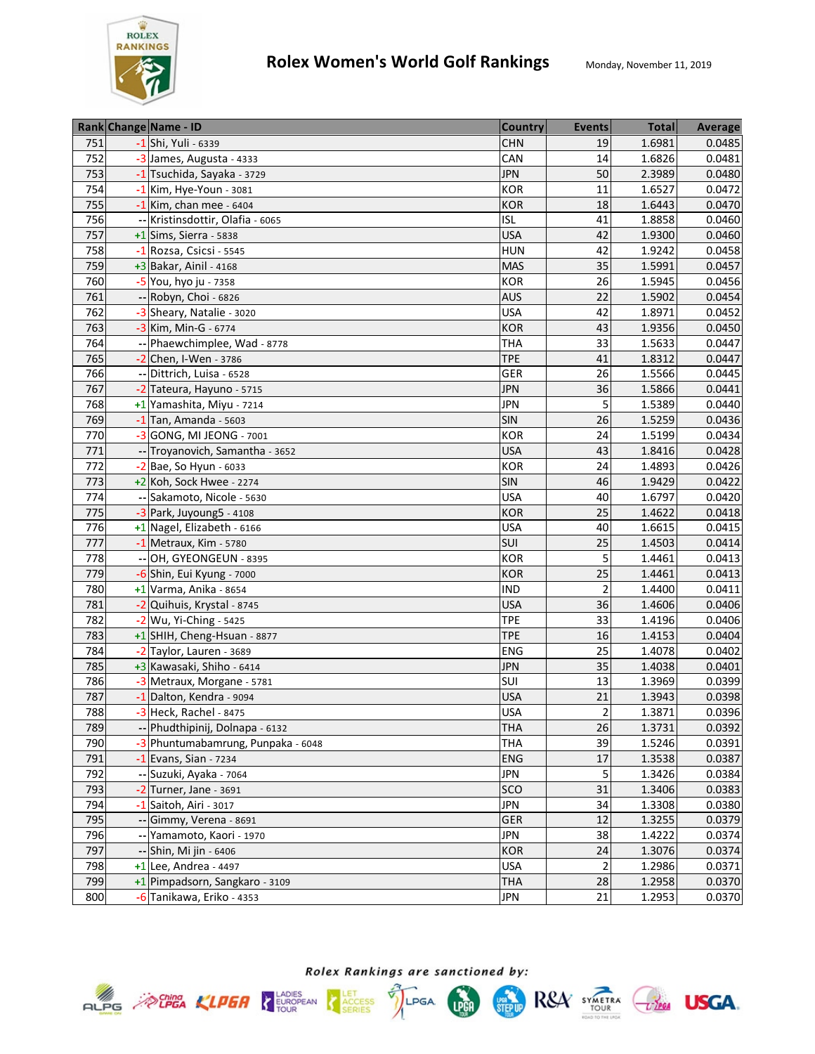

|     | Rank Change Name - ID              | <b>Country</b> | <b>Events</b>   | <b>Total</b> | <b>Average</b> |
|-----|------------------------------------|----------------|-----------------|--------------|----------------|
| 751 | -1 Shi, Yuli - 6339                | <b>CHN</b>     | 19              | 1.6981       | 0.0485         |
| 752 | -3 James, Augusta - 4333           | CAN            | 14              | 1.6826       | 0.0481         |
| 753 | -1 Tsuchida, Sayaka - 3729         | <b>JPN</b>     | 50              | 2.3989       | 0.0480         |
| 754 | $-1$ Kim, Hye-Youn - 3081          | KOR            | 11              | 1.6527       | 0.0472         |
| 755 | $-1$ Kim, chan mee - 6404          | KOR            | 18              | 1.6443       | 0.0470         |
| 756 | -- Kristinsdottir, Olafia - 6065   | <b>ISL</b>     | 41              | 1.8858       | 0.0460         |
| 757 | $+1$ Sims, Sierra - 5838           | <b>USA</b>     | 42              | 1.9300       | 0.0460         |
| 758 | -1 Rozsa, Csicsi - 5545            | <b>HUN</b>     | 42              | 1.9242       | 0.0458         |
| 759 | $+3$ Bakar, Ainil - 4168           | <b>MAS</b>     | 35              | 1.5991       | 0.0457         |
| 760 | -5 You, hyo ju - 7358              | <b>KOR</b>     | 26              | 1.5945       | 0.0456         |
| 761 | -- Robyn, Choi - 6826              | <b>AUS</b>     | 22              | 1.5902       | 0.0454         |
| 762 | -3 Sheary, Natalie - 3020          | <b>USA</b>     | 42              | 1.8971       | 0.0452         |
| 763 | -3 Kim, Min-G - 6774               | <b>KOR</b>     | 43              | 1.9356       | 0.0450         |
| 764 | -- Phaewchimplee, Wad - 8778       | <b>THA</b>     | 33              | 1.5633       | 0.0447         |
| 765 | $-2$ Chen, I-Wen - 3786            | <b>TPE</b>     | 41              | 1.8312       | 0.0447         |
| 766 | Dittrich, Luisa - 6528             | <b>GER</b>     | 26              | 1.5566       | 0.0445         |
| 767 | -2 Tateura, Hayuno - 5715          | <b>JPN</b>     | 36              | 1.5866       | 0.0441         |
| 768 | +1 Yamashita, Miyu - 7214          | <b>JPN</b>     | 5               | 1.5389       | 0.0440         |
| 769 | $-1$ Tan, Amanda - 5603            | SIN            | 26              | 1.5259       | 0.0436         |
| 770 | -3 GONG, MI JEONG - 7001           | <b>KOR</b>     | 24              | 1.5199       | 0.0434         |
| 771 | -- Troyanovich, Samantha - 3652    | <b>USA</b>     | 43              | 1.8416       | 0.0428         |
| 772 | -2 Bae, So Hyun - 6033             | <b>KOR</b>     | 24              | 1.4893       | 0.0426         |
| 773 | +2 Koh, Sock Hwee - 2274           | <b>SIN</b>     | 46              | 1.9429       | 0.0422         |
| 774 | -- Sakamoto, Nicole - 5630         | <b>USA</b>     | 40              | 1.6797       | 0.0420         |
| 775 | -3 Park, Juyoung5 - 4108           | <b>KOR</b>     | 25              | 1.4622       | 0.0418         |
| 776 | +1 Nagel, Elizabeth - 6166         | <b>USA</b>     | 40              | 1.6615       | 0.0415         |
| 777 | $-1$ Metraux, Kim - 5780           | <b>SUI</b>     | 25              | 1.4503       | 0.0414         |
| 778 | -- OH, GYEONGEUN - 8395            | <b>KOR</b>     | 5               | 1.4461       | 0.0413         |
| 779 | -6 Shin, Eui Kyung - 7000          | <b>KOR</b>     | 25              | 1.4461       | 0.0413         |
| 780 | $+1$ Varma, Anika - 8654           | <b>IND</b>     | $\overline{2}$  | 1.4400       | 0.0411         |
| 781 | -2 Quihuis, Krystal - 8745         | <b>USA</b>     | 36              | 1.4606       | 0.0406         |
| 782 | $-2$ Wu, Yi-Ching - 5425           | <b>TPE</b>     | 33              | 1.4196       | 0.0406         |
| 783 | +1 SHIH, Cheng-Hsuan - 8877        | <b>TPE</b>     | 16              | 1.4153       | 0.0404         |
| 784 | -2 Taylor, Lauren - 3689           | <b>ENG</b>     | $\overline{25}$ | 1.4078       | 0.0402         |
| 785 | +3 Kawasaki, Shiho - 6414          | <b>JPN</b>     | 35              | 1.4038       | 0.0401         |
| 786 | -3 Metraux, Morgane - 5781         | SUI            | 13              | 1.3969       | 0.0399         |
| 787 | -1 Dalton, Kendra - 9094           | <b>USA</b>     | 21              | 1.3943       | 0.0398         |
| 788 | -3 Heck, Rachel - 8475             | <b>USA</b>     | $\overline{2}$  | 1.3871       | 0.0396         |
| 789 | -- Phudthipinij, Dolnapa - 6132    | <b>THA</b>     | 26              | 1.3731       | 0.0392         |
| 790 | -3 Phuntumabamrung, Punpaka - 6048 | <b>THA</b>     | 39              | 1.5246       | 0.0391         |
| 791 | $-1$ Evans, Sian - 7234            | <b>ENG</b>     | 17              | 1.3538       | 0.0387         |
| 792 | -- Suzuki, Ayaka - 7064            | JPN            | 5               | 1.3426       | 0.0384         |
| 793 | -2 Turner, Jane - 3691             | <b>SCO</b>     | 31              | 1.3406       | 0.0383         |
| 794 | -1 Saitoh, Airi - 3017             | <b>JPN</b>     | 34              | 1.3308       | 0.0380         |
| 795 | -- Gimmy, Verena - 8691            | <b>GER</b>     | 12              | 1.3255       | 0.0379         |
| 796 | -- Yamamoto, Kaori - 1970          | <b>JPN</b>     | 38              | 1.4222       | 0.0374         |
| 797 | -- Shin, Mi jin - 6406             | <b>KOR</b>     | 24              | 1.3076       | 0.0374         |
| 798 | $+1$ Lee, Andrea - 4497            | <b>USA</b>     | $\overline{2}$  | 1.2986       | 0.0371         |
| 799 | +1 Pimpadsorn, Sangkaro - 3109     | <b>THA</b>     | 28              | 1.2958       | 0.0370         |
| 800 | -6 Tanikawa, Eriko - 4353          | <b>JPN</b>     | 21              | 1.2953       | 0.0370         |



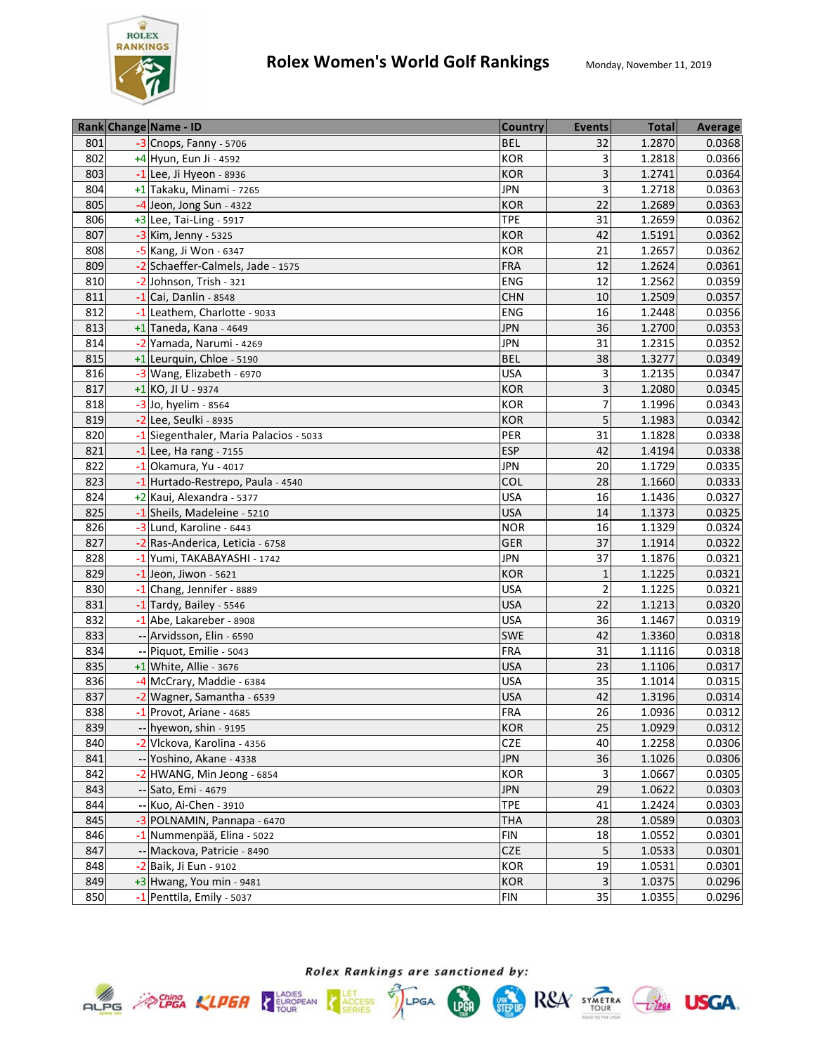

|     | Rank Change Name - ID                  | <b>Country</b> | <b>Events</b>  | <b>Total</b> | <b>Average</b> |
|-----|----------------------------------------|----------------|----------------|--------------|----------------|
| 801 | -3 Cnops, Fanny - 5706                 | <b>BEL</b>     | 32             | 1.2870       | 0.0368         |
| 802 | +4 Hyun, Eun Ji - 4592                 | KOR            | 3              | 1.2818       | 0.0366         |
| 803 | $-1$ Lee, Ji Hyeon - 8936              | <b>KOR</b>     | 3              | 1.2741       | 0.0364         |
| 804 | +1 Takaku, Minami - 7265               | <b>JPN</b>     | 3              | 1.2718       | 0.0363         |
| 805 | $-4$ Jeon, Jong Sun - 4322             | <b>KOR</b>     | 22             | 1.2689       | 0.0363         |
| 806 | $+3$ Lee, Tai-Ling - 5917              | <b>TPE</b>     | 31             | 1.2659       | 0.0362         |
| 807 | -3 Kim, Jenny - 5325                   | <b>KOR</b>     | 42             | 1.5191       | 0.0362         |
| 808 | -5 Kang, Ji Won - 6347                 | <b>KOR</b>     | 21             | 1.2657       | 0.0362         |
| 809 | -2 Schaeffer-Calmels, Jade - 1575      | <b>FRA</b>     | 12             | 1.2624       | 0.0361         |
| 810 | -2 Johnson, Trish - 321                | ENG            | 12             | 1.2562       | 0.0359         |
| 811 | $-1$ Cai, Danlin - 8548                | <b>CHN</b>     | 10             | 1.2509       | 0.0357         |
| 812 | -1 Leathem, Charlotte - 9033           | <b>ENG</b>     | 16             | 1.2448       | 0.0356         |
| 813 | $+1$ Taneda, Kana - 4649               | <b>JPN</b>     | 36             | 1.2700       | 0.0353         |
| 814 | -2 Yamada, Narumi - 4269               | <b>JPN</b>     | 31             | 1.2315       | 0.0352         |
| 815 | +1 Leurquin, Chloe - 5190              | <b>BEL</b>     | 38             | 1.3277       | 0.0349         |
| 816 | -3 Wang, Elizabeth - 6970              | <b>USA</b>     | 3              | 1.2135       | 0.0347         |
| 817 | +1 KO, JI U - 9374                     | KOR            | 3              | 1.2080       | 0.0345         |
| 818 | -3 Jo, hyelim - 8564                   | KOR            | 7              | 1.1996       | 0.0343         |
| 819 | -2 Lee, Seulki - 8935                  | <b>KOR</b>     | 5              | 1.1983       | 0.0342         |
| 820 | -1 Siegenthaler, Maria Palacios - 5033 | PER            | 31             | 1.1828       | 0.0338         |
| 821 | $-1$ Lee, Ha rang - 7155               | <b>ESP</b>     | 42             | 1.4194       | 0.0338         |
| 822 | $-1$ Okamura, Yu - 4017                | <b>JPN</b>     | 20             | 1.1729       | 0.0335         |
| 823 | -1 Hurtado-Restrepo, Paula - 4540      | COL            | 28             | 1.1660       | 0.0333         |
| 824 | +2 Kaui, Alexandra - 5377              | <b>USA</b>     | 16             | 1.1436       | 0.0327         |
| 825 | -1 Sheils, Madeleine - 5210            | <b>USA</b>     | 14             | 1.1373       | 0.0325         |
| 826 | -3 Lund, Karoline - 6443               | <b>NOR</b>     | 16             | 1.1329       | 0.0324         |
| 827 | -2 Ras-Anderica, Leticia - 6758        | <b>GER</b>     | 37             | 1.1914       | 0.0322         |
| 828 | -1 Yumi, TAKABAYASHI - 1742            | <b>JPN</b>     | 37             | 1.1876       | 0.0321         |
| 829 | $-1$ Jeon, Jiwon - 5621                | <b>KOR</b>     | $\mathbf{1}$   | 1.1225       | 0.0321         |
| 830 | -1 Chang, Jennifer - 8889              | <b>USA</b>     | $\overline{2}$ | 1.1225       | 0.0321         |
| 831 | -1 Tardy, Bailey - 5546                | <b>USA</b>     | 22             | 1.1213       | 0.0320         |
| 832 | -1 Abe, Lakareber - 8908               | <b>USA</b>     | 36             | 1.1467       | 0.0319         |
| 833 | -- Arvidsson, Elin - 6590              | SWE            | 42             | 1.3360       | 0.0318         |
| 834 | -- Piquot, Emilie - 5043               | <b>FRA</b>     | 31             | 1.1116       | 0.0318         |
| 835 | +1 White, Allie - 3676                 | <b>USA</b>     | 23             | 1.1106       | 0.0317         |
| 836 | -4 McCrary, Maddie - 6384              | <b>USA</b>     | 35             | 1.1014       | 0.0315         |
| 837 | -2 Wagner, Samantha - 6539             | <b>USA</b>     | 42             | 1.3196       | 0.0314         |
| 838 | -1 Provot, Ariane - 4685               | <b>FRA</b>     | 26             | 1.0936       | 0.0312         |
| 839 | -- hyewon, shin - 9195                 | <b>KOR</b>     | 25             | 1.0929       | 0.0312         |
| 840 | -2 Vlckova, Karolina - 4356            | CZE            | 40             | 1.2258       | 0.0306         |
| 841 | -- Yoshino, Akane - 4338               | <b>JPN</b>     | 36             | 1.1026       | 0.0306         |
| 842 | -2 HWANG, Min Jeong - 6854             | <b>KOR</b>     | 3              | 1.0667       | 0.0305         |
| 843 | -- Sato, Emi - 4679                    | <b>JPN</b>     | 29             | 1.0622       | 0.0303         |
| 844 | -- Kuo, Ai-Chen - 3910                 | <b>TPE</b>     | 41             | 1.2424       | 0.0303         |
| 845 | -3 POLNAMIN, Pannapa - 6470            | <b>THA</b>     | 28             | 1.0589       | 0.0303         |
| 846 | -1 Nummenpää, Elina - 5022             | <b>FIN</b>     | 18             | 1.0552       | 0.0301         |
| 847 | -- Mackova, Patricie - 8490            | <b>CZE</b>     | 5              | 1.0533       | 0.0301         |
| 848 | -2 Baik, Ji Eun - 9102                 | <b>KOR</b>     | 19             | 1.0531       | 0.0301         |
| 849 | $+3$ Hwang, You min - 9481             | <b>KOR</b>     | 3              | 1.0375       | 0.0296         |
| 850 | -1 Penttila, Emily - 5037              | <b>FIN</b>     | 35             | 1.0355       | 0.0296         |





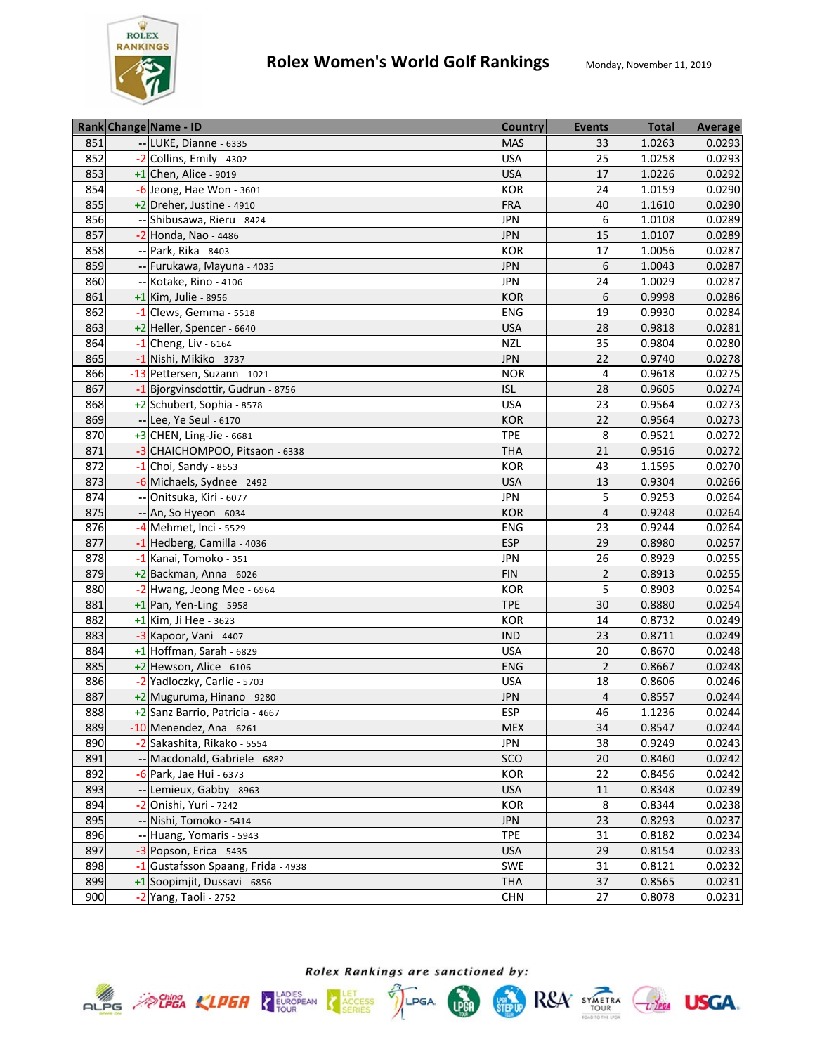

|     | Rank Change Name - ID              | <b>Country</b> | <b>Events</b>  | <b>Total</b> | Average |
|-----|------------------------------------|----------------|----------------|--------------|---------|
| 851 | -- LUKE, Dianne - 6335             | <b>MAS</b>     | 33             | 1.0263       | 0.0293  |
| 852 | -2 Collins, Emily - 4302           | <b>USA</b>     | 25             | 1.0258       | 0.0293  |
| 853 | $+1$ Chen, Alice - 9019            | <b>USA</b>     | 17             | 1.0226       | 0.0292  |
| 854 | -6 Jeong, Hae Won - 3601           | <b>KOR</b>     | 24             | 1.0159       | 0.0290  |
| 855 | +2 Dreher, Justine - 4910          | <b>FRA</b>     | 40             | 1.1610       | 0.0290  |
| 856 | -- Shibusawa, Rieru - 8424         | <b>JPN</b>     | 6              | 1.0108       | 0.0289  |
| 857 | -2 Honda, Nao - 4486               | <b>JPN</b>     | 15             | 1.0107       | 0.0289  |
| 858 | -- Park, Rika - 8403               | <b>KOR</b>     | 17             | 1.0056       | 0.0287  |
| 859 | -- Furukawa, Mayuna - 4035         | <b>JPN</b>     | 6              | 1.0043       | 0.0287  |
| 860 | -- Kotake, Rino - 4106             | <b>JPN</b>     | 24             | 1.0029       | 0.0287  |
| 861 | +1 Kim, Julie - 8956               | <b>KOR</b>     | 6              | 0.9998       | 0.0286  |
| 862 | $-1$ Clews, Gemma - 5518           | ENG            | 19             | 0.9930       | 0.0284  |
| 863 | +2 Heller, Spencer - 6640          | <b>USA</b>     | 28             | 0.9818       | 0.0281  |
| 864 | $-1$ Cheng, Liv - 6164             | <b>NZL</b>     | 35             | 0.9804       | 0.0280  |
| 865 | -1 Nishi, Mikiko - 3737            | <b>JPN</b>     | 22             | 0.9740       | 0.0278  |
| 866 | -13 Pettersen, Suzann - 1021       | NOR            | 4              | 0.9618       | 0.0275  |
| 867 | -1 Bjorgvinsdottir, Gudrun - 8756  | <b>ISL</b>     | 28             | 0.9605       | 0.0274  |
| 868 | +2 Schubert, Sophia - 8578         | <b>USA</b>     | 23             | 0.9564       | 0.0273  |
| 869 | -- Lee, Ye Seul - 6170             | <b>KOR</b>     | 22             | 0.9564       | 0.0273  |
| 870 | $+3$ CHEN, Ling-Jie - 6681         | <b>TPE</b>     | 8              | 0.9521       | 0.0272  |
| 871 | -3 CHAICHOMPOO, Pitsaon - 6338     | <b>THA</b>     | 21             | 0.9516       | 0.0272  |
| 872 | $-1$ Choi, Sandy - 8553            | <b>KOR</b>     | 43             | 1.1595       | 0.0270  |
| 873 | -6 Michaels, Sydnee - 2492         | <b>USA</b>     | 13             | 0.9304       | 0.0266  |
| 874 | -- Onitsuka, Kiri - 6077           | <b>JPN</b>     | 5              | 0.9253       | 0.0264  |
| 875 | -- An, So Hyeon - 6034             | <b>KOR</b>     | $\overline{4}$ | 0.9248       | 0.0264  |
| 876 | -4 Mehmet, Inci - 5529             | <b>ENG</b>     | 23             | 0.9244       | 0.0264  |
| 877 | -1 Hedberg, Camilla - 4036         | <b>ESP</b>     | 29             | 0.8980       | 0.0257  |
| 878 | -1 Kanai, Tomoko - 351             | <b>JPN</b>     | 26             | 0.8929       | 0.0255  |
| 879 | $+2$ Backman, Anna - 6026          | <b>FIN</b>     | $\overline{2}$ | 0.8913       | 0.0255  |
| 880 | $-2$ Hwang, Jeong Mee - 6964       | <b>KOR</b>     | 5              | 0.8903       | 0.0254  |
| 881 | $+1$ Pan, Yen-Ling - 5958          | <b>TPE</b>     | 30             | 0.8880       | 0.0254  |
| 882 | +1 Kim, Ji Hee - 3623              | <b>KOR</b>     | 14             | 0.8732       | 0.0249  |
| 883 | -3 Kapoor, Vani - 4407             | <b>IND</b>     | 23             | 0.8711       | 0.0249  |
| 884 | +1 Hoffman, Sarah - 6829           | <b>USA</b>     | 20             | 0.8670       | 0.0248  |
| 885 | +2 Hewson, Alice - 6106            | <b>ENG</b>     | $\overline{2}$ | 0.8667       | 0.0248  |
| 886 | -2 Yadloczky, Carlie - 5703        | <b>USA</b>     | 18             | 0.8606       | 0.0246  |
| 887 | +2 Muguruma, Hinano - 9280         | <b>JPN</b>     | 4              | 0.8557       | 0.0244  |
| 888 | +2 Sanz Barrio, Patricia - 4667    | <b>ESP</b>     | 46             | 1.1236       | 0.0244  |
| 889 | $-10$ Menendez, Ana - 6261         | <b>MEX</b>     | 34             | 0.8547       | 0.0244  |
| 890 | -2 Sakashita, Rikako - 5554        | <b>JPN</b>     | 38             | 0.9249       | 0.0243  |
| 891 | -- Macdonald, Gabriele - 6882      | <b>SCO</b>     | 20             | 0.8460       | 0.0242  |
| 892 | -6 Park, Jae Hui - 6373            | KOR            | 22             | 0.8456       | 0.0242  |
| 893 | -- Lemieux, Gabby - 8963           | <b>USA</b>     | 11             | 0.8348       | 0.0239  |
| 894 | -2 Onishi, Yuri - 7242             | KOR            | 8              | 0.8344       | 0.0238  |
| 895 | -- Nishi, Tomoko - 5414            | <b>JPN</b>     | 23             | 0.8293       | 0.0237  |
| 896 | -- Huang, Yomaris - 5943           | <b>TPE</b>     | 31             | 0.8182       | 0.0234  |
| 897 | -3 Popson, Erica - 5435            | <b>USA</b>     | 29             | 0.8154       | 0.0233  |
| 898 | -1 Gustafsson Spaang, Frida - 4938 | SWE            | 31             | 0.8121       | 0.0232  |
| 899 | +1 Soopimjit, Dussavi - 6856       | THA            | 37             | 0.8565       | 0.0231  |
| 900 | -2 Yang, Taoli - 2752              | <b>CHN</b>     | 27             | 0.8078       | 0.0231  |



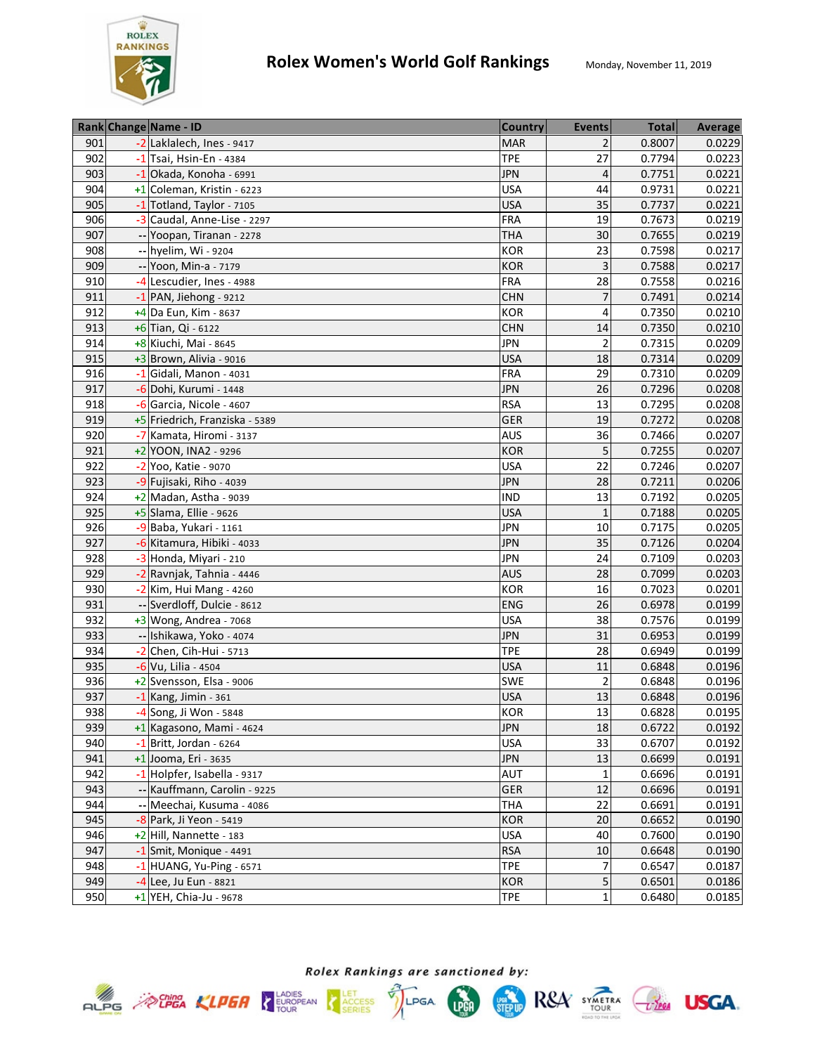

|     | Rank Change Name - ID          | <b>Country</b> | <b>Events</b>  | <b>Total</b> | Average |
|-----|--------------------------------|----------------|----------------|--------------|---------|
| 901 | -2 Laklalech, Ines - 9417      | <b>MAR</b>     | 2              | 0.8007       | 0.0229  |
| 902 | $-1$ Tsai, Hsin-En - 4384      | <b>TPE</b>     | 27             | 0.7794       | 0.0223  |
| 903 | $-1$ Okada, Konoha - 6991      | <b>JPN</b>     | 4              | 0.7751       | 0.0221  |
| 904 | +1 Coleman, Kristin - 6223     | <b>USA</b>     | 44             | 0.9731       | 0.0221  |
| 905 | -1 Totland, Taylor - 7105      | <b>USA</b>     | 35             | 0.7737       | 0.0221  |
| 906 | -3 Caudal, Anne-Lise - 2297    | FRA            | 19             | 0.7673       | 0.0219  |
| 907 | -- Yoopan, Tiranan - 2278      | <b>THA</b>     | 30             | 0.7655       | 0.0219  |
| 908 | -- hyelim, Wi - 9204           | <b>KOR</b>     | 23             | 0.7598       | 0.0217  |
| 909 | -- Yoon, Min-a - 7179          | <b>KOR</b>     | 3              | 0.7588       | 0.0217  |
| 910 | -4 Lescudier, Ines - 4988      | <b>FRA</b>     | 28             | 0.7558       | 0.0216  |
| 911 | -1 PAN, Jiehong - 9212         | <b>CHN</b>     | $\overline{7}$ | 0.7491       | 0.0214  |
| 912 | $+4$ Da Eun, Kim - 8637        | <b>KOR</b>     | 4              | 0.7350       | 0.0210  |
| 913 | +6 Tian, Qi - 6122             | <b>CHN</b>     | 14             | 0.7350       | 0.0210  |
| 914 | +8 Kiuchi, Mai - 8645          | <b>JPN</b>     | 2              | 0.7315       | 0.0209  |
| 915 | +3 Brown, Alivia - 9016        | <b>USA</b>     | 18             | 0.7314       | 0.0209  |
| 916 | $-1$ Gidali, Manon - 4031      | <b>FRA</b>     | 29             | 0.7310       | 0.0209  |
| 917 | -6 Dohi, Kurumi - 1448         | <b>JPN</b>     | 26             | 0.7296       | 0.0208  |
| 918 | -6 Garcia, Nicole - 4607       | <b>RSA</b>     | 13             | 0.7295       | 0.0208  |
| 919 | +5 Friedrich, Franziska - 5389 | <b>GER</b>     | 19             | 0.7272       | 0.0208  |
| 920 | -7 Kamata, Hiromi - 3137       | <b>AUS</b>     | 36             | 0.7466       | 0.0207  |
| 921 | +2 YOON, INA2 - 9296           | <b>KOR</b>     | 5              | 0.7255       | 0.0207  |
| 922 | -2 Yoo, Katie - 9070           | <b>USA</b>     | 22             | 0.7246       | 0.0207  |
| 923 | -9 Fujisaki, Riho - 4039       | <b>JPN</b>     | 28             | 0.7211       | 0.0206  |
| 924 | $+2$ Madan, Astha - 9039       | <b>IND</b>     | 13             | 0.7192       | 0.0205  |
| 925 | +5 Slama, Ellie - 9626         | <b>USA</b>     | $\mathbf{1}$   | 0.7188       | 0.0205  |
| 926 | -9 Baba, Yukari - 1161         | <b>JPN</b>     | 10             | 0.7175       | 0.0205  |
| 927 | -6 Kitamura, Hibiki - 4033     | <b>JPN</b>     | 35             | 0.7126       | 0.0204  |
| 928 | -3 Honda, Miyari - 210         | <b>JPN</b>     | 24             | 0.7109       | 0.0203  |
| 929 | -2 Ravnjak, Tahnia - 4446      | <b>AUS</b>     | 28             | 0.7099       | 0.0203  |
| 930 | $-2$ Kim, Hui Mang - 4260      | <b>KOR</b>     | 16             | 0.7023       | 0.0201  |
| 931 | -- Sverdloff, Dulcie - 8612    | <b>ENG</b>     | 26             | 0.6978       | 0.0199  |
| 932 | $+3$ Wong, Andrea - 7068       | <b>USA</b>     | 38             | 0.7576       | 0.0199  |
| 933 | -- Ishikawa, Yoko - 4074       | <b>JPN</b>     | 31             | 0.6953       | 0.0199  |
| 934 | $-2$ Chen, Cih-Hui - 5713      | <b>TPE</b>     | 28             | 0.6949       | 0.0199  |
| 935 | -6 Vu, Lilia - 4504            | <b>USA</b>     | 11             | 0.6848       | 0.0196  |
| 936 | +2 Svensson, Elsa - 9006       | SWE            | $\overline{2}$ | 0.6848       | 0.0196  |
| 937 | $-1$ Kang, Jimin - 361         | <b>USA</b>     | 13             | 0.6848       | 0.0196  |
| 938 | -4 Song, Ji Won - 5848         | <b>KOR</b>     | 13             | 0.6828       | 0.0195  |
| 939 | +1 Kagasono, Mami - 4624       | <b>JPN</b>     | 18             | 0.6722       | 0.0192  |
| 940 | $-1$ Britt, Jordan - 6264      | <b>USA</b>     | 33             | 0.6707       | 0.0192  |
| 941 | +1 Jooma, Eri - 3635           | <b>JPN</b>     | 13             | 0.6699       | 0.0191  |
| 942 | -1 Holpfer, Isabella - 9317    | AUT            | $\mathbf{1}$   | 0.6696       | 0.0191  |
| 943 | -- Kauffmann, Carolin - 9225   | GER            | 12             | 0.6696       | 0.0191  |
| 944 | -- Meechai, Kusuma - 4086      | <b>THA</b>     | 22             | 0.6691       | 0.0191  |
| 945 | -8 Park, Ji Yeon - 5419        | <b>KOR</b>     | 20             | 0.6652       | 0.0190  |
| 946 | $+2$ Hill, Nannette - 183      | <b>USA</b>     | 40             | 0.7600       | 0.0190  |
| 947 | $-1$ Smit, Monique - 4491      | <b>RSA</b>     | 10             | 0.6648       | 0.0190  |
| 948 | $-1$ HUANG, Yu-Ping - 6571     | <b>TPE</b>     | 7              | 0.6547       | 0.0187  |
| 949 | $-4$ Lee, Ju Eun - 8821        | <b>KOR</b>     | 5              | 0.6501       | 0.0186  |
| 950 | +1 YEH, Chia-Ju - 9678         | <b>TPE</b>     | $\mathbf{1}$   | 0.6480       | 0.0185  |



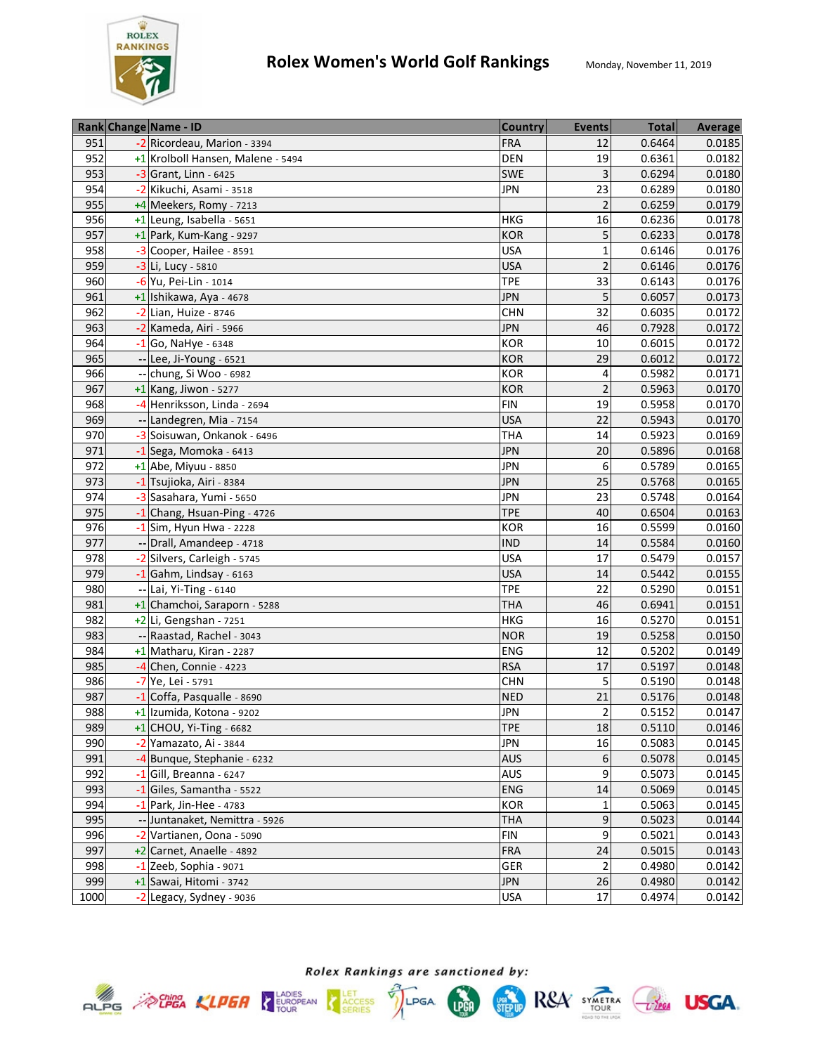

|      | Rank Change Name - ID             | <b>Country</b> | <b>Events</b>   | <b>Total</b> | <b>Average</b> |
|------|-----------------------------------|----------------|-----------------|--------------|----------------|
| 951  | -2 Ricordeau, Marion - 3394       | <b>FRA</b>     | 12              | 0.6464       | 0.0185         |
| 952  | +1 Krolboll Hansen, Malene - 5494 | <b>DEN</b>     | 19              | 0.6361       | 0.0182         |
| 953  | $-3$ Grant, Linn - 6425           | <b>SWE</b>     | $\overline{3}$  | 0.6294       | 0.0180         |
| 954  | -2 Kikuchi, Asami - 3518          | <b>JPN</b>     | 23              | 0.6289       | 0.0180         |
| 955  | +4 Meekers, Romy - 7213           |                | $\overline{2}$  | 0.6259       | 0.0179         |
| 956  | $+1$ Leung, Isabella - 5651       | <b>HKG</b>     | 16              | 0.6236       | 0.0178         |
| 957  | +1 Park, Kum-Kang - 9297          | <b>KOR</b>     | 5               | 0.6233       | 0.0178         |
| 958  | -3 Cooper, Hailee - 8591          | <b>USA</b>     | $\mathbf{1}$    | 0.6146       | 0.0176         |
| 959  | -3 Li, Lucy - 5810                | <b>USA</b>     | $\overline{c}$  | 0.6146       | 0.0176         |
| 960  | -6 Yu, Pei-Lin - 1014             | <b>TPE</b>     | 33              | 0.6143       | 0.0176         |
| 961  | +1 Ishikawa, Aya - 4678           | <b>JPN</b>     | 5               | 0.6057       | 0.0173         |
| 962  | -2 Lian, Huize - 8746             | <b>CHN</b>     | 32              | 0.6035       | 0.0172         |
| 963  | -2 Kameda, Airi - 5966            | <b>JPN</b>     | 46              | 0.7928       | 0.0172         |
| 964  | $-1$ Go, NaHye - 6348             | <b>KOR</b>     | 10              | 0.6015       | 0.0172         |
| 965  | -- Lee, Ji-Young - 6521           | <b>KOR</b>     | 29              | 0.6012       | 0.0172         |
| 966  | -- chung, Si Woo - 6982           | KOR            | 4               | 0.5982       | 0.0171         |
| 967  | $+1$ Kang, Jiwon - 5277           | <b>KOR</b>     | $\overline{2}$  | 0.5963       | 0.0170         |
| 968  | -4 Henriksson, Linda - 2694       | <b>FIN</b>     | 19              | 0.5958       | 0.0170         |
| 969  | -- Landegren, Mia - 7154          | <b>USA</b>     | 22              | 0.5943       | 0.0170         |
| 970  | -3 Soisuwan, Onkanok - 6496       | <b>THA</b>     | 14              | 0.5923       | 0.0169         |
| 971  | $-1$ Sega, Momoka - 6413          | <b>JPN</b>     | 20              | 0.5896       | 0.0168         |
| 972  | +1 Abe, Miyuu - 8850              | <b>JPN</b>     | 6               | 0.5789       | 0.0165         |
| 973  | -1 Tsujioka, Airi - 8384          | <b>JPN</b>     | 25              | 0.5768       | 0.0165         |
| 974  | -3 Sasahara, Yumi - 5650          | <b>JPN</b>     | 23              | 0.5748       | 0.0164         |
| 975  | -1 Chang, Hsuan-Ping - 4726       | <b>TPE</b>     | 40              | 0.6504       | 0.0163         |
| 976  | $-1$ Sim, Hyun Hwa - 2228         | <b>KOR</b>     | 16              | 0.5599       | 0.0160         |
| 977  | -- Drall, Amandeep - 4718         | <b>IND</b>     | 14              | 0.5584       | 0.0160         |
| 978  | -2 Silvers, Carleigh - 5745       | <b>USA</b>     | 17              | 0.5479       | 0.0157         |
| 979  | $-1$ Gahm, Lindsay - 6163         | <b>USA</b>     | 14              | 0.5442       | 0.0155         |
| 980  | -- Lai, Yi-Ting - 6140            | <b>TPE</b>     | 22              | 0.5290       | 0.0151         |
| 981  | +1 Chamchoi, Saraporn - 5288      | <b>THA</b>     | 46              | 0.6941       | 0.0151         |
| 982  | $+2$ Li, Gengshan - 7251          | <b>HKG</b>     | 16              | 0.5270       | 0.0151         |
| 983  | -- Raastad, Rachel - 3043         | <b>NOR</b>     | 19              | 0.5258       | 0.0150         |
| 984  | +1 Matharu, Kiran - 2287          | <b>ENG</b>     | $\overline{12}$ | 0.5202       | 0.0149         |
| 985  | -4 Chen, Connie - 4223            | <b>RSA</b>     | 17              | 0.5197       | 0.0148         |
| 986  | -7 Ye, Lei - 5791                 | <b>CHN</b>     | 5               | 0.5190       | 0.0148         |
| 987  | -1 Coffa, Pasqualle - 8690        | <b>NED</b>     | 21              | 0.5176       | 0.0148         |
| 988  | +1 Izumida, Kotona - 9202         | <b>JPN</b>     | $\overline{2}$  | 0.5152       | 0.0147         |
| 989  | $+1$ CHOU, Yi-Ting - 6682         | <b>TPE</b>     | 18              | 0.5110       | 0.0146         |
| 990  | -2 Yamazato, Ai - 3844            | <b>JPN</b>     | 16              | 0.5083       | 0.0145         |
| 991  | -4 Bunque, Stephanie - 6232       | <b>AUS</b>     | 6               | 0.5078       | 0.0145         |
| 992  | $-1$ Gill, Breanna - 6247         | AUS            | 9               | 0.5073       | 0.0145         |
| 993  | -1 Giles, Samantha - 5522         | <b>ENG</b>     | 14              | 0.5069       | 0.0145         |
| 994  | $-1$ Park, Jin-Hee - 4783         | <b>KOR</b>     | 1               | 0.5063       | 0.0145         |
| 995  | -- Juntanaket, Nemittra - 5926    | <b>THA</b>     | 9               | 0.5023       | 0.0144         |
| 996  | -2 Vartianen, Oona - 5090         | <b>FIN</b>     | 9               | 0.5021       | 0.0143         |
| 997  | +2 Carnet, Anaelle - 4892         | <b>FRA</b>     | 24              | 0.5015       | 0.0143         |
| 998  | $-1$ Zeeb, Sophia - 9071          | GER            | $\overline{2}$  | 0.4980       | 0.0142         |
| 999  | +1 Sawai, Hitomi - 3742           | <b>JPN</b>     | 26              | 0.4980       | 0.0142         |
| 1000 | -2 Legacy, Sydney - 9036          | <b>USA</b>     | $17\,$          | 0.4974       | 0.0142         |



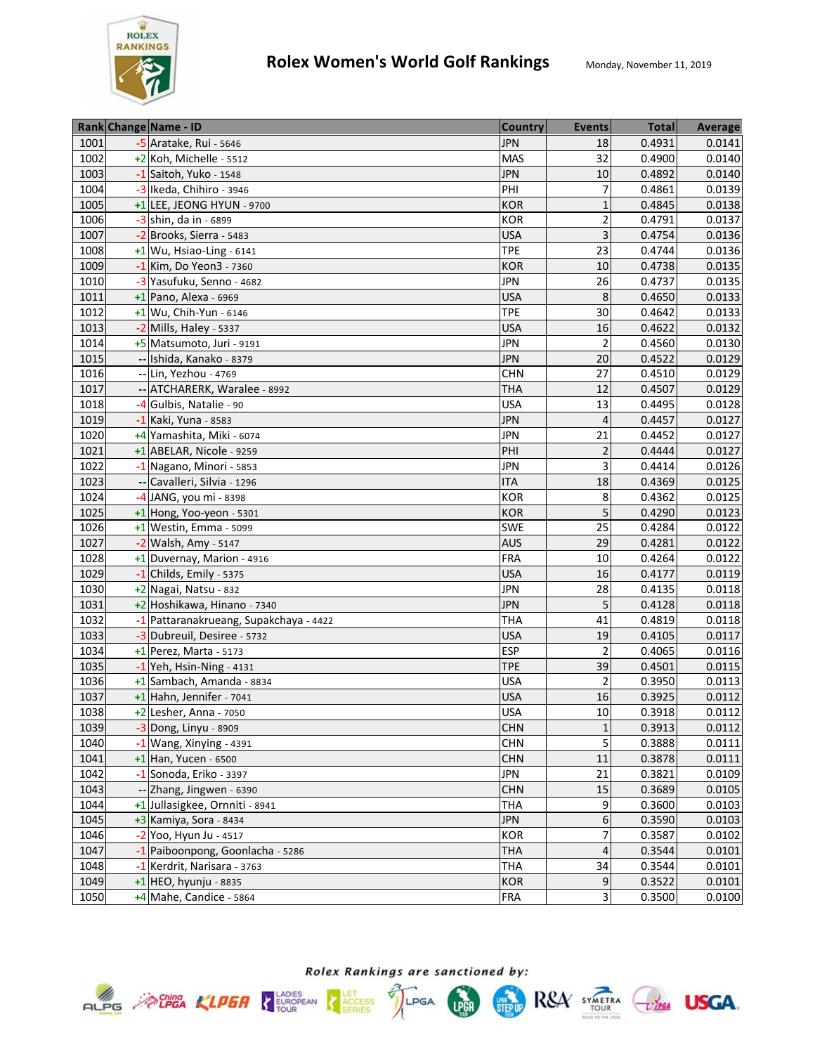

|      | Rank Change Name - ID                  | <b>Country</b> | <b>Events</b>    | <b>Total</b> | <b>Average</b> |
|------|----------------------------------------|----------------|------------------|--------------|----------------|
| 1001 | $-5$ Aratake, Rui - 5646               | <b>JPN</b>     | 18               | 0.4931       | 0.0141         |
| 1002 | +2 Koh, Michelle - 5512                | <b>MAS</b>     | 32               | 0.4900       | 0.0140         |
| 1003 | -1 Saitoh, Yuko - 1548                 | <b>JPN</b>     | $10\,$           | 0.4892       | 0.0140         |
| 1004 | -3 Ikeda, Chihiro - 3946               | PHI            | $\overline{7}$   | 0.4861       | 0.0139         |
| 1005 | +1 LEE, JEONG HYUN - 9700              | <b>KOR</b>     | $\mathbf{1}$     | 0.4845       | 0.0138         |
| 1006 | -3 shin, da in - 6899                  | <b>KOR</b>     | $\overline{2}$   | 0.4791       | 0.0137         |
| 1007 | -2 Brooks, Sierra - 5483               | <b>USA</b>     | 3                | 0.4754       | 0.0136         |
| 1008 | $+1$ Wu, Hsiao-Ling - 6141             | <b>TPE</b>     | 23               | 0.4744       | 0.0136         |
| 1009 | $-1$ Kim, Do Yeon3 - 7360              | <b>KOR</b>     | 10               | 0.4738       | 0.0135         |
| 1010 | -3 Yasufuku, Senno - 4682              | <b>JPN</b>     | 26               | 0.4737       | 0.0135         |
| 1011 | $+1$  Pano, Alexa - 6969               | <b>USA</b>     | 8                | 0.4650       | 0.0133         |
| 1012 | +1 Wu, Chih-Yun - 6146                 | <b>TPE</b>     | 30               | 0.4642       | 0.0133         |
| 1013 | $-2$ Mills, Haley - 5337               | <b>USA</b>     | 16               | 0.4622       | 0.0132         |
| 1014 | +5 Matsumoto, Juri - 9191              | <b>JPN</b>     | $\overline{2}$   | 0.4560       | 0.0130         |
| 1015 | -- Ishida, Kanako - 8379               | <b>JPN</b>     | 20               | 0.4522       | 0.0129         |
| 1016 | -- Lin, Yezhou - 4769                  | <b>CHN</b>     | 27               | 0.4510       | 0.0129         |
| 1017 | ATCHARERK, Waralee - 8992              | <b>THA</b>     | 12               | 0.4507       | 0.0129         |
| 1018 | -4 Gulbis, Natalie - 90                | <b>USA</b>     | 13               | 0.4495       | 0.0128         |
| 1019 | -1 Kaki, Yuna - 8583                   | <b>JPN</b>     | $\overline{4}$   | 0.4457       | 0.0127         |
| 1020 | +4 Yamashita, Miki - 6074              | <b>JPN</b>     | 21               | 0.4452       | 0.0127         |
| 1021 | $+1$ ABELAR, Nicole - 9259             | PHI            | $\overline{c}$   | 0.4444       | 0.0127         |
| 1022 | -1 Nagano, Minori - 5853               | <b>JPN</b>     | 3                | 0.4414       | 0.0126         |
| 1023 | -- Cavalleri, Silvia - 1296            | <b>ITA</b>     | 18               | 0.4369       | 0.0125         |
| 1024 | -4 JANG, you mi - 8398                 | <b>KOR</b>     | 8                | 0.4362       | 0.0125         |
| 1025 | +1 Hong, Yoo-yeon - 5301               | <b>KOR</b>     | 5                | 0.4290       | 0.0123         |
| 1026 | $+1$ Westin, Emma - 5099               | SWE            | 25               | 0.4284       | 0.0122         |
| 1027 | $-2$ Walsh, Amy - 5147                 | <b>AUS</b>     | 29               | 0.4281       | 0.0122         |
| 1028 | +1 Duvernay, Marion - 4916             | <b>FRA</b>     | 10               | 0.4264       | 0.0122         |
| 1029 | $-1$ Childs, Emily - 5375              | <b>USA</b>     | 16               | 0.4177       | 0.0119         |
| 1030 | +2 Nagai, Natsu - 832                  | <b>JPN</b>     | 28               | 0.4135       | 0.0118         |
| 1031 | +2 Hoshikawa, Hinano - 7340            | <b>JPN</b>     | 5                | 0.4128       | 0.0118         |
| 1032 | -1 Pattaranakrueang, Supakchaya - 4422 | <b>THA</b>     | 41               | 0.4819       | 0.0118         |
| 1033 | -3 Dubreuil, Desiree - 5732            | <b>USA</b>     | 19               | 0.4105       | 0.0117         |
| 1034 | $+1$ Perez, Marta - 5173               | <b>ESP</b>     | $\overline{2}$   | 0.4065       | 0.0116         |
| 1035 | $-1$  Yeh, Hsin-Ning - 4131            | <b>TPE</b>     | 39               | 0.4501       | 0.0115         |
| 1036 | +1 Sambach, Amanda - 8834              | <b>USA</b>     | $\overline{2}$   | 0.3950       | 0.0113         |
| 1037 | $+1$ Hahn, Jennifer - 7041             | <b>USA</b>     | 16               | 0.3925       | 0.0112         |
| 1038 | $+2$ Lesher, Anna - 7050               | <b>USA</b>     | 10               | 0.3918       | 0.0112         |
| 1039 | -3 Dong, Linyu - 8909                  | <b>CHN</b>     | $\mathbf{1}$     | 0.3913       | 0.0112         |
| 1040 | $-1$ Wang, Xinying - 4391              | <b>CHN</b>     | 5                | 0.3888       | 0.0111         |
| 1041 | $+1$ Han, Yucen - 6500                 | <b>CHN</b>     | 11               | 0.3878       | 0.0111         |
| 1042 | -1 Sonoda, Eriko - 3397                | <b>JPN</b>     | 21               | 0.3821       | 0.0109         |
| 1043 | -- Zhang, Jingwen - 6390               | <b>CHN</b>     | 15               | 0.3689       | 0.0105         |
| 1044 | +1 Jullasigkee, Ornniti - 8941         | <b>THA</b>     | 9                | 0.3600       | 0.0103         |
| 1045 | +3 Kamiya, Sora - 8434                 | <b>JPN</b>     | $\boldsymbol{6}$ | 0.3590       | 0.0103         |
| 1046 | $-2$ Yoo, Hyun Ju - 4517               | KOR            | 7                | 0.3587       | 0.0102         |
| 1047 | -1 Paiboonpong, Goonlacha - 5286       | <b>THA</b>     | 4                | 0.3544       | 0.0101         |
| 1048 | -1 Kerdrit, Narisara - 3763            | <b>THA</b>     | 34               | 0.3544       | 0.0101         |
| 1049 | $+1$ HEO, hyunju - 8835                | <b>KOR</b>     | 9                | 0.3522       | 0.0101         |
| 1050 | +4 Mahe, Candice - 5864                | <b>FRA</b>     | $\overline{3}$   | 0.3500       | 0.0100         |



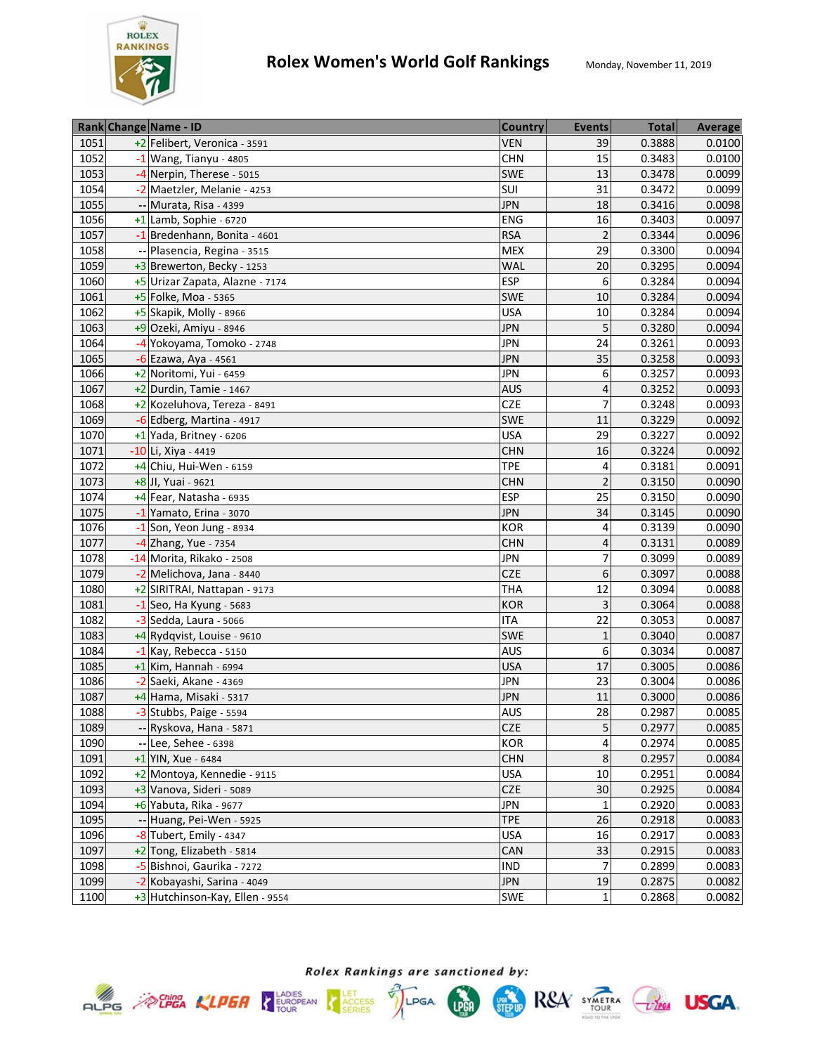

|      | Rank Change Name - ID           | <b>Country</b> | <b>Events</b>  | <b>Total</b> | <b>Average</b> |
|------|---------------------------------|----------------|----------------|--------------|----------------|
| 1051 | +2 Felibert, Veronica - 3591    | <b>VEN</b>     | 39             | 0.3888       | 0.0100         |
| 1052 | $-1$ Wang, Tianyu - 4805        | <b>CHN</b>     | 15             | 0.3483       | 0.0100         |
| 1053 | -4 Nerpin, Therese - 5015       | <b>SWE</b>     | 13             | 0.3478       | 0.0099         |
| 1054 | -2 Maetzler, Melanie - 4253     | SUI            | 31             | 0.3472       | 0.0099         |
| 1055 | -- Murata, Risa - 4399          | <b>JPN</b>     | 18             | 0.3416       | 0.0098         |
| 1056 | $+1$ Lamb, Sophie - 6720        | <b>ENG</b>     | 16             | 0.3403       | 0.0097         |
| 1057 | -1 Bredenhann, Bonita - 4601    | <b>RSA</b>     | $\overline{2}$ | 0.3344       | 0.0096         |
| 1058 | -- Plasencia, Regina - 3515     | <b>MEX</b>     | 29             | 0.3300       | 0.0094         |
| 1059 | +3 Brewerton, Becky - 1253      | <b>WAL</b>     | 20             | 0.3295       | 0.0094         |
| 1060 | +5 Urizar Zapata, Alazne - 7174 | <b>ESP</b>     | 6              | 0.3284       | 0.0094         |
| 1061 | +5 Folke, Moa - 5365            | <b>SWE</b>     | 10             | 0.3284       | 0.0094         |
| 1062 | +5 Skapik, Molly - 8966         | <b>USA</b>     | 10             | 0.3284       | 0.0094         |
| 1063 | +9 Ozeki, Amiyu - 8946          | <b>JPN</b>     | 5              | 0.3280       | 0.0094         |
| 1064 | -4 Yokoyama, Tomoko - 2748      | <b>JPN</b>     | 24             | 0.3261       | 0.0093         |
| 1065 | $-6$ Ezawa, Aya - 4561          | <b>JPN</b>     | 35             | 0.3258       | 0.0093         |
| 1066 | +2 Noritomi, Yui - 6459         | <b>JPN</b>     | 6              | 0.3257       | 0.0093         |
| 1067 | $+2$ Durdin, Tamie - 1467       | <b>AUS</b>     | $\overline{4}$ | 0.3252       | 0.0093         |
| 1068 | +2 Kozeluhova, Tereza - 8491    | <b>CZE</b>     | $\overline{7}$ | 0.3248       | 0.0093         |
| 1069 | -6 Edberg, Martina - 4917       | <b>SWE</b>     | 11             | 0.3229       | 0.0092         |
| 1070 | $+1$ Yada, Britney - 6206       | <b>USA</b>     | 29             | 0.3227       | 0.0092         |
| 1071 | -10 Li, Xiya - 4419             | <b>CHN</b>     | 16             | 0.3224       | 0.0092         |
| 1072 | +4 Chiu, Hui-Wen - 6159         | <b>TPE</b>     | 4              | 0.3181       | 0.0091         |
| 1073 | +8 Jl, Yuai - 9621              | <b>CHN</b>     | $\overline{2}$ | 0.3150       | 0.0090         |
| 1074 | +4 Fear, Natasha - 6935         | <b>ESP</b>     | 25             | 0.3150       | 0.0090         |
| 1075 | -1 Yamato, Erina - 3070         | <b>JPN</b>     | 34             | 0.3145       | 0.0090         |
| 1076 | $-1$ Son, Yeon Jung - 8934      | <b>KOR</b>     | 4              | 0.3139       | 0.0090         |
| 1077 | $-4$ Zhang, Yue - 7354          | <b>CHN</b>     | $\overline{4}$ | 0.3131       | 0.0089         |
| 1078 | -14 Morita, Rikako - 2508       | <b>JPN</b>     | 7              | 0.3099       | 0.0089         |
| 1079 | -2 Melichova, Jana - 8440       | <b>CZE</b>     | 6              | 0.3097       | 0.0088         |
| 1080 | +2 SIRITRAI, Nattapan - 9173    | <b>THA</b>     | 12             | 0.3094       | 0.0088         |
| 1081 | $-1$ Seo, Ha Kyung - 5683       | <b>KOR</b>     | 3              | 0.3064       | 0.0088         |
| 1082 | -3 Sedda, Laura - 5066          | <b>ITA</b>     | 22             | 0.3053       | 0.0087         |
| 1083 | +4 Rydqvist, Louise - 9610      | <b>SWE</b>     | $\mathbf 1$    | 0.3040       | 0.0087         |
| 1084 | $-1$ Kay, Rebecca - 5150        | <b>AUS</b>     | 6              | 0.3034       | 0.0087         |
| 1085 | $+1$ Kim, Hannah - 6994         | <b>USA</b>     | 17             | 0.3005       | 0.0086         |
| 1086 | -2 Saeki, Akane - 4369          | <b>JPN</b>     | 23             | 0.3004       | 0.0086         |
| 1087 | +4 Hama, Misaki - 5317          | <b>JPN</b>     | 11             | 0.3000       | 0.0086         |
| 1088 | -3 Stubbs, Paige - 5594         | <b>AUS</b>     | 28             | 0.2987       | 0.0085         |
| 1089 | -- Ryskova, Hana - 5871         | <b>CZE</b>     | 5              | 0.2977       | 0.0085         |
| 1090 | $-$ Lee, Sehee - 6398           | <b>KOR</b>     | 4              | 0.2974       | 0.0085         |
| 1091 | +1 YIN, Xue - 6484              | <b>CHN</b>     | 8              | 0.2957       | 0.0084         |
| 1092 | +2 Montoya, Kennedie - 9115     | <b>USA</b>     | 10             | 0.2951       | 0.0084         |
| 1093 | +3 Vanova, Sideri - 5089        | <b>CZE</b>     | 30             | 0.2925       | 0.0084         |
| 1094 | +6 Yabuta, Rika - 9677          | <b>JPN</b>     | 1              | 0.2920       | 0.0083         |
| 1095 | -- Huang, Pei-Wen - 5925        | <b>TPE</b>     | 26             | 0.2918       | 0.0083         |
| 1096 | -8 Tubert, Emily - 4347         | <b>USA</b>     | 16             | 0.2917       | 0.0083         |
| 1097 | +2 Tong, Elizabeth - 5814       | CAN            | 33             | 0.2915       | 0.0083         |
| 1098 | -5 Bishnoi, Gaurika - 7272      | <b>IND</b>     | 7              | 0.2899       | 0.0083         |
| 1099 | -2 Kobayashi, Sarina - 4049     | <b>JPN</b>     | 19             | 0.2875       | 0.0082         |
| 1100 | +3 Hutchinson-Kay, Ellen - 9554 | <b>SWE</b>     | 1              | 0.2868       | 0.0082         |



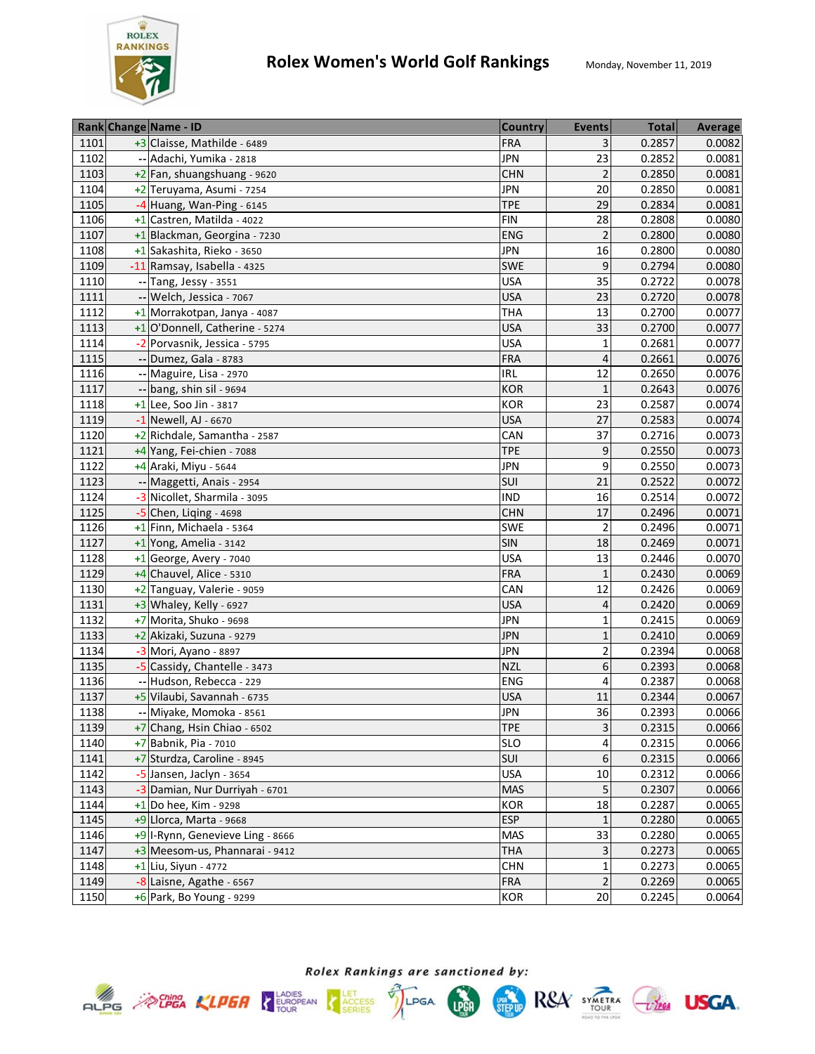

|      | Rank Change Name - ID            | <b>Country</b> | <b>Events</b>           | <b>Total</b> | Average |
|------|----------------------------------|----------------|-------------------------|--------------|---------|
| 1101 | +3 Claisse, Mathilde - 6489      | <b>FRA</b>     | 3                       | 0.2857       | 0.0082  |
| 1102 | -- Adachi, Yumika - 2818         | <b>JPN</b>     | 23                      | 0.2852       | 0.0081  |
| 1103 | +2 Fan, shuangshuang - 9620      | <b>CHN</b>     | $\overline{2}$          | 0.2850       | 0.0081  |
| 1104 | +2 Teruyama, Asumi - 7254        | <b>JPN</b>     | 20                      | 0.2850       | 0.0081  |
| 1105 | $-4$ Huang, Wan-Ping - 6145      | <b>TPE</b>     | 29                      | 0.2834       | 0.0081  |
| 1106 | +1 Castren, Matilda - 4022       | <b>FIN</b>     | 28                      | 0.2808       | 0.0080  |
| 1107 | +1 Blackman, Georgina - 7230     | <b>ENG</b>     | $\overline{2}$          | 0.2800       | 0.0080  |
| 1108 | +1 Sakashita, Rieko - 3650       | <b>JPN</b>     | 16                      | 0.2800       | 0.0080  |
| 1109 | -11 Ramsay, Isabella - 4325      | <b>SWE</b>     | 9                       | 0.2794       | 0.0080  |
| 1110 | -- Tang, Jessy - 3551            | <b>USA</b>     | 35                      | 0.2722       | 0.0078  |
| 1111 | -- Welch, Jessica - 7067         | <b>USA</b>     | 23                      | 0.2720       | 0.0078  |
| 1112 | +1 Morrakotpan, Janya - 4087     | <b>THA</b>     | 13                      | 0.2700       | 0.0077  |
| 1113 | +1 O'Donnell, Catherine - 5274   | <b>USA</b>     | 33                      | 0.2700       | 0.0077  |
| 1114 | -2 Porvasnik, Jessica - 5795     | <b>USA</b>     | $\mathbf 1$             | 0.2681       | 0.0077  |
| 1115 | -- Dumez, Gala - 8783            | <b>FRA</b>     | $\overline{\mathbf{r}}$ | 0.2661       | 0.0076  |
| 1116 | -- Maguire, Lisa - 2970          | <b>IRL</b>     | 12                      | 0.2650       | 0.0076  |
| 1117 | -- bang, shin sil - 9694         | <b>KOR</b>     | $\mathbf 1$             | 0.2643       | 0.0076  |
| 1118 | $+1$ Lee, Soo Jin - 3817         | <b>KOR</b>     | 23                      | 0.2587       | 0.0074  |
| 1119 | $-1$ Newell, AJ - 6670           | <b>USA</b>     | 27                      | 0.2583       | 0.0074  |
| 1120 | +2 Richdale, Samantha - 2587     | CAN            | 37                      | 0.2716       | 0.0073  |
| 1121 | +4 Yang, Fei-chien - 7088        | <b>TPE</b>     | 9                       | 0.2550       | 0.0073  |
| 1122 | +4 Araki, Miyu - 5644            | <b>JPN</b>     | 9                       | 0.2550       | 0.0073  |
| 1123 | -- Maggetti, Anais - 2954        | SUI            | 21                      | 0.2522       | 0.0072  |
| 1124 | -3 Nicollet, Sharmila - 3095     | <b>IND</b>     | 16                      | 0.2514       | 0.0072  |
| 1125 | $-5$ Chen, Liging - 4698         | <b>CHN</b>     | 17                      | 0.2496       | 0.0071  |
| 1126 | +1 Finn, Michaela - 5364         | SWE            | $\overline{2}$          | 0.2496       | 0.0071  |
| 1127 | +1 Yong, Amelia - 3142           | SIN            | 18                      | 0.2469       | 0.0071  |
| 1128 | $+1$ George, Avery - 7040        | <b>USA</b>     | 13                      | 0.2446       | 0.0070  |
| 1129 | +4 Chauvel, Alice - 5310         | <b>FRA</b>     | $\mathbf 1$             | 0.2430       | 0.0069  |
| 1130 | +2 Tanguay, Valerie - 9059       | CAN            | 12                      | 0.2426       | 0.0069  |
| 1131 | +3 Whaley, Kelly - 6927          | <b>USA</b>     | 4                       | 0.2420       | 0.0069  |
| 1132 | +7 Morita, Shuko - 9698          | <b>JPN</b>     | $\mathbf{1}$            | 0.2415       | 0.0069  |
| 1133 | +2 Akizaki, Suzuna - 9279        | <b>JPN</b>     | 1                       | 0.2410       | 0.0069  |
| 1134 | -3 Mori, Ayano - 8897            | <b>JPN</b>     | $\overline{2}$          | 0.2394       | 0.0068  |
| 1135 | -5 Cassidy, Chantelle - 3473     | <b>NZL</b>     | 6                       | 0.2393       | 0.0068  |
| 1136 | -- Hudson, Rebecca - 229         | <b>ENG</b>     | 4                       | 0.2387       | 0.0068  |
| 1137 | +5 Vilaubi, Savannah - 6735      | <b>USA</b>     | 11                      | 0.2344       | 0.0067  |
| 1138 | -- Miyake, Momoka - 8561         | <b>JPN</b>     | 36                      | 0.2393       | 0.0066  |
| 1139 | +7 Chang, Hsin Chiao - 6502      | <b>TPE</b>     | $\overline{3}$          | 0.2315       | 0.0066  |
| 1140 | +7 Babnik, Pia - 7010            | <b>SLO</b>     | 4                       | 0.2315       | 0.0066  |
| 1141 | +7 Sturdza, Caroline - 8945      | <b>SUI</b>     | $\boldsymbol{6}$        | 0.2315       | 0.0066  |
| 1142 | -5 Jansen, Jaclyn - 3654         | <b>USA</b>     | 10                      | 0.2312       | 0.0066  |
| 1143 | -3 Damian, Nur Durriyah - 6701   | <b>MAS</b>     | 5                       | 0.2307       | 0.0066  |
| 1144 | $+1$ Do hee, Kim - 9298          | <b>KOR</b>     | 18                      | 0.2287       | 0.0065  |
| 1145 | $+9$ Llorca, Marta - 9668        | <b>ESP</b>     | $\mathbf{1}$            | 0.2280       | 0.0065  |
| 1146 | +9 I-Rynn, Genevieve Ling - 8666 | <b>MAS</b>     | 33                      | 0.2280       | 0.0065  |
| 1147 | +3 Meesom-us, Phannarai - 9412   | <b>THA</b>     | 3                       | 0.2273       | 0.0065  |
| 1148 | +1 Liu, Siyun - 4772             | <b>CHN</b>     | $\mathbf 1$             | 0.2273       | 0.0065  |
| 1149 | -8 Laisne, Agathe - 6567         | <b>FRA</b>     | $\overline{2}$          | 0.2269       | 0.0065  |
| 1150 | +6 Park, Bo Young - 9299         | KOR            | 20                      | 0.2245       | 0.0064  |







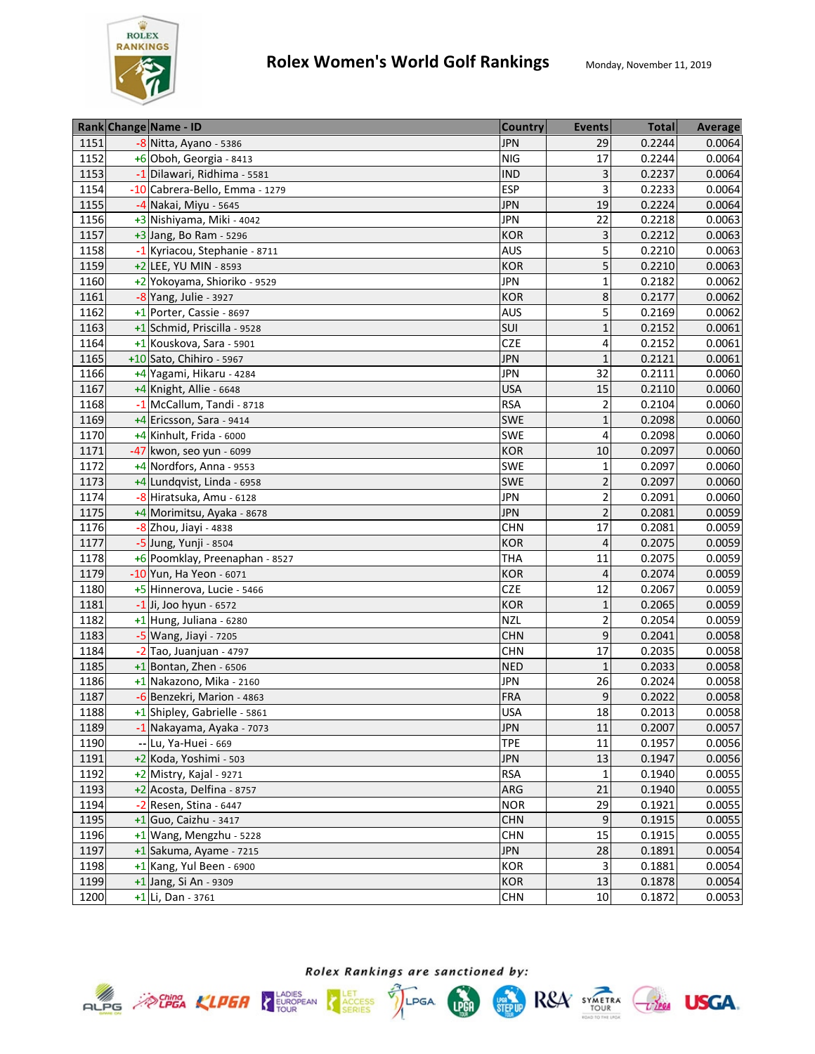

|      | Rank Change Name - ID          | <b>Country</b> | <b>Events</b>  | <b>Total</b> | Average |
|------|--------------------------------|----------------|----------------|--------------|---------|
| 1151 | -8 Nitta, Ayano - 5386         | <b>JPN</b>     | 29             | 0.2244       | 0.0064  |
| 1152 | +6 Oboh, Georgia - 8413        | <b>NIG</b>     | 17             | 0.2244       | 0.0064  |
| 1153 | -1 Dilawari, Ridhima - 5581    | <b>IND</b>     | 3              | 0.2237       | 0.0064  |
| 1154 | -10 Cabrera-Bello, Emma - 1279 | <b>ESP</b>     | 3              | 0.2233       | 0.0064  |
| 1155 | -4 Nakai, Miyu - 5645          | <b>JPN</b>     | 19             | 0.2224       | 0.0064  |
| 1156 | +3 Nishiyama, Miki - 4042      | <b>JPN</b>     | 22             | 0.2218       | 0.0063  |
| 1157 | $+3$ Jang, Bo Ram - 5296       | <b>KOR</b>     | 3              | 0.2212       | 0.0063  |
| 1158 | -1 Kyriacou, Stephanie - 8711  | <b>AUS</b>     | 5              | 0.2210       | 0.0063  |
| 1159 | +2 LEE, YU MIN - 8593          | <b>KOR</b>     | 5              | 0.2210       | 0.0063  |
| 1160 | +2 Yokoyama, Shioriko - 9529   | <b>JPN</b>     | $\mathbf{1}$   | 0.2182       | 0.0062  |
| 1161 | $-8$ Yang, Julie - 3927        | <b>KOR</b>     | 8              | 0.2177       | 0.0062  |
| 1162 | +1 Porter, Cassie - 8697       | <b>AUS</b>     | 5              | 0.2169       | 0.0062  |
| 1163 | +1 Schmid, Priscilla - 9528    | SUI            | $\mathbf{1}$   | 0.2152       | 0.0061  |
| 1164 | +1 Kouskova, Sara - 5901       | <b>CZE</b>     | 4              | 0.2152       | 0.0061  |
| 1165 | +10 Sato, Chihiro - 5967       | <b>JPN</b>     | $\mathbf{1}$   | 0.2121       | 0.0061  |
| 1166 | +4 Yagami, Hikaru - 4284       | <b>JPN</b>     | 32             | 0.2111       | 0.0060  |
| 1167 | +4 Knight, Allie - 6648        | <b>USA</b>     | 15             | 0.2110       | 0.0060  |
| 1168 | -1 McCallum, Tandi - 8718      | <b>RSA</b>     | $\overline{2}$ | 0.2104       | 0.0060  |
| 1169 | +4 Ericsson, Sara - 9414       | <b>SWE</b>     | $\mathbf 1$    | 0.2098       | 0.0060  |
| 1170 | $+4$ Kinhult, Frida - 6000     | SWE            | 4              | 0.2098       | 0.0060  |
| 1171 | -47 kwon, seo yun - 6099       | <b>KOR</b>     | 10             | 0.2097       | 0.0060  |
| 1172 | +4 Nordfors, Anna - 9553       | SWE            | $\mathbf{1}$   | 0.2097       | 0.0060  |
| 1173 | +4 Lundqvist, Linda - 6958     | <b>SWE</b>     | $\overline{2}$ | 0.2097       | 0.0060  |
| 1174 | -8 Hiratsuka, Amu - 6128       | <b>JPN</b>     | $\overline{2}$ | 0.2091       | 0.0060  |
| 1175 | +4 Morimitsu, Ayaka - 8678     | <b>JPN</b>     | $\overline{2}$ | 0.2081       | 0.0059  |
| 1176 | $-8$ Zhou, Jiayi - 4838        | <b>CHN</b>     | 17             | 0.2081       | 0.0059  |
| 1177 | -5 Jung, Yunji - 8504          | <b>KOR</b>     | $\overline{4}$ | 0.2075       | 0.0059  |
| 1178 | +6 Poomklay, Preenaphan - 8527 | <b>THA</b>     | 11             | 0.2075       | 0.0059  |
| 1179 | -10 Yun, Ha Yeon - 6071        | <b>KOR</b>     | 4              | 0.2074       | 0.0059  |
| 1180 | +5 Hinnerova, Lucie - 5466     | <b>CZE</b>     | 12             | 0.2067       | 0.0059  |
| 1181 | $-1$ Ji, Joo hyun - 6572       | <b>KOR</b>     | $\mathbf 1$    | 0.2065       | 0.0059  |
| 1182 | +1 Hung, Juliana - 6280        | <b>NZL</b>     | $\overline{2}$ | 0.2054       | 0.0059  |
| 1183 | -5 Wang, Jiayi - 7205          | <b>CHN</b>     | 9              | 0.2041       | 0.0058  |
| 1184 | $-2$ Tao, Juanjuan - 4797      | CHN            | 17             | 0.2035       | 0.0058  |
| 1185 | $+1$ Bontan, Zhen - 6506       | <b>NED</b>     | $\mathbf{1}$   | 0.2033       | 0.0058  |
| 1186 | +1 Nakazono, Mika - 2160       | <b>JPN</b>     | 26             | 0.2024       | 0.0058  |
| 1187 | -6 Benzekri, Marion - 4863     | <b>FRA</b>     | 9              | 0.2022       | 0.0058  |
| 1188 | +1 Shipley, Gabrielle - 5861   | <b>USA</b>     | 18             | 0.2013       | 0.0058  |
| 1189 | -1 Nakayama, Ayaka - 7073      | <b>JPN</b>     | 11             | 0.2007       | 0.0057  |
| 1190 | -- Lu, Ya-Huei - 669           | <b>TPE</b>     | 11             | 0.1957       | 0.0056  |
| 1191 | +2 Koda, Yoshimi - 503         | <b>JPN</b>     | 13             | 0.1947       | 0.0056  |
| 1192 | $+2$ Mistry, Kajal - 9271      | <b>RSA</b>     | $\mathbf 1$    | 0.1940       | 0.0055  |
| 1193 | +2 Acosta, Delfina - 8757      | <b>ARG</b>     | 21             | 0.1940       | 0.0055  |
| 1194 | $-2$ Resen, Stina - 6447       | <b>NOR</b>     | 29             | 0.1921       | 0.0055  |
| 1195 | $+1$ Guo, Caizhu - 3417        | <b>CHN</b>     | 9              | 0.1915       | 0.0055  |
| 1196 | +1 Wang, Mengzhu - 5228        | <b>CHN</b>     | 15             | 0.1915       | 0.0055  |
| 1197 | +1 Sakuma, Ayame - 7215        | <b>JPN</b>     | 28             | 0.1891       | 0.0054  |
| 1198 | $+1$ Kang, Yul Been - 6900     | <b>KOR</b>     | 3              | 0.1881       | 0.0054  |
| 1199 | +1 Jang, Si An - 9309          | <b>KOR</b>     | 13             | 0.1878       | 0.0054  |
| 1200 | +1 Li, Dan - 3761              | <b>CHN</b>     | 10             | 0.1872       | 0.0053  |









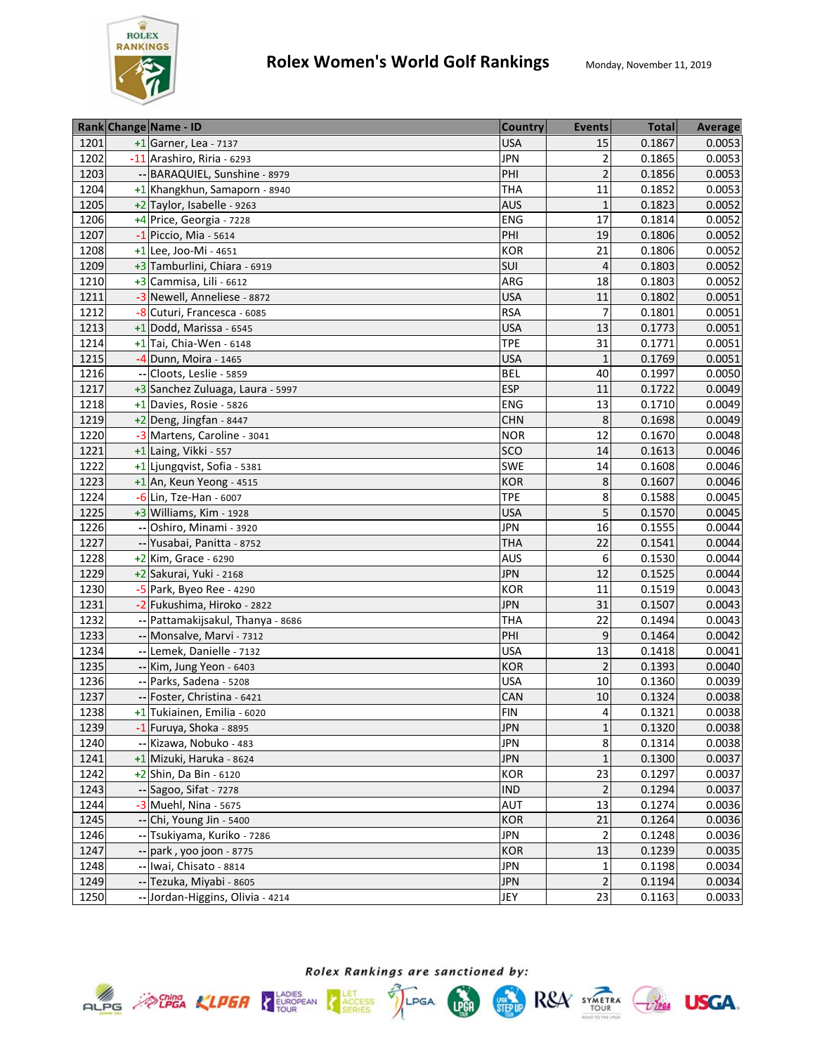

|      | Rank Change Name - ID                 | <b>Country</b> | <b>Events</b>           | <b>Total</b> | <b>Average</b> |
|------|---------------------------------------|----------------|-------------------------|--------------|----------------|
| 1201 | $+1$ Garner, Lea - 7137               | <b>USA</b>     | 15                      | 0.1867       | 0.0053         |
| 1202 | -11 Arashiro, Riria - 6293            | <b>JPN</b>     | $\overline{2}$          | 0.1865       | 0.0053         |
| 1203 | -- BARAQUIEL, Sunshine - 8979         | PHI            | $\overline{2}$          | 0.1856       | 0.0053         |
| 1204 | +1 Khangkhun, Samaporn - 8940         | <b>THA</b>     | 11                      | 0.1852       | 0.0053         |
| 1205 | +2 Taylor, Isabelle - 9263            | <b>AUS</b>     | $\mathbf{1}$            | 0.1823       | 0.0052         |
| 1206 | +4 Price, Georgia - 7228              | ENG            | 17                      | 0.1814       | 0.0052         |
| 1207 | $-1$ Piccio, Mia - 5614               | PHI            | 19                      | 0.1806       | 0.0052         |
| 1208 | $+1$ Lee, Joo-Mi - 4651               | KOR            | 21                      | 0.1806       | 0.0052         |
| 1209 | +3 Tamburlini, Chiara - 6919          | SUI            | $\overline{4}$          | 0.1803       | 0.0052         |
| 1210 | +3 Cammisa, Lili - 6612               | ARG            | 18                      | 0.1803       | 0.0052         |
| 1211 | -3 Newell, Anneliese - 8872           | <b>USA</b>     | 11                      | 0.1802       | 0.0051         |
| 1212 | -8 Cuturi, Francesca - 6085           | <b>RSA</b>     | 7                       | 0.1801       | 0.0051         |
| 1213 | $+1$ Dodd, Marissa - 6545             | <b>USA</b>     | 13                      | 0.1773       | 0.0051         |
| 1214 | $+1$ <sup>Tai</sup> , Chia-Wen - 6148 | <b>TPE</b>     | 31                      | 0.1771       | 0.0051         |
| 1215 | -4 Dunn, Moira - 1465                 | <b>USA</b>     | $\mathbf{1}$            | 0.1769       | 0.0051         |
| 1216 | Cloots, Leslie - 5859                 | <b>BEL</b>     | 40                      | 0.1997       | 0.0050         |
| 1217 | +3 Sanchez Zuluaga, Laura - 5997      | <b>ESP</b>     | 11                      | 0.1722       | 0.0049         |
| 1218 | +1 Davies, Rosie - 5826               | <b>ENG</b>     | 13                      | 0.1710       | 0.0049         |
| 1219 | $+2$ Deng, Jingfan - 8447             | <b>CHN</b>     | 8                       | 0.1698       | 0.0049         |
| 1220 | -3 Martens, Caroline - 3041           | <b>NOR</b>     | 12                      | 0.1670       | 0.0048         |
| 1221 | +1 Laing, Vikki - 557                 | SCO            | 14                      | 0.1613       | 0.0046         |
| 1222 | +1 Ljungqvist, Sofia - 5381           | SWE            | 14                      | 0.1608       | 0.0046         |
| 1223 | +1 An, Keun Yeong - 4515              | <b>KOR</b>     | 8                       | 0.1607       | 0.0046         |
| 1224 | -6 Lin, Tze-Han - 6007                | <b>TPE</b>     | 8                       | 0.1588       | 0.0045         |
| 1225 | +3 Williams, Kim - 1928               | <b>USA</b>     | 5                       | 0.1570       | 0.0045         |
| 1226 | -- Oshiro, Minami - 3920              | <b>JPN</b>     | 16                      | 0.1555       | 0.0044         |
| 1227 | -- Yusabai, Panitta - 8752            | <b>THA</b>     | 22                      | 0.1541       | 0.0044         |
| 1228 | $+2$ Kim, Grace - 6290                | <b>AUS</b>     | 6                       | 0.1530       | 0.0044         |
| 1229 | +2 Sakurai, Yuki - 2168               | <b>JPN</b>     | 12                      | 0.1525       | 0.0044         |
| 1230 | $-5$ Park, Byeo Ree - 4290            | <b>KOR</b>     | 11                      | 0.1519       | 0.0043         |
| 1231 | -2 Fukushima, Hiroko - 2822           | <b>JPN</b>     | 31                      | 0.1507       | 0.0043         |
| 1232 | Pattamakijsakul, Thanya - 8686        | <b>THA</b>     | 22                      | 0.1494       | 0.0043         |
| 1233 | -- Monsalve, Marvi - 7312             | PHI            | 9                       | 0.1464       | 0.0042         |
| 1234 | -- Lemek, Danielle - 7132             | <b>USA</b>     | 13                      | 0.1418       | 0.0041         |
| 1235 | -- Kim, Jung Yeon - 6403              | <b>KOR</b>     | $\overline{2}$          | 0.1393       | 0.0040         |
| 1236 | -- Parks, Sadena - 5208               | <b>USA</b>     | 10                      | 0.1360       | 0.0039         |
| 1237 | -- Foster, Christina - 6421           | CAN            | 10                      | 0.1324       | 0.0038         |
| 1238 | +1 Tukiainen, Emilia - 6020           | <b>FIN</b>     | 4                       | 0.1321       | 0.0038         |
| 1239 | -1 Furuya, Shoka - 8895               | <b>JPN</b>     | $\mathbf{1}$            | 0.1320       | 0.0038         |
| 1240 | -- Kizawa, Nobuko - 483               | <b>JPN</b>     | 8                       | 0.1314       | 0.0038         |
| 1241 | +1 Mizuki, Haruka - 8624              | <b>JPN</b>     | $\mathbf{1}$            | 0.1300       | 0.0037         |
| 1242 | $+2$ Shin, Da Bin - 6120              | KOR            | 23                      | 0.1297       | 0.0037         |
| 1243 | -- Sagoo, Sifat - 7278                | <b>IND</b>     | $\overline{2}$          | 0.1294       | 0.0037         |
| 1244 | -3 Muehl, Nina - 5675                 | AUT            | 13                      | 0.1274       | 0.0036         |
| 1245 | Chi, Young Jin - 5400                 | <b>KOR</b>     | 21                      | 0.1264       | 0.0036         |
| 1246 | -- Tsukiyama, Kuriko - 7286           | <b>JPN</b>     | $\overline{\mathbf{c}}$ | 0.1248       | 0.0036         |
| 1247 | -- park, yoo joon - 8775              | <b>KOR</b>     | 13                      | 0.1239       | 0.0035         |
| 1248 | -- Iwai, Chisato - 8814               | <b>JPN</b>     | $\mathbf 1$             | 0.1198       | 0.0034         |
| 1249 | -- Tezuka, Miyabi - 8605              | <b>JPN</b>     | $\overline{2}$          | 0.1194       | 0.0034         |
| 1250 | -- Jordan-Higgins, Olivia - 4214      | JEY            | 23                      | 0.1163       | 0.0033         |





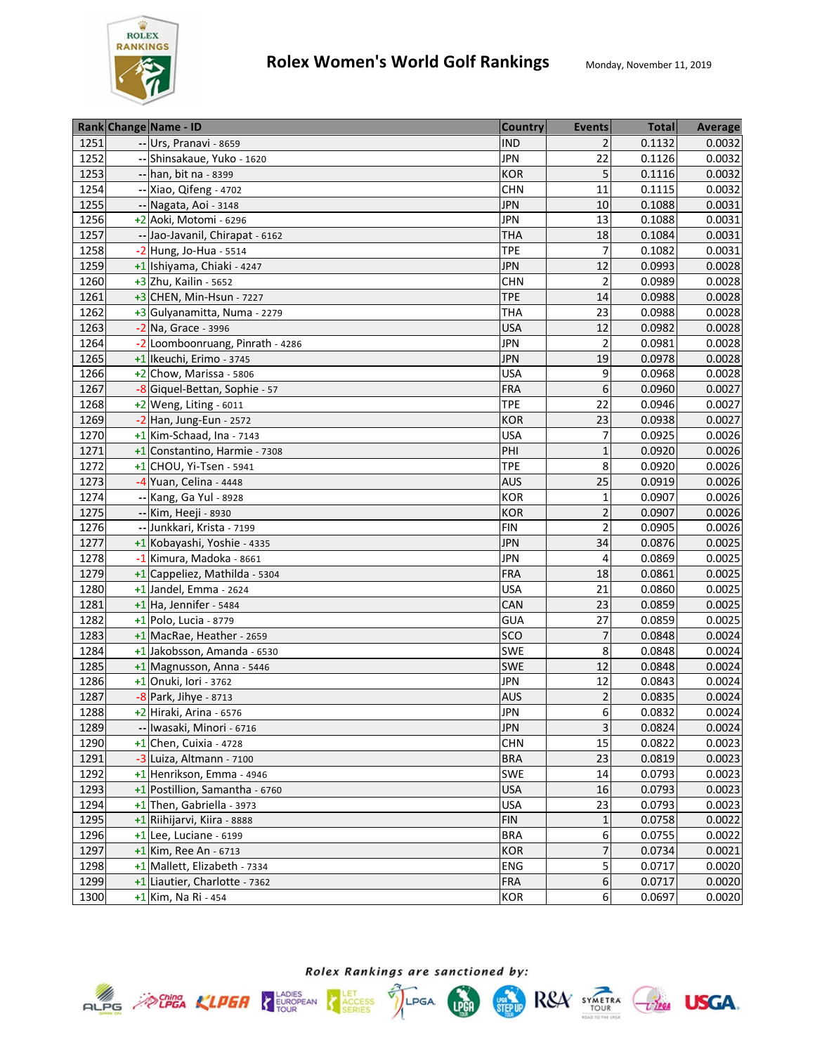

|      | Rank Change Name - ID              | <b>Country</b> | <b>Events</b>  | <b>Total</b> | <b>Average</b> |
|------|------------------------------------|----------------|----------------|--------------|----------------|
| 1251 | -- Urs, Pranavi - 8659             | <b>IND</b>     | 2              | 0.1132       | 0.0032         |
| 1252 | -- Shinsakaue, Yuko - 1620         | <b>JPN</b>     | 22             | 0.1126       | 0.0032         |
| 1253 | -- han, bit na - 8399              | <b>KOR</b>     | 5              | 0.1116       | 0.0032         |
| 1254 | -- Xiao, Qifeng - 4702             | <b>CHN</b>     | 11             | 0.1115       | 0.0032         |
| 1255 | -- Nagata, Aoi - 3148              | <b>JPN</b>     | 10             | 0.1088       | 0.0031         |
| 1256 | +2 Aoki, Motomi - 6296             | <b>JPN</b>     | 13             | 0.1088       | 0.0031         |
| 1257 | -- Jao-Javanil, Chirapat - 6162    | <b>THA</b>     | 18             | 0.1084       | 0.0031         |
| 1258 | $-2$ Hung, Jo-Hua - 5514           | <b>TPE</b>     | 7              | 0.1082       | 0.0031         |
| 1259 | +1 Ishiyama, Chiaki - 4247         | <b>JPN</b>     | 12             | 0.0993       | 0.0028         |
| 1260 | $\overline{+3}$ Zhu, Kailin - 5652 | <b>CHN</b>     | $\overline{2}$ | 0.0989       | 0.0028         |
| 1261 | +3 CHEN, Min-Hsun - 7227           | <b>TPE</b>     | 14             | 0.0988       | 0.0028         |
| 1262 | +3 Gulyanamitta, Numa - 2279       | <b>THA</b>     | 23             | 0.0988       | 0.0028         |
| 1263 | -2 Na, Grace - 3996                | <b>USA</b>     | 12             | 0.0982       | 0.0028         |
| 1264 | -2 Loomboonruang, Pinrath - 4286   | <b>JPN</b>     | $\overline{2}$ | 0.0981       | 0.0028         |
| 1265 | +1 Ikeuchi, Erimo - 3745           | <b>JPN</b>     | 19             | 0.0978       | 0.0028         |
| 1266 | $+2$ Chow, Marissa - 5806          | <b>USA</b>     | 9              | 0.0968       | 0.0028         |
| 1267 | -8 Giquel-Bettan, Sophie - 57      | <b>FRA</b>     | 6              | 0.0960       | 0.0027         |
| 1268 | +2 Weng, Liting - 6011             | <b>TPE</b>     | 22             | 0.0946       | 0.0027         |
| 1269 | $-2$ Han, Jung-Eun - 2572          | <b>KOR</b>     | 23             | 0.0938       | 0.0027         |
| 1270 | $+1$ Kim-Schaad, Ina - 7143        | <b>USA</b>     | 7              | 0.0925       | 0.0026         |
| 1271 | +1 Constantino, Harmie - 7308      | PHI            | $\mathbf{1}$   | 0.0920       | 0.0026         |
| 1272 | $+1$ CHOU, Yi-Tsen - 5941          | <b>TPE</b>     | 8              | 0.0920       | 0.0026         |
| 1273 | -4 Yuan, Celina - 4448             | <b>AUS</b>     | 25             | 0.0919       | 0.0026         |
| 1274 | -- Kang, Ga Yul - 8928             | <b>KOR</b>     | $\mathbf{1}$   | 0.0907       | 0.0026         |
| 1275 | -- Kim, Heeji - 8930               | <b>KOR</b>     | 2              | 0.0907       | 0.0026         |
| 1276 | -- Junkkari, Krista - 7199         | <b>FIN</b>     | 2              | 0.0905       | 0.0026         |
| 1277 | +1 Kobayashi, Yoshie - 4335        | <b>JPN</b>     | 34             | 0.0876       | 0.0025         |
| 1278 | -1 Kimura, Madoka - 8661           | <b>JPN</b>     | 4              | 0.0869       | 0.0025         |
| 1279 | +1 Cappeliez, Mathilda - 5304      | <b>FRA</b>     | 18             | 0.0861       | 0.0025         |
| 1280 | $+1$ Jandel, Emma - 2624           | <b>USA</b>     | 21             | 0.0860       | 0.0025         |
| 1281 | $+1$ Ha, Jennifer - 5484           | CAN            | 23             | 0.0859       | 0.0025         |
| 1282 | +1 Polo, Lucia - 8779              | <b>GUA</b>     | 27             | 0.0859       | 0.0025         |
| 1283 | +1 MacRae, Heather - 2659          | sco            | $\overline{7}$ | 0.0848       | 0.0024         |
| 1284 | +1 Jakobsson, Amanda - 6530        | SWE            | 8              | 0.0848       | 0.0024         |
| 1285 | +1 Magnusson, Anna - 5446          | SWE            | 12             | 0.0848       | 0.0024         |
| 1286 | +1 Onuki, Iori - 3762              | <b>JPN</b>     | 12             | 0.0843       | 0.0024         |
| 1287 | $-8$ Park, Jihye - 8713            | <b>AUS</b>     | $\overline{2}$ | 0.0835       | 0.0024         |
| 1288 | +2 Hiraki, Arina - 6576            | <b>JPN</b>     | 6              | 0.0832       | 0.0024         |
| 1289 | -- Iwasaki, Minori - 6716          | <b>JPN</b>     | 3              | 0.0824       | 0.0024         |
| 1290 | $+1$ Chen, Cuixia - 4728           | <b>CHN</b>     | 15             | 0.0822       | 0.0023         |
| 1291 | -3 Luiza, Altmann - 7100           | <b>BRA</b>     | 23             | 0.0819       | 0.0023         |
| 1292 | +1 Henrikson, Emma - 4946          | <b>SWE</b>     | 14             | 0.0793       | 0.0023         |
| 1293 | +1 Postillion, Samantha - 6760     | <b>USA</b>     | 16             | 0.0793       | 0.0023         |
| 1294 | +1 Then, Gabriella - 3973          | <b>USA</b>     | 23             | 0.0793       | 0.0023         |
| 1295 | +1 Riihijarvi, Kiira - 8888        | <b>FIN</b>     | $\mathbf{1}$   | 0.0758       | 0.0022         |
| 1296 | $+1$ Lee, Luciane - 6199           | <b>BRA</b>     | 6              | 0.0755       | 0.0022         |
| 1297 | $+1$ Kim, Ree An - 6713            | <b>KOR</b>     | 7              | 0.0734       | 0.0021         |
| 1298 | +1 Mallett, Elizabeth - 7334       | ENG            | 5              | 0.0717       | 0.0020         |
| 1299 | +1 Liautier, Charlotte - 7362      | <b>FRA</b>     | 6              | 0.0717       | 0.0020         |
| 1300 | $+1$ Kim, Na Ri - 454              | <b>KOR</b>     | 6              | 0.0697       | 0.0020         |